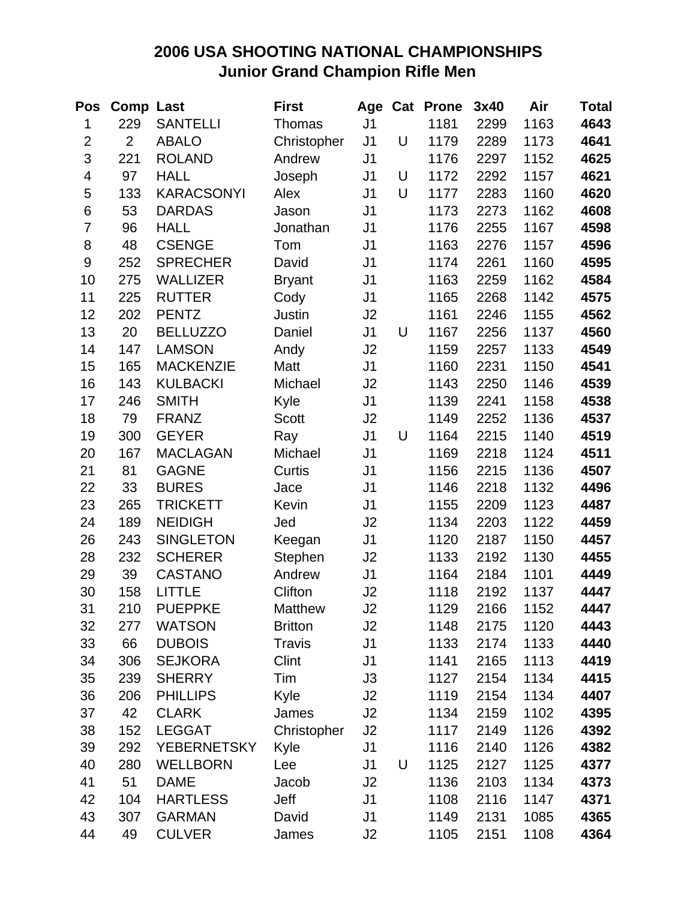## **2006 USA SHOOTING NATIONAL CHAMPIONSHIPS Junior Grand Champion Rifle Men**

| Pos                     | <b>Comp Last</b> |                    | <b>First</b>   | Age            |   | <b>Cat Prone</b> | 3x40 | Air  | <b>Total</b> |
|-------------------------|------------------|--------------------|----------------|----------------|---|------------------|------|------|--------------|
| 1                       | 229              | <b>SANTELLI</b>    | Thomas         | J <sub>1</sub> |   | 1181             | 2299 | 1163 | 4643         |
| $\overline{2}$          | $\overline{2}$   | <b>ABALO</b>       | Christopher    | J <sub>1</sub> | U | 1179             | 2289 | 1173 | 4641         |
| 3                       | 221              | <b>ROLAND</b>      | Andrew         | J <sub>1</sub> |   | 1176             | 2297 | 1152 | 4625         |
| $\overline{\mathbf{4}}$ | 97               | <b>HALL</b>        | Joseph         | J <sub>1</sub> | U | 1172             | 2292 | 1157 | 4621         |
| 5                       | 133              | <b>KARACSONYI</b>  | Alex           | J <sub>1</sub> | U | 1177             | 2283 | 1160 | 4620         |
| 6                       | 53               | <b>DARDAS</b>      | Jason          | J <sub>1</sub> |   | 1173             | 2273 | 1162 | 4608         |
| $\overline{7}$          | 96               | <b>HALL</b>        | Jonathan       | J <sub>1</sub> |   | 1176             | 2255 | 1167 | 4598         |
| 8                       | 48               | <b>CSENGE</b>      | Tom            | J <sub>1</sub> |   | 1163             | 2276 | 1157 | 4596         |
| 9                       | 252              | <b>SPRECHER</b>    | David          | J <sub>1</sub> |   | 1174             | 2261 | 1160 | 4595         |
| 10                      | 275              | <b>WALLIZER</b>    | <b>Bryant</b>  | J <sub>1</sub> |   | 1163             | 2259 | 1162 | 4584         |
| 11                      | 225              | <b>RUTTER</b>      | Cody           | J <sub>1</sub> |   | 1165             | 2268 | 1142 | 4575         |
| 12                      | 202              | <b>PENTZ</b>       | Justin         | J <sub>2</sub> |   | 1161             | 2246 | 1155 | 4562         |
| 13                      | 20               | <b>BELLUZZO</b>    | Daniel         | J <sub>1</sub> | U | 1167             | 2256 | 1137 | 4560         |
| 14                      | 147              | <b>LAMSON</b>      | Andy           | J2             |   | 1159             | 2257 | 1133 | 4549         |
| 15                      | 165              | <b>MACKENZIE</b>   | Matt           | J <sub>1</sub> |   | 1160             | 2231 | 1150 | 4541         |
| 16                      | 143              | <b>KULBACKI</b>    | Michael        | J <sub>2</sub> |   | 1143             | 2250 | 1146 | 4539         |
| 17                      | 246              | <b>SMITH</b>       | Kyle           | J <sub>1</sub> |   | 1139             | 2241 | 1158 | 4538         |
| 18                      | 79               | <b>FRANZ</b>       | <b>Scott</b>   | J <sub>2</sub> |   | 1149             | 2252 | 1136 | 4537         |
| 19                      | 300              | <b>GEYER</b>       | Ray            | J <sub>1</sub> | U | 1164             | 2215 | 1140 | 4519         |
| 20                      | 167              | <b>MACLAGAN</b>    | Michael        | J <sub>1</sub> |   | 1169             | 2218 | 1124 | 4511         |
| 21                      | 81               | <b>GAGNE</b>       | Curtis         | J <sub>1</sub> |   | 1156             | 2215 | 1136 | 4507         |
| 22                      | 33               | <b>BURES</b>       | Jace           | J <sub>1</sub> |   | 1146             | 2218 | 1132 | 4496         |
| 23                      | 265              | <b>TRICKETT</b>    | Kevin          | J <sub>1</sub> |   | 1155             | 2209 | 1123 | 4487         |
| 24                      | 189              | <b>NEIDIGH</b>     | Jed            | J2             |   | 1134             | 2203 | 1122 | 4459         |
| 26                      | 243              | <b>SINGLETON</b>   | Keegan         | J <sub>1</sub> |   | 1120             | 2187 | 1150 | 4457         |
| 28                      | 232              | <b>SCHERER</b>     | Stephen        | J2             |   | 1133             | 2192 | 1130 | 4455         |
| 29                      | 39               | <b>CASTANO</b>     | Andrew         | J <sub>1</sub> |   | 1164             | 2184 | 1101 | 4449         |
| 30                      | 158              | <b>LITTLE</b>      | Clifton        | J2             |   | 1118             | 2192 | 1137 | 4447         |
| 31                      | 210              | <b>PUEPPKE</b>     | <b>Matthew</b> | J2             |   | 1129             | 2166 | 1152 | 4447         |
| 32                      | 277              | <b>WATSON</b>      | <b>Britton</b> | J2             |   | 1148             | 2175 | 1120 | 4443         |
| 33                      | 66               | <b>DUBOIS</b>      | <b>Travis</b>  | J <sub>1</sub> |   | 1133             | 2174 | 1133 | 4440         |
| 34                      | 306              | <b>SEJKORA</b>     | Clint          | J1             |   | 1141             | 2165 | 1113 | 4419         |
| 35                      | 239              | <b>SHERRY</b>      | Tim            | J3             |   | 1127             | 2154 | 1134 | 4415         |
| 36                      | 206              | <b>PHILLIPS</b>    | Kyle           | J2             |   | 1119             | 2154 | 1134 | 4407         |
| 37                      | 42               | <b>CLARK</b>       | James          | J2             |   | 1134             | 2159 | 1102 | 4395         |
| 38                      | 152              | <b>LEGGAT</b>      | Christopher    | J <sub>2</sub> |   | 1117             | 2149 | 1126 | 4392         |
| 39                      | 292              | <b>YEBERNETSKY</b> | Kyle           | J <sub>1</sub> |   | 1116             | 2140 | 1126 | 4382         |
| 40                      | 280              | <b>WELLBORN</b>    | Lee            | J1             | U | 1125             | 2127 | 1125 | 4377         |
| 41                      | 51               | <b>DAME</b>        | Jacob          | J2             |   | 1136             | 2103 | 1134 | 4373         |
| 42                      | 104              | <b>HARTLESS</b>    | Jeff           | J <sub>1</sub> |   | 1108             | 2116 | 1147 | 4371         |
| 43                      | 307              | <b>GARMAN</b>      | David          | J1             |   | 1149             | 2131 | 1085 | 4365         |
| 44                      | 49               | <b>CULVER</b>      | James          | J2             |   | 1105             | 2151 | 1108 | 4364         |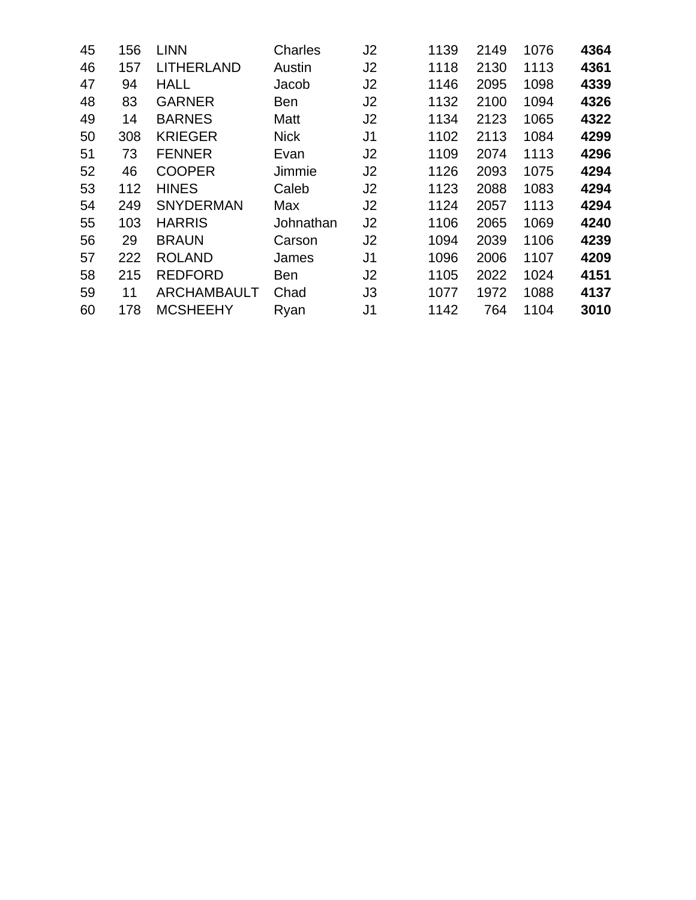| 45 | 156 | <b>LINN</b>        | Charles     | J <sub>2</sub> | 1139 | 2149 | 1076 | 4364 |
|----|-----|--------------------|-------------|----------------|------|------|------|------|
| 46 | 157 | <b>LITHERLAND</b>  | Austin      | J <sub>2</sub> | 1118 | 2130 | 1113 | 4361 |
| 47 | 94  | <b>HALL</b>        | Jacob       | J <sub>2</sub> | 1146 | 2095 | 1098 | 4339 |
| 48 | 83  | <b>GARNER</b>      | <b>Ben</b>  | J <sub>2</sub> | 1132 | 2100 | 1094 | 4326 |
| 49 | 14  | <b>BARNES</b>      | Matt        | J <sub>2</sub> | 1134 | 2123 | 1065 | 4322 |
| 50 | 308 | <b>KRIEGER</b>     | <b>Nick</b> | J <sub>1</sub> | 1102 | 2113 | 1084 | 4299 |
| 51 | 73  | <b>FENNER</b>      | Evan        | J <sub>2</sub> | 1109 | 2074 | 1113 | 4296 |
| 52 | 46  | <b>COOPER</b>      | Jimmie      | J <sub>2</sub> | 1126 | 2093 | 1075 | 4294 |
| 53 | 112 | <b>HINES</b>       | Caleb       | J <sub>2</sub> | 1123 | 2088 | 1083 | 4294 |
| 54 | 249 | <b>SNYDERMAN</b>   | Max         | J2             | 1124 | 2057 | 1113 | 4294 |
| 55 | 103 | <b>HARRIS</b>      | Johnathan   | J <sub>2</sub> | 1106 | 2065 | 1069 | 4240 |
| 56 | 29  | <b>BRAUN</b>       | Carson      | J <sub>2</sub> | 1094 | 2039 | 1106 | 4239 |
| 57 | 222 | <b>ROLAND</b>      | James       | J1             | 1096 | 2006 | 1107 | 4209 |
| 58 | 215 | <b>REDFORD</b>     | <b>Ben</b>  | J <sub>2</sub> | 1105 | 2022 | 1024 | 4151 |
| 59 | 11  | <b>ARCHAMBAULT</b> | Chad        | J3             | 1077 | 1972 | 1088 | 4137 |
| 60 | 178 | <b>MCSHEEHY</b>    | Ryan        | J <sub>1</sub> | 1142 | 764  | 1104 | 3010 |
|    |     |                    |             |                |      |      |      |      |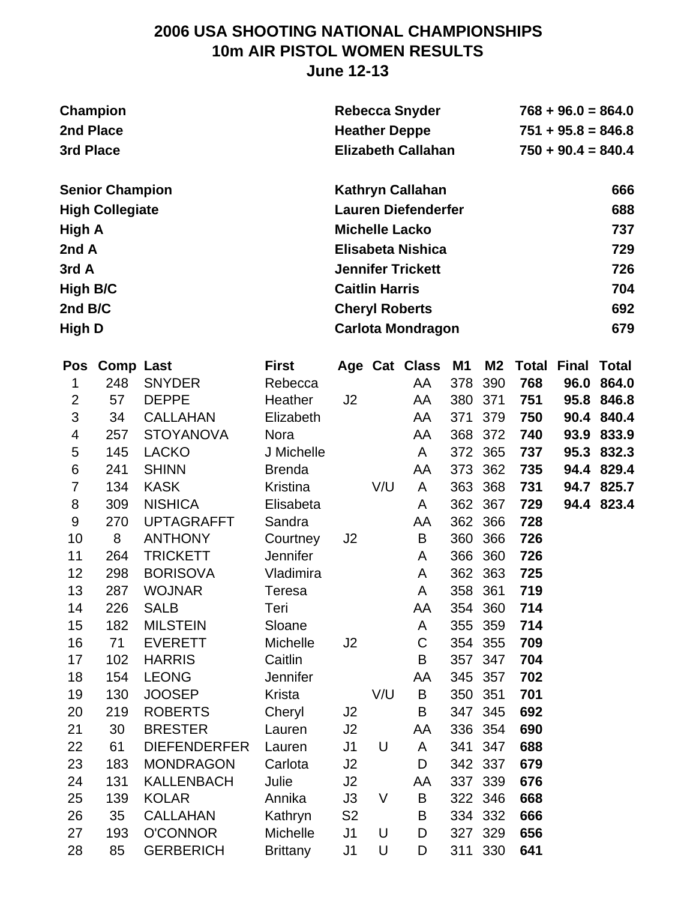### **2006 USA SHOOTING NATIONAL CHAMPIONSHIPS 10m AIR PISTOL WOMEN RESULTS June 12-13**

| Champion               | <b>Rebecca Snyder</b>      | $768 + 96.0 = 864.0$ |
|------------------------|----------------------------|----------------------|
| 2nd Place              | <b>Heather Deppe</b>       | $751 + 95.8 = 846.8$ |
| 3rd Place              | <b>Elizabeth Callahan</b>  | $750 + 90.4 = 840.4$ |
| <b>Senior Champion</b> | <b>Kathryn Callahan</b>    | 666                  |
| <b>High Collegiate</b> | <b>Lauren Diefenderfer</b> | 688                  |
| High A                 | <b>Michelle Lacko</b>      | 737                  |
| 2nd A                  | Elisabeta Nishica          | 729                  |
| 3rd A                  | <b>Jennifer Trickett</b>   | 726                  |
| <b>High B/C</b>        | <b>Caitlin Harris</b>      | 704                  |
| 2nd B/C                | <b>Cheryl Roberts</b>      | 692                  |
| <b>High D</b>          | <b>Carlota Mondragon</b>   | 679                  |

| Pos            | <b>Comp Last</b> |                     | <b>First</b>    |                |     | Age Cat Class | M1  | M <sub>2</sub> | <b>Total</b> | <b>Final</b> | <b>Total</b> |
|----------------|------------------|---------------------|-----------------|----------------|-----|---------------|-----|----------------|--------------|--------------|--------------|
| 1              | 248              | <b>SNYDER</b>       | Rebecca         |                |     | AA            | 378 | 390            | 768          | 96.0         | 864.0        |
| $\overline{2}$ | 57               | <b>DEPPE</b>        | Heather         | J <sub>2</sub> |     | AA            | 380 | 371            | 751          | 95.8         | 846.8        |
| 3              | 34               | <b>CALLAHAN</b>     | Elizabeth       |                |     | AA            | 371 | 379            | 750          | 90.4         | 840.4        |
| 4              | 257              | <b>STOYANOVA</b>    | Nora            |                |     | AA            | 368 | 372            | 740          | 93.9         | 833.9        |
| 5              | 145              | <b>LACKO</b>        | J Michelle      |                |     | A             | 372 | 365            | 737          |              | 95.3 832.3   |
| 6              | 241              | <b>SHINN</b>        | <b>Brenda</b>   |                |     | AA            | 373 | 362            | 735          | 94.4         | 829.4        |
| $\overline{7}$ | 134              | <b>KASK</b>         | Kristina        |                | V/U | A             | 363 | 368            | 731          |              | 94.7 825.7   |
| 8              | 309              | <b>NISHICA</b>      | Elisabeta       |                |     | A             | 362 | 367            | 729          |              | 94.4 823.4   |
| 9              | 270              | <b>UPTAGRAFFT</b>   | Sandra          |                |     | AA            | 362 | 366            | 728          |              |              |
| 10             | 8                | <b>ANTHONY</b>      | Courtney        | J2             |     | B             | 360 | 366            | 726          |              |              |
| 11             | 264              | <b>TRICKETT</b>     | <b>Jennifer</b> |                |     | A             | 366 | 360            | 726          |              |              |
| 12             | 298              | <b>BORISOVA</b>     | Vladimira       |                |     | A             | 362 | 363            | 725          |              |              |
| 13             | 287              | <b>WOJNAR</b>       | <b>Teresa</b>   |                |     | A             | 358 | 361            | 719          |              |              |
| 14             | 226              | <b>SALB</b>         | Teri            |                |     | AA            | 354 | 360            | 714          |              |              |
| 15             | 182              | <b>MILSTEIN</b>     | Sloane          |                |     | A             | 355 | 359            | 714          |              |              |
| 16             | 71               | <b>EVERETT</b>      | Michelle        | J <sub>2</sub> |     | C             | 354 | 355            | 709          |              |              |
| 17             | 102              | <b>HARRIS</b>       | Caitlin         |                |     | B             | 357 | 347            | 704          |              |              |
| 18             | 154              | <b>LEONG</b>        | Jennifer        |                |     | AA            | 345 | 357            | 702          |              |              |
| 19             | 130              | <b>JOOSEP</b>       | Krista          |                | V/U | B             | 350 | 351            | 701          |              |              |
| 20             | 219              | <b>ROBERTS</b>      | Cheryl          | J2             |     | B             | 347 | 345            | 692          |              |              |
| 21             | 30               | <b>BRESTER</b>      | Lauren          | J2             |     | AA            | 336 | 354            | 690          |              |              |
| 22             | 61               | <b>DIEFENDERFER</b> | Lauren          | J <sub>1</sub> | U   | A             | 341 | 347            | 688          |              |              |
| 23             | 183              | <b>MONDRAGON</b>    | Carlota         | J2             |     | D             | 342 | 337            | 679          |              |              |
| 24             | 131              | <b>KALLENBACH</b>   | Julie           | J2             |     | AA            | 337 | 339            | 676          |              |              |
| 25             | 139              | <b>KOLAR</b>        | Annika          | J3             | V   | B             |     | 322 346        | 668          |              |              |
| 26             | 35               | <b>CALLAHAN</b>     | Kathryn         | S <sub>2</sub> |     | B             | 334 | 332            | 666          |              |              |
| 27             | 193              | <b>O'CONNOR</b>     | Michelle        | J <sub>1</sub> | U   | D             | 327 | 329            | 656          |              |              |
| 28             | 85               | <b>GERBERICH</b>    | <b>Brittany</b> | J <sub>1</sub> | U   | D             | 311 | 330            | 641          |              |              |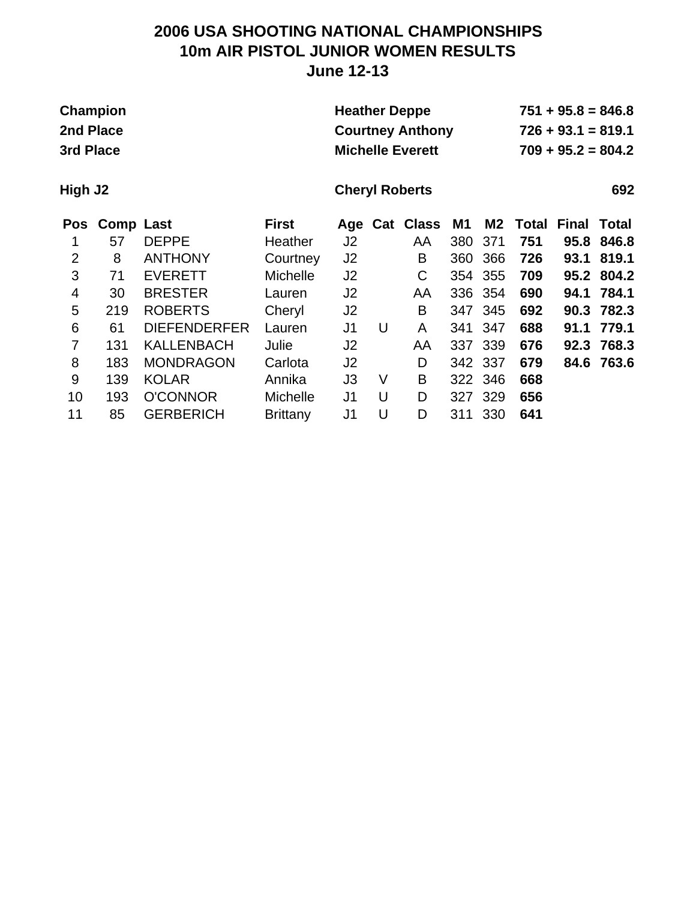### **2006 USA SHOOTING NATIONAL CHAMPIONSHIPS 10m AIR PISTOL JUNIOR WOMEN RESULTS June 12-13**

| Champion  | <b>Heather Deppe</b>    | $751 + 95.8 = 846.8$ |
|-----------|-------------------------|----------------------|
| 2nd Place | <b>Courtney Anthony</b> | $726 + 93.1 = 819.1$ |
| 3rd Place | <b>Michelle Everett</b> | $709 + 95.2 = 804.2$ |

**High J2 Cheryl Roberts 692**

|                | Pos Comp Last |                     | <b>First</b>    |                |   | Age Cat Class M1 |         |         | <b>M2 Total Final Total</b> |      |            |
|----------------|---------------|---------------------|-----------------|----------------|---|------------------|---------|---------|-----------------------------|------|------------|
|                | 57            | <b>DEPPE</b>        | Heather         | J <sub>2</sub> |   | AA               | 380     | 371     | 751                         |      | 95.8 846.8 |
| $\overline{2}$ | 8             | <b>ANTHONY</b>      | Courtney        | J <sub>2</sub> |   | B                | 360     | 366     | 726                         | 93.1 | 819.1      |
| 3              | 71            | <b>EVERETT</b>      | <b>Michelle</b> | J <sub>2</sub> |   | С                |         | 354 355 | 709                         |      | 95.2 804.2 |
| $\overline{4}$ | 30            | <b>BRESTER</b>      | Lauren          | J2             |   | AA               | 336 354 |         | 690                         |      | 94.1 784.1 |
| 5              | 219           | <b>ROBERTS</b>      | Cheryl          | J <sub>2</sub> |   | B                | 347 345 |         | 692                         |      | 90.3 782.3 |
| 6              | 61            | <b>DIEFENDERFER</b> | Lauren          | J1             | U | A                |         | 341 347 | 688                         | 91.1 | 779.1      |
| 7              | 131           | <b>KALLENBACH</b>   | Julie           | J <sub>2</sub> |   | AA               | 337 339 |         | 676                         |      | 92.3 768.3 |
| 8              | 183           | <b>MONDRAGON</b>    | Carlota         | J <sub>2</sub> |   | D                | 342 337 |         | 679                         |      | 84.6 763.6 |
| 9              | 139           | <b>KOLAR</b>        | Annika          | J3             | V | B                | 322 346 |         | 668                         |      |            |
| 10             | 193           | <b>O'CONNOR</b>     | <b>Michelle</b> | J1             | U | D                | 327 329 |         | 656                         |      |            |
| 11             | 85            | <b>GERBERICH</b>    | <b>Brittany</b> | J1             | U | D                | 311     | 330     | 641                         |      |            |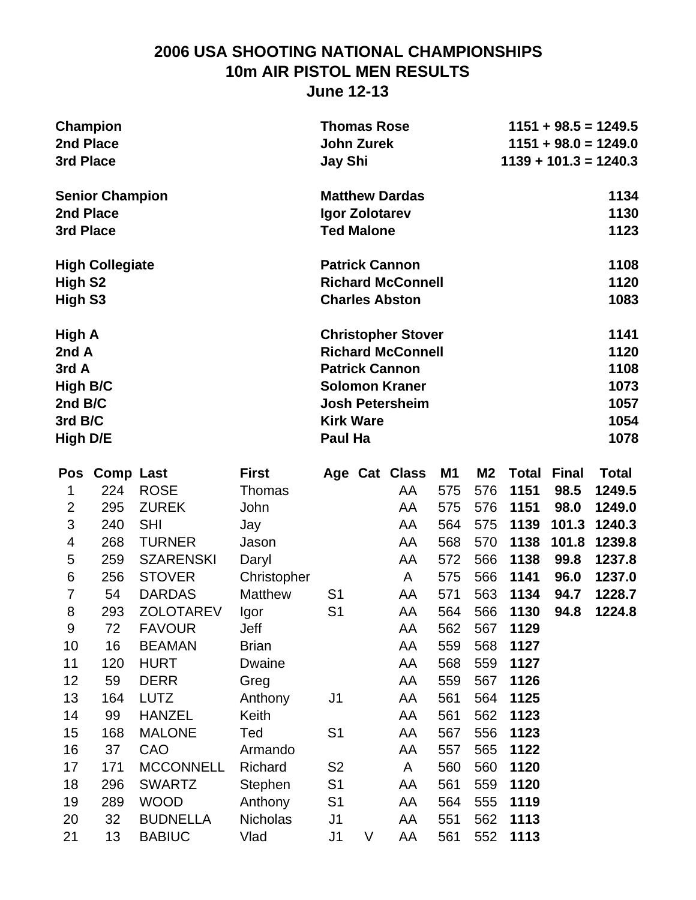### **2006 USA SHOOTING NATIONAL CHAMPIONSHIPS 10m AIR PISTOL MEN RESULTS June 12-13**

| Champion<br>2nd Place<br>3rd Place | <b>Thomas Rose</b><br><b>John Zurek</b> | $1151 + 98.5 = 1249.5$<br>$1151 + 98.0 = 1249.0$<br>$1139 + 101.3 = 1240.3$ |
|------------------------------------|-----------------------------------------|-----------------------------------------------------------------------------|
|                                    | <b>Jay Shi</b>                          |                                                                             |
| <b>Senior Champion</b>             | <b>Matthew Dardas</b>                   | 1134                                                                        |
| 2nd Place                          | Igor Zolotarev                          | 1130                                                                        |
| 3rd Place                          | <b>Ted Malone</b>                       | 1123                                                                        |
| <b>High Collegiate</b>             | <b>Patrick Cannon</b>                   | 1108                                                                        |
| High S <sub>2</sub>                | <b>Richard McConnell</b>                | 1120                                                                        |
| High S3                            | <b>Charles Abston</b>                   | 1083                                                                        |
| High A                             | <b>Christopher Stover</b>               | 1141                                                                        |
| 2nd A                              | <b>Richard McConnell</b>                | 1120                                                                        |
| 3rd A                              | <b>Patrick Cannon</b>                   | 1108                                                                        |
| High B/C                           | <b>Solomon Kraner</b>                   | 1073                                                                        |
| 2nd B/C                            | <b>Josh Petersheim</b>                  | 1057                                                                        |
| 3rd B/C                            | <b>Kirk Ware</b>                        | 1054                                                                        |
| High D/E                           | Paul Ha                                 | 1078                                                                        |

| Pos                     | <b>Comp Last</b> |                  | <b>First</b>    |                |   | Age Cat Class | <b>M1</b> | <b>M2</b> | <b>Total</b> | <b>Final</b> | Total  |
|-------------------------|------------------|------------------|-----------------|----------------|---|---------------|-----------|-----------|--------------|--------------|--------|
| 1                       | 224              | <b>ROSE</b>      | <b>Thomas</b>   |                |   | AA            | 575       | 576       | 1151         | 98.5         | 1249.5 |
| $\overline{2}$          | 295              | <b>ZUREK</b>     | John            |                |   | AA            | 575       | 576       | 1151         | 98.0         | 1249.0 |
| 3                       | 240              | <b>SHI</b>       | Jay             |                |   | AA            | 564       | 575       | 1139         | 101.3        | 1240.3 |
| $\overline{\mathbf{4}}$ | 268              | <b>TURNER</b>    | Jason           |                |   | AA            | 568       | 570       | 1138         | 101.8        | 1239.8 |
| 5                       | 259              | <b>SZARENSKI</b> | Daryl           |                |   | AA            | 572       | 566       | 1138         | 99.8         | 1237.8 |
| 6                       | 256              | <b>STOVER</b>    | Christopher     |                |   | A             | 575       | 566       | 1141         | 96.0         | 1237.0 |
| 7                       | 54               | <b>DARDAS</b>    | <b>Matthew</b>  | S <sub>1</sub> |   | AA            | 571       | 563       | 1134         | 94.7         | 1228.7 |
| 8                       | 293              | <b>ZOLOTAREV</b> | Igor            | S <sub>1</sub> |   | AA            | 564       | 566       | 1130         | 94.8         | 1224.8 |
| $9\,$                   | 72               | <b>FAVOUR</b>    | Jeff            |                |   | AA            | 562       | 567       | 1129         |              |        |
| 10                      | 16               | <b>BEAMAN</b>    | <b>Brian</b>    |                |   | AA            | 559       | 568       | 1127         |              |        |
| 11                      | 120              | <b>HURT</b>      | Dwaine          |                |   | AA            | 568       | 559       | 1127         |              |        |
| 12                      | 59               | <b>DERR</b>      | Greg            |                |   | AA            | 559       | 567       | 1126         |              |        |
| 13                      | 164              | <b>LUTZ</b>      | Anthony         | J <sub>1</sub> |   | AA            | 561       | 564       | 1125         |              |        |
| 14                      | 99               | <b>HANZEL</b>    | Keith           |                |   | AA            | 561       | 562       | 1123         |              |        |
| 15                      | 168              | <b>MALONE</b>    | Ted             | S <sub>1</sub> |   | AA            | 567       | 556       | 1123         |              |        |
| 16                      | 37               | CAO              | Armando         |                |   | AA            | 557       | 565       | 1122         |              |        |
| 17                      | 171              | <b>MCCONNELL</b> | Richard         | S <sub>2</sub> |   | A             | 560       | 560       | 1120         |              |        |
| 18                      | 296              | <b>SWARTZ</b>    | Stephen         | S <sub>1</sub> |   | AA            | 561       | 559       | 1120         |              |        |
| 19                      | 289              | <b>WOOD</b>      | Anthony         | S <sub>1</sub> |   | AA            | 564       | 555       | 1119         |              |        |
| 20                      | 32               | <b>BUDNELLA</b>  | <b>Nicholas</b> | J <sub>1</sub> |   | AA            | 551       | 562       | 1113         |              |        |
| 21                      | 13               | <b>BABIUC</b>    | Vlad            | J <sub>1</sub> | V | AA            | 561       | 552       | 1113         |              |        |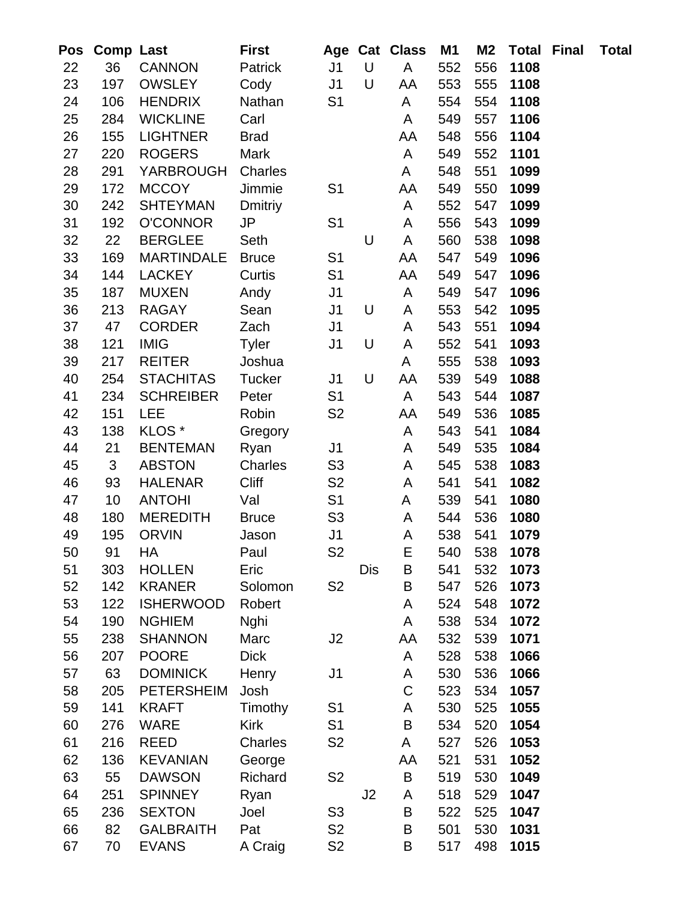| Pos      | <b>Comp Last</b> |                                   | First          |                |                | Age Cat Class | M1         | M <sub>2</sub> | <b>Total</b> | Final | <b>Total</b> |
|----------|------------------|-----------------------------------|----------------|----------------|----------------|---------------|------------|----------------|--------------|-------|--------------|
| 22       | 36               | <b>CANNON</b>                     | Patrick        | J <sub>1</sub> | $\bigcup$      | A             | 552        | 556            | 1108         |       |              |
| 23       | 197              | <b>OWSLEY</b>                     | Cody           | J <sub>1</sub> | U              | AA            | 553        | 555            | 1108         |       |              |
| 24       | 106              | <b>HENDRIX</b>                    | Nathan         | S <sub>1</sub> |                | A             | 554        | 554            | 1108         |       |              |
| 25       | 284              | <b>WICKLINE</b>                   | Carl           |                |                | A             | 549        | 557            | 1106         |       |              |
| 26       | 155              | <b>LIGHTNER</b>                   | <b>Brad</b>    |                |                | AA            | 548        | 556            | 1104         |       |              |
| 27       | 220              | <b>ROGERS</b>                     | Mark           |                |                | A             | 549        | 552            | 1101         |       |              |
| 28       | 291              | <b>YARBROUGH</b>                  | Charles        |                |                | A             | 548        | 551            | 1099         |       |              |
| 29       | 172              | <b>MCCOY</b>                      | Jimmie         | S <sub>1</sub> |                | AA            | 549        | 550            | 1099         |       |              |
| 30       | 242              | <b>SHTEYMAN</b>                   | <b>Dmitriy</b> |                |                | A             | 552        | 547            | 1099         |       |              |
| 31       | 192              | <b>O'CONNOR</b>                   | <b>JP</b>      | S <sub>1</sub> |                | A             | 556        | 543            | 1099         |       |              |
| 32       | 22               | <b>BERGLEE</b>                    | Seth           |                | U              | A             | 560        | 538            | 1098         |       |              |
| 33       | 169              | <b>MARTINDALE</b>                 | <b>Bruce</b>   | S <sub>1</sub> |                | AA            | 547        | 549            | 1096         |       |              |
| 34       | 144              | <b>LACKEY</b>                     | Curtis         | S <sub>1</sub> |                | AA            | 549        | 547            | 1096         |       |              |
| 35       | 187              | <b>MUXEN</b>                      | Andy           | J <sub>1</sub> |                | A             | 549        | 547            | 1096         |       |              |
| 36       | 213              | <b>RAGAY</b>                      | Sean           | J <sub>1</sub> | U              | A             | 553        | 542            | 1095         |       |              |
| 37       | 47               | <b>CORDER</b>                     | Zach           | J <sub>1</sub> |                | A             | 543        | 551            | 1094         |       |              |
| 38       | 121              | <b>IMIG</b>                       | <b>Tyler</b>   | J <sub>1</sub> | U              | A             | 552        | 541            | 1093         |       |              |
| 39       | 217              | <b>REITER</b>                     | Joshua         |                |                | A             | 555        | 538            | 1093         |       |              |
| 40       | 254              | <b>STACHITAS</b>                  | <b>Tucker</b>  | J <sub>1</sub> | U              | AA            | 539        | 549            | 1088         |       |              |
| 41       | 234              | <b>SCHREIBER</b>                  | Peter          | S <sub>1</sub> |                | A             | 543        | 544            | 1087         |       |              |
| 42       | 151              | <b>LEE</b>                        | Robin          | S <sub>2</sub> |                | AA            | 549        | 536            | 1085         |       |              |
| 43       | 138              | KLOS <sup>*</sup>                 | Gregory        |                |                | A             | 543        | 541            | 1084         |       |              |
| 44       | 21               | <b>BENTEMAN</b>                   | Ryan           | J <sub>1</sub> |                | A             | 549        | 535            | 1084         |       |              |
| 45       | 3                | <b>ABSTON</b>                     | Charles        | S <sub>3</sub> |                | A             | 545        | 538            | 1083         |       |              |
| 46       | 93               | <b>HALENAR</b>                    | <b>Cliff</b>   | S <sub>2</sub> |                | A             | 541        | 541            | 1082         |       |              |
| 47       | 10               | <b>ANTOHI</b>                     | Val            | S <sub>1</sub> |                | A             | 539        | 541            | 1080         |       |              |
| 48       | 180              | <b>MEREDITH</b>                   | <b>Bruce</b>   | S <sub>3</sub> |                | A             | 544        | 536            | 1080         |       |              |
| 49       | 195              | <b>ORVIN</b>                      | Jason          | J <sub>1</sub> |                | A             | 538        | 541            | 1079         |       |              |
| 50       | 91               | HA                                | Paul           | S <sub>2</sub> |                | E             | 540        | 538            | 1078         |       |              |
| 51       | 303              | <b>HOLLEN</b>                     | Eric           |                | Dis            | B             | 541        | 532            | 1073         |       |              |
| 52       | 142              | <b>KRANER</b><br><b>ISHERWOOD</b> | Solomon        | S <sub>2</sub> |                | B             | 547        | 526            | 1073         |       |              |
| 53<br>54 | 122<br>190       | <b>NGHIEM</b>                     | Robert<br>Nghi |                |                | A<br>A        | 524<br>538 | 548<br>534     | 1072<br>1072 |       |              |
| 55       | 238              | <b>SHANNON</b>                    | Marc           | J <sub>2</sub> |                | AA            | 532        | 539            | 1071         |       |              |
| 56       | 207              | <b>POORE</b>                      | <b>Dick</b>    |                |                | A             | 528        | 538            | 1066         |       |              |
| 57       | 63               | <b>DOMINICK</b>                   | Henry          | J1             |                | A             | 530        | 536            | 1066         |       |              |
| 58       | 205              | <b>PETERSHEIM</b>                 | Josh           |                |                | $\mathsf C$   | 523        | 534            | 1057         |       |              |
| 59       | 141              | <b>KRAFT</b>                      | Timothy        | S <sub>1</sub> |                | A             | 530        | 525            | 1055         |       |              |
| 60       | 276              | <b>WARE</b>                       | <b>Kirk</b>    | S <sub>1</sub> |                | B             | 534        | 520            | 1054         |       |              |
| 61       | 216              | REED                              | Charles        | S <sub>2</sub> |                | A             | 527        | 526            | 1053         |       |              |
| 62       | 136              | <b>KEVANIAN</b>                   | George         |                |                | AA            | 521        | 531            | 1052         |       |              |
| 63       | 55               | <b>DAWSON</b>                     | Richard        | S <sub>2</sub> |                | B             | 519        | 530            | 1049         |       |              |
| 64       | 251              | <b>SPINNEY</b>                    | Ryan           |                | J <sub>2</sub> | A             | 518        | 529            | 1047         |       |              |
| 65       | 236              | <b>SEXTON</b>                     | Joel           | S <sub>3</sub> |                | B             | 522        | 525            | 1047         |       |              |
| 66       | 82               | <b>GALBRAITH</b>                  | Pat            | S <sub>2</sub> |                | B             | 501        | 530            | 1031         |       |              |
| 67       | 70               | <b>EVANS</b>                      | A Craig        | S <sub>2</sub> |                | B             | 517        | 498            | 1015         |       |              |
|          |                  |                                   |                |                |                |               |            |                |              |       |              |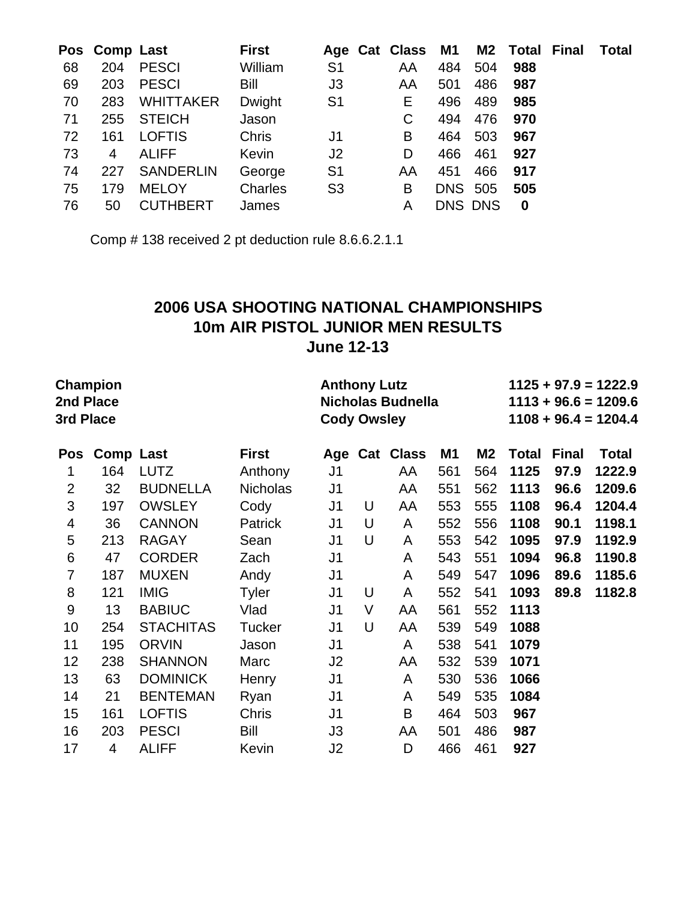|    | Pos Comp Last  |                  | <b>First</b> |                | Age Cat Class M1 |                |                | <b>M2 Total Final</b> | Total |
|----|----------------|------------------|--------------|----------------|------------------|----------------|----------------|-----------------------|-------|
| 68 | 204            | <b>PESCI</b>     | William      | S <sub>1</sub> | AA               | 484            | 504            | 988                   |       |
| 69 | 203            | <b>PESCI</b>     | Bill         | J3             | AA               | 501            | 486            | 987                   |       |
| 70 | 283            | <b>WHITTAKER</b> | Dwight       | S <sub>1</sub> | E.               | 496            | 489            | 985                   |       |
| 71 | 255            | <b>STEICH</b>    | Jason        |                | C                | 494            | 476            | 970                   |       |
| 72 | 161            | <b>LOFTIS</b>    | <b>Chris</b> | J1             | B                | 464            | 503            | 967                   |       |
| 73 | $\overline{4}$ | <b>ALIFF</b>     | Kevin        | J <sub>2</sub> | D                | 466            | 461            | 927                   |       |
| 74 | 227            | <b>SANDERLIN</b> | George       | S <sub>1</sub> | AA               | 451            | 466            | 917                   |       |
| 75 | 179            | <b>MELOY</b>     | Charles      | S <sub>3</sub> | B                | <b>DNS 505</b> |                | 505                   |       |
| 76 | 50             | <b>CUTHBERT</b>  | James        |                | A                |                | <b>DNS DNS</b> | $\bf{0}$              |       |

Comp # 138 received 2 pt deduction rule 8.6.6.2.1.1

### **2006 USA SHOOTING NATIONAL CHAMPIONSHIPS 10m AIR PISTOL JUNIOR MEN RESULTS June 12-13**

|                | <b>Champion</b><br>2nd Place<br>3rd Place |                  |                 | <b>Anthony Lutz</b><br><b>Cody Owsley</b> |   | Nicholas Budnella | $1125 + 97.9 = 1222.9$<br>$1113 + 96.6 = 1209.6$<br>$1108 + 96.4 = 1204.4$ |           |              |              |              |
|----------------|-------------------------------------------|------------------|-----------------|-------------------------------------------|---|-------------------|----------------------------------------------------------------------------|-----------|--------------|--------------|--------------|
| <b>Pos</b>     | <b>Comp Last</b>                          |                  | <b>First</b>    |                                           |   | Age Cat Class     | M1                                                                         | <b>M2</b> | <b>Total</b> | <b>Final</b> | <b>Total</b> |
| 1              | 164                                       | <b>LUTZ</b>      | Anthony         | J <sub>1</sub>                            |   | AA                | 561                                                                        | 564       | 1125         | 97.9         | 1222.9       |
| $\overline{2}$ | 32                                        | <b>BUDNELLA</b>  | <b>Nicholas</b> | J <sub>1</sub>                            |   | AA                | 551                                                                        | 562       | 1113         | 96.6         | 1209.6       |
| $\mathfrak{S}$ | 197                                       | <b>OWSLEY</b>    | Cody            | J <sub>1</sub>                            | U | AA                | 553                                                                        | 555       | 1108         | 96.4         | 1204.4       |
| $\overline{4}$ | 36                                        | <b>CANNON</b>    | Patrick         | J <sub>1</sub>                            | U | A                 | 552                                                                        | 556       | 1108         | 90.1         | 1198.1       |
| 5              | 213                                       | <b>RAGAY</b>     | Sean            | J <sub>1</sub>                            | U | A                 | 553                                                                        | 542       | 1095         | 97.9         | 1192.9       |
| 6              | 47                                        | <b>CORDER</b>    | Zach            | J <sub>1</sub>                            |   | A                 | 543                                                                        | 551       | 1094         | 96.8         | 1190.8       |
| 7              | 187                                       | <b>MUXEN</b>     | Andy            | J <sub>1</sub>                            |   | A                 | 549                                                                        | 547       | 1096         | 89.6         | 1185.6       |
| 8              | 121                                       | <b>IMIG</b>      | <b>Tyler</b>    | J <sub>1</sub>                            | U | A                 | 552                                                                        | 541       | 1093         | 89.8         | 1182.8       |
| 9              | 13                                        | <b>BABIUC</b>    | Vlad            | J <sub>1</sub>                            | V | AA                | 561                                                                        | 552       | 1113         |              |              |
| 10             | 254                                       | <b>STACHITAS</b> | <b>Tucker</b>   | J <sub>1</sub>                            | U | AA                | 539                                                                        | 549       | 1088         |              |              |
| 11             | 195                                       | <b>ORVIN</b>     | Jason           | J <sub>1</sub>                            |   | A                 | 538                                                                        | 541       | 1079         |              |              |
| 12             | 238                                       | <b>SHANNON</b>   | Marc            | J2                                        |   | AA                | 532                                                                        | 539       | 1071         |              |              |
| 13             | 63                                        | <b>DOMINICK</b>  | Henry           | J <sub>1</sub>                            |   | A                 | 530                                                                        | 536       | 1066         |              |              |
| 14             | 21                                        | <b>BENTEMAN</b>  | Ryan            | J <sub>1</sub>                            |   | A                 | 549                                                                        | 535       | 1084         |              |              |
| 15             | 161                                       | <b>LOFTIS</b>    | <b>Chris</b>    | J <sub>1</sub>                            |   | B                 | 464                                                                        | 503       | 967          |              |              |
| 16             | 203                                       | <b>PESCI</b>     | Bill            | J3                                        |   | AA                | 501                                                                        | 486       | 987          |              |              |
| 17             | 4                                         | <b>ALIFF</b>     | Kevin           | J <sub>2</sub>                            |   | D                 | 466                                                                        | 461       | 927          |              |              |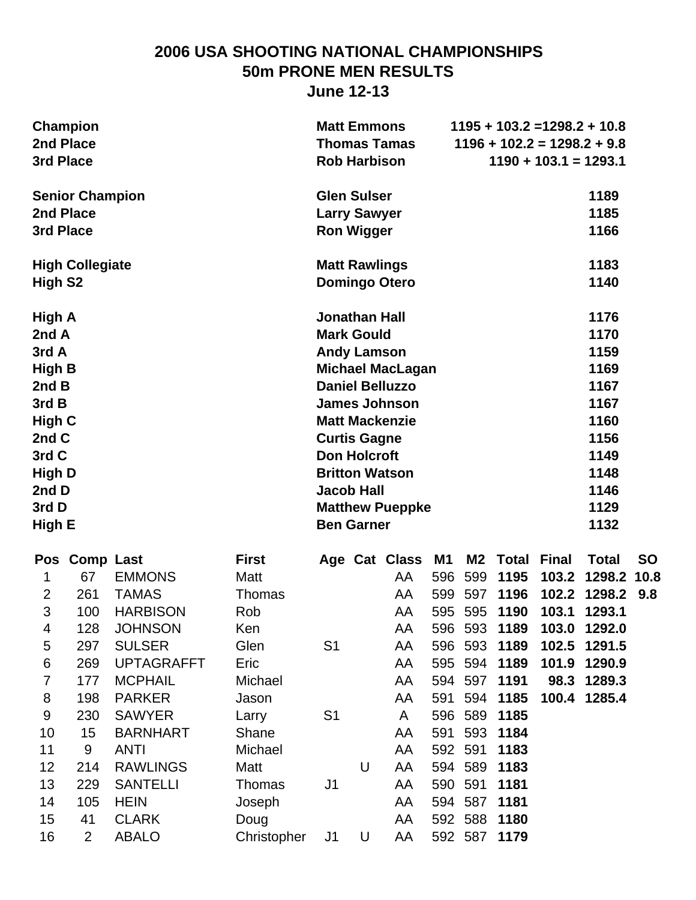# **2006 USA SHOOTING NATIONAL CHAMPIONSHIPS 50m PRONE MEN RESULTS**

**June 12-13**

| <b>Champion</b><br>2nd Place<br>3rd Place<br><b>Senior Champion</b><br>2nd Place<br>3rd Place<br><b>High Collegiate</b><br>High S <sub>2</sub><br>High A |                                          |                                                                       |                                              |                | $1195 + 103.2 = 1298.2 + 10.8$<br><b>Matt Emmons</b><br><b>Thomas Tamas</b><br>$1196 + 102.2 = 1298.2 + 9.8$<br><b>Rob Harbison</b><br>$1190 + 103.1 = 1293.1$<br><b>Glen Sulser</b><br>1189<br><b>Larry Sawyer</b><br>1185<br><b>Ron Wigger</b><br>1166<br>1183<br><b>Matt Rawlings</b><br>1140<br><b>Domingo Otero</b> |                                                                                                                                                       |                          |                           |                                                                        |                |                                                                                                      |           |
|----------------------------------------------------------------------------------------------------------------------------------------------------------|------------------------------------------|-----------------------------------------------------------------------|----------------------------------------------|----------------|--------------------------------------------------------------------------------------------------------------------------------------------------------------------------------------------------------------------------------------------------------------------------------------------------------------------------|-------------------------------------------------------------------------------------------------------------------------------------------------------|--------------------------|---------------------------|------------------------------------------------------------------------|----------------|------------------------------------------------------------------------------------------------------|-----------|
| 2nd A<br>3rd A<br>High B<br>2nd B<br>3rd B<br>High C<br>2nd C<br>3rd C<br><b>High D</b><br>2nd D<br>3rd D<br>High E                                      |                                          |                                                                       |                                              |                | <b>Jonathan Hall</b><br><b>Mark Gould</b><br><b>Andy Lamson</b><br><b>Curtis Gagne</b><br><b>Don Holcroft</b><br><b>Jacob Hall</b><br><b>Ben Garner</b>                                                                                                                                                                  | <b>Michael MacLagan</b><br><b>Daniel Belluzzo</b><br><b>James Johnson</b><br><b>Matt Mackenzie</b><br><b>Britton Watson</b><br><b>Matthew Pueppke</b> |                          |                           |                                                                        |                | 1176<br>1170<br>1159<br>1169<br>1167<br>1167<br>1160<br>1156<br>1149<br>1148<br>1146<br>1129<br>1132 |           |
| 1<br>$\overline{2}$<br>3<br>4                                                                                                                            | Pos Comp Last<br>67<br>261<br>100<br>128 | <b>EMMONS</b><br><b>TAMAS</b><br><b>HARBISON</b><br><b>JOHNSON</b>    | <b>First</b><br>Matt<br>Thomas<br>Rob<br>Ken |                |                                                                                                                                                                                                                                                                                                                          | Age Cat Class M1<br>AA<br>AA<br>AA<br>AA                                                                                                              | 596<br>599               | M2<br>599                 | <b>Total Final</b><br>1195<br>597 1196<br>595 595 1190<br>596 593 1189 | 103.2<br>103.1 | <b>Total</b><br>1298.2 10.8<br>102.2 1298.2 9.8<br>1293.1<br>103.0 1292.0                            | <b>SO</b> |
| 5<br>6<br>$\overline{7}$<br>8                                                                                                                            | 297<br>269<br>177<br>198                 | <b>SULSER</b><br><b>UPTAGRAFFT</b><br><b>MCPHAIL</b><br><b>PARKER</b> | Glen<br>Eric<br>Michael<br>Jason             | S <sub>1</sub> |                                                                                                                                                                                                                                                                                                                          | AA<br>AA<br>AA<br>AA                                                                                                                                  | 594<br>591               | 594                       | 596 593 1189<br>595 594 1189<br>597 1191<br>1185                       | 101.9          | 102.5 1291.5<br>1290.9<br>98.3 1289.3<br>100.4 1285.4                                                |           |
| $9\,$<br>10<br>11<br>12                                                                                                                                  | 230<br>15<br>9<br>214                    | <b>SAWYER</b><br><b>BARNHART</b><br><b>ANTI</b><br><b>RAWLINGS</b>    | Larry<br>Shane<br>Michael<br>Matt            | S <sub>1</sub> | U                                                                                                                                                                                                                                                                                                                        | A<br>AA<br>AA<br>AA                                                                                                                                   | 596<br>591<br>592<br>594 | 589<br>593<br>591<br>589  | 1185<br>1184<br>1183<br>1183                                           |                |                                                                                                      |           |
| 13<br>14<br>15                                                                                                                                           | 229<br>105<br>41                         | <b>SANTELLI</b><br><b>HEIN</b><br><b>CLARK</b>                        | <b>Thomas</b><br>Joseph<br>Doug              | J <sub>1</sub> |                                                                                                                                                                                                                                                                                                                          | AA<br>AA<br>AA                                                                                                                                        | 590                      | 591<br>594 587<br>592 588 | 1181<br>1181<br>1180                                                   |                |                                                                                                      |           |
| 16                                                                                                                                                       | $\overline{2}$                           | <b>ABALO</b>                                                          | Christopher                                  | J <sub>1</sub> | U                                                                                                                                                                                                                                                                                                                        | AA                                                                                                                                                    |                          | 592 587                   | 1179                                                                   |                |                                                                                                      |           |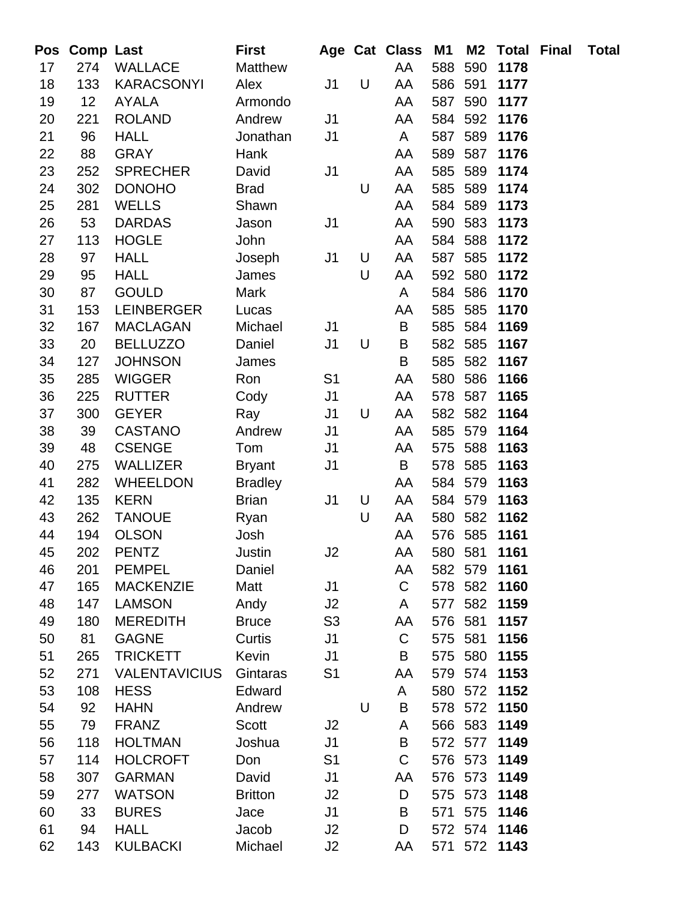| Pos      | <b>Comp Last</b> |                                   | <b>First</b>         |                      |   | Age Cat Class M1  |         | M2             | Total        | Final | <b>Total</b> |
|----------|------------------|-----------------------------------|----------------------|----------------------|---|-------------------|---------|----------------|--------------|-------|--------------|
| 17       | 274              | <b>WALLACE</b>                    | <b>Matthew</b>       |                      |   | AA                | 588     | 590            | 1178         |       |              |
| 18       | 133              | <b>KARACSONYI</b>                 | Alex                 | J <sub>1</sub>       | U | AA                | 586     | 591            | 1177         |       |              |
| 19       | 12               | <b>AYALA</b>                      | Armondo              |                      |   | AA                | 587     | 590            | 1177         |       |              |
| 20       | 221              | <b>ROLAND</b>                     | Andrew               | J <sub>1</sub>       |   | AA                |         | 584 592        | 1176         |       |              |
| 21       | 96               | <b>HALL</b>                       | Jonathan             | J <sub>1</sub>       |   | A                 | 587     | 589            | 1176         |       |              |
| 22       | 88               | <b>GRAY</b>                       | Hank                 |                      |   | AA                | 589     | 587            | 1176         |       |              |
| 23       | 252              | <b>SPRECHER</b>                   | David                | J <sub>1</sub>       |   | AA                | 585     | 589            | 1174         |       |              |
| 24       | 302              | <b>DONOHO</b>                     | <b>Brad</b>          |                      | U | AA                | 585     | 589            | 1174         |       |              |
| 25       | 281              | <b>WELLS</b>                      | Shawn                |                      |   | AA                | 584     | 589            | 1173         |       |              |
| 26       | 53               | <b>DARDAS</b>                     | Jason                | J <sub>1</sub>       |   | AA                | 590     | 583            | 1173         |       |              |
| 27       | 113              | <b>HOGLE</b>                      | John                 |                      |   | AA                | 584     | 588            | 1172         |       |              |
| 28       | 97               | <b>HALL</b>                       | Joseph               | J <sub>1</sub>       | U | AA                | 587     | 585            | 1172         |       |              |
| 29       | 95               | <b>HALL</b>                       | James                |                      | U | AA                | 592     | 580            | 1172         |       |              |
| 30       | 87               | <b>GOULD</b>                      | <b>Mark</b>          |                      |   | A                 | 584     | 586            | 1170         |       |              |
| 31       | 153              | <b>LEINBERGER</b>                 | Lucas                |                      |   | AA                | 585     | 585            | 1170         |       |              |
| 32       | 167              | <b>MACLAGAN</b>                   | Michael              | J <sub>1</sub>       |   | B                 | 585     | 584            | 1169         |       |              |
| 33       | 20               | <b>BELLUZZO</b>                   | Daniel               | J <sub>1</sub>       | U | B                 | 582     | 585            | 1167         |       |              |
| 34       | 127              | <b>JOHNSON</b>                    | James                |                      |   | B                 | 585     | 582            | 1167         |       |              |
| 35       | 285              | <b>WIGGER</b>                     | Ron                  | S <sub>1</sub>       |   | AA                | 580     | 586            | 1166         |       |              |
| 36       | 225              | <b>RUTTER</b>                     | Cody                 | J <sub>1</sub>       |   | AA                | 578     | 587            | 1165         |       |              |
| 37       | 300              | <b>GEYER</b>                      | Ray                  | J <sub>1</sub>       | U | AA                | 582     | 582            | 1164         |       |              |
| 38       | 39               | <b>CASTANO</b>                    | Andrew               | J <sub>1</sub>       |   | AA                | 585     | 579            | 1164         |       |              |
| 39       | 48               | <b>CSENGE</b>                     | Tom                  | J <sub>1</sub>       |   | AA                | 575     | 588            | 1163         |       |              |
| 40       | 275              | <b>WALLIZER</b>                   | <b>Bryant</b>        | J <sub>1</sub>       |   | B                 | 578     | 585            | 1163         |       |              |
| 41       | 282              | <b>WHEELDON</b>                   | <b>Bradley</b>       |                      |   | AA                | 584     | 579            | 1163         |       |              |
| 42       | 135              | <b>KERN</b>                       | <b>Brian</b>         | J <sub>1</sub>       | U | AA                | 584 579 |                | 1163         |       |              |
| 43       | 262              | <b>TANOUE</b>                     | Ryan                 |                      | U | AA                | 580     | 582            | 1162         |       |              |
| 44       | 194              | <b>OLSON</b>                      | Josh                 |                      |   | AA                |         | 576 585        | 1161         |       |              |
| 45       | 202              | <b>PENTZ</b>                      | Justin               | J2                   |   | AA                | 580 581 |                | 1161         |       |              |
| 46<br>47 | 201<br>165       | <b>PEMPEL</b><br><b>MACKENZIE</b> | Daniel               | J <sub>1</sub>       |   | AA<br>$\mathsf C$ | 582     | 579<br>578 582 | 1161<br>1160 |       |              |
| 48       | 147              | <b>LAMSON</b>                     | Matt                 |                      |   | A                 |         | 577 582        | 1159         |       |              |
| 49       | 180              | <b>MEREDITH</b>                   | Andy<br><b>Bruce</b> | J2<br>S <sub>3</sub> |   | AA                | 576     | 581            | 1157         |       |              |
| 50       | 81               | <b>GAGNE</b>                      | Curtis               | J <sub>1</sub>       |   | $\mathsf C$       | 575     | 581            | 1156         |       |              |
| 51       | 265              | <b>TRICKETT</b>                   | Kevin                | J <sub>1</sub>       |   | B                 | 575     | 580            | 1155         |       |              |
| 52       | 271              | <b>VALENTAVICIUS</b>              | Gintaras             | S <sub>1</sub>       |   | AA                | 579     | 574            | 1153         |       |              |
| 53       | 108              | <b>HESS</b>                       | Edward               |                      |   | A                 | 580     | 572            | 1152         |       |              |
| 54       | 92               | <b>HAHN</b>                       | Andrew               |                      | U | B                 | 578     | 572            | 1150         |       |              |
| 55       | 79               | <b>FRANZ</b>                      | Scott                | J2                   |   | A                 |         | 566 583        | 1149         |       |              |
| 56       | 118              | <b>HOLTMAN</b>                    | Joshua               | J <sub>1</sub>       |   | B                 | 572     | 577            | 1149         |       |              |
| 57       | 114              | <b>HOLCROFT</b>                   | Don                  | S <sub>1</sub>       |   | $\mathsf{C}$      |         | 576 573        | 1149         |       |              |
| 58       | 307              | <b>GARMAN</b>                     | David                | J <sub>1</sub>       |   | AA                | 576     | 573            | 1149         |       |              |
| 59       | 277              | <b>WATSON</b>                     | <b>Britton</b>       | J2                   |   | D                 | 575     | 573            | 1148         |       |              |
| 60       | 33               | <b>BURES</b>                      | Jace                 | J <sub>1</sub>       |   | B                 | 571     | 575            | 1146         |       |              |
| 61       | 94               | <b>HALL</b>                       | Jacob                | J2                   |   | D                 |         | 572 574        | 1146         |       |              |
| 62       | 143              | <b>KULBACKI</b>                   | Michael              | J2                   |   | AA                |         | 571 572        | 1143         |       |              |
|          |                  |                                   |                      |                      |   |                   |         |                |              |       |              |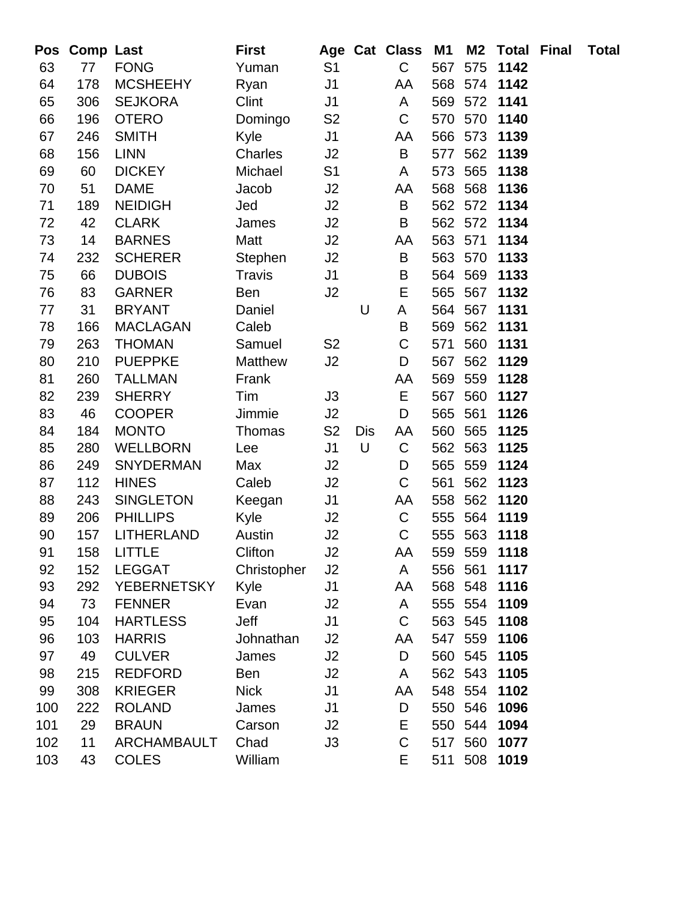| Pos | <b>Comp Last</b> |                    | <b>First</b>  |                |            | Age Cat Class | M1  | <b>M2</b> | <b>Total Final</b> | <b>Total</b> |
|-----|------------------|--------------------|---------------|----------------|------------|---------------|-----|-----------|--------------------|--------------|
| 63  | 77               | <b>FONG</b>        | Yuman         | S <sub>1</sub> |            | C             | 567 | 575       | 1142               |              |
| 64  | 178              | <b>MCSHEEHY</b>    | Ryan          | J <sub>1</sub> |            | AA            | 568 | 574       | 1142               |              |
| 65  | 306              | <b>SEJKORA</b>     | Clint         | J <sub>1</sub> |            | A             | 569 | 572       | 1141               |              |
| 66  | 196              | <b>OTERO</b>       | Domingo       | S <sub>2</sub> |            | $\mathsf C$   | 570 | 570       | 1140               |              |
| 67  | 246              | <b>SMITH</b>       | Kyle          | J <sub>1</sub> |            | AA            | 566 | 573       | 1139               |              |
| 68  | 156              | <b>LINN</b>        | Charles       | J2             |            | B             | 577 | 562       | 1139               |              |
| 69  | 60               | <b>DICKEY</b>      | Michael       | S <sub>1</sub> |            | A             | 573 | 565       | 1138               |              |
| 70  | 51               | <b>DAME</b>        | Jacob         | J2             |            | AA            | 568 | 568       | 1136               |              |
| 71  | 189              | <b>NEIDIGH</b>     | Jed           | J2             |            | B             | 562 | 572       | 1134               |              |
| 72  | 42               | <b>CLARK</b>       | James         | J2             |            | B             |     | 562 572   | 1134               |              |
| 73  | 14               | <b>BARNES</b>      | Matt          | J2             |            | AA            | 563 | 571       | 1134               |              |
| 74  | 232              | <b>SCHERER</b>     | Stephen       | J2             |            | B             |     | 563 570   | 1133               |              |
| 75  | 66               | <b>DUBOIS</b>      | <b>Travis</b> | J <sub>1</sub> |            | B             | 564 | 569       | 1133               |              |
| 76  | 83               | <b>GARNER</b>      | Ben           | J2             |            | E             | 565 | 567       | 1132               |              |
| 77  | 31               | <b>BRYANT</b>      | Daniel        |                | U          | A             | 564 | 567       | 1131               |              |
| 78  | 166              | <b>MACLAGAN</b>    | Caleb         |                |            | B             | 569 | 562       | 1131               |              |
| 79  | 263              | <b>THOMAN</b>      | Samuel        | S <sub>2</sub> |            | C             | 571 | 560       | 1131               |              |
| 80  | 210              | <b>PUEPPKE</b>     | Matthew       | J2             |            | D             | 567 | 562       | 1129               |              |
| 81  | 260              | <b>TALLMAN</b>     | Frank         |                |            | AA            | 569 | 559       | 1128               |              |
| 82  | 239              | <b>SHERRY</b>      | Tim           | J3             |            | E             | 567 | 560       | 1127               |              |
| 83  | 46               | <b>COOPER</b>      | Jimmie        | J2             |            | D             | 565 | 561       | 1126               |              |
| 84  | 184              | <b>MONTO</b>       | Thomas        | S <sub>2</sub> | <b>Dis</b> | AA            | 560 | 565       | 1125               |              |
| 85  | 280              | <b>WELLBORN</b>    | Lee           | J <sub>1</sub> | U          | $\mathsf C$   | 562 | 563       | 1125               |              |
| 86  | 249              | <b>SNYDERMAN</b>   | Max           | J2             |            | D             | 565 | 559       | 1124               |              |
| 87  | 112              | <b>HINES</b>       | Caleb         | J2             |            | C             | 561 | 562       | 1123               |              |
| 88  | 243              | <b>SINGLETON</b>   | Keegan        | J <sub>1</sub> |            | AA            | 558 | 562       | 1120               |              |
| 89  | 206              | <b>PHILLIPS</b>    | Kyle          | J2             |            | $\mathsf C$   | 555 | 564       | 1119               |              |
| 90  | 157              | <b>LITHERLAND</b>  | Austin        | J2             |            | $\mathsf C$   |     | 555 563   | 1118               |              |
| 91  | 158              | LITTLE             | Clifton       | J2             |            | AA            |     |           | 559 559 1118       |              |
| 92  | 152              | <b>LEGGAT</b>      | Christopher   | J2             |            | A             | 556 | 561       | 1117               |              |
| 93  | 292              | <b>YEBERNETSKY</b> | Kyle          | J <sub>1</sub> |            | AA            | 568 | 548       | 1116               |              |
| 94  | 73               | <b>FENNER</b>      | Evan          | J2             |            | A             |     | 555 554   | 1109               |              |
| 95  | 104              | <b>HARTLESS</b>    | Jeff          | J <sub>1</sub> |            | $\mathsf C$   |     | 563 545   | 1108               |              |
| 96  | 103              | <b>HARRIS</b>      | Johnathan     | J2             |            | AA            | 547 | 559       | 1106               |              |
| 97  | 49               | <b>CULVER</b>      | James         | J <sub>2</sub> |            | D             | 560 | 545       | 1105               |              |
| 98  | 215              | <b>REDFORD</b>     | Ben           | J2             |            | A             |     | 562 543   | 1105               |              |
| 99  | 308              | <b>KRIEGER</b>     | <b>Nick</b>   | J <sub>1</sub> |            | AA            | 548 | 554       | 1102               |              |
| 100 | 222              | <b>ROLAND</b>      | James         | J <sub>1</sub> |            | D             | 550 | 546       | 1096               |              |
| 101 | 29               | <b>BRAUN</b>       | Carson        | J2             |            | E             |     | 550 544   | 1094               |              |
| 102 | 11               | <b>ARCHAMBAULT</b> | Chad          | J3             |            | C             | 517 | 560       | 1077               |              |
| 103 | 43               | <b>COLES</b>       | William       |                |            | E             | 511 | 508       | 1019               |              |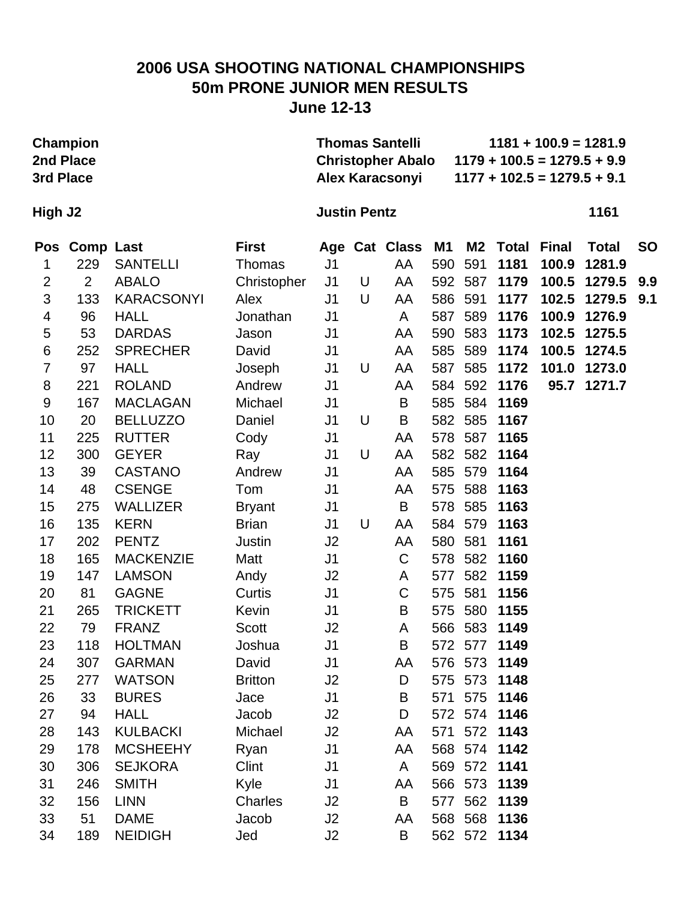### **2006 USA SHOOTING NATIONAL CHAMPIONSHIPS 50m PRONE JUNIOR MEN RESULTS June 12-13**

| 2nd Place<br>3rd Place | Champion         |                   |                |                     |   | <b>Thomas Santelli</b><br><b>Christopher Abalo</b><br>Alex Karacsonyi |     |         |              |              | $1181 + 100.9 = 1281.9$<br>$1179 + 100.5 = 1279.5 + 9.9$<br>$1177 + 102.5 = 1279.5 + 9.1$ |           |
|------------------------|------------------|-------------------|----------------|---------------------|---|-----------------------------------------------------------------------|-----|---------|--------------|--------------|-------------------------------------------------------------------------------------------|-----------|
| High J2                |                  |                   |                | <b>Justin Pentz</b> |   |                                                                       |     |         |              |              | 1161                                                                                      |           |
| Pos                    | <b>Comp Last</b> |                   | <b>First</b>   |                     |   | Age Cat Class                                                         | M1  | M2      | <b>Total</b> | <b>Final</b> | <b>Total</b>                                                                              | <b>SO</b> |
| 1                      | 229              | <b>SANTELLI</b>   | Thomas         | J <sub>1</sub>      |   | AA                                                                    | 590 | 591     | 1181         | 100.9        | 1281.9                                                                                    |           |
| $\overline{2}$         | $\overline{2}$   | <b>ABALO</b>      | Christopher    | J <sub>1</sub>      | U | AA                                                                    | 592 | 587     | 1179         | 100.5        | 1279.5                                                                                    | 9.9       |
| 3                      | 133              | <b>KARACSONYI</b> | Alex           | J <sub>1</sub>      | U | AA                                                                    | 586 | 591     | 1177         | 102.5        | 1279.5                                                                                    | 9.1       |
| 4                      | 96               | <b>HALL</b>       | Jonathan       | J <sub>1</sub>      |   | A                                                                     | 587 | 589     | 1176         | 100.9        | 1276.9                                                                                    |           |
| 5                      | 53               | <b>DARDAS</b>     | Jason          | J <sub>1</sub>      |   | AA                                                                    | 590 | 583     | 1173         | 102.5        | 1275.5                                                                                    |           |
| $\,6$                  | 252              | <b>SPRECHER</b>   | David          | J <sub>1</sub>      |   | AA                                                                    | 585 | 589     | 1174         | 100.5        | 1274.5                                                                                    |           |
| $\overline{7}$         | 97               | <b>HALL</b>       | Joseph         | J <sub>1</sub>      | U | AA                                                                    | 587 | 585     | 1172         | 101.0        | 1273.0                                                                                    |           |
| 8                      | 221              | <b>ROLAND</b>     | Andrew         | J <sub>1</sub>      |   | AA                                                                    | 584 |         | 592 1176     | 95.7         | 1271.7                                                                                    |           |
| $9\,$                  | 167              | <b>MACLAGAN</b>   | Michael        | J <sub>1</sub>      |   | B                                                                     | 585 | 584     | 1169         |              |                                                                                           |           |
| 10                     | 20               | <b>BELLUZZO</b>   | Daniel         | J <sub>1</sub>      | U | В                                                                     |     | 582 585 | 1167         |              |                                                                                           |           |
| 11                     | 225              | <b>RUTTER</b>     | Cody           | J <sub>1</sub>      |   | AA                                                                    | 578 | 587     | 1165         |              |                                                                                           |           |
| 12                     | 300              | <b>GEYER</b>      | Ray            | J <sub>1</sub>      | U | AA                                                                    |     | 582 582 | 1164         |              |                                                                                           |           |
| 13                     | 39               | <b>CASTANO</b>    | Andrew         | J <sub>1</sub>      |   | AA                                                                    | 585 | 579     | 1164         |              |                                                                                           |           |
| 14                     | 48               | <b>CSENGE</b>     | Tom            | J <sub>1</sub>      |   | AA                                                                    | 575 | 588     | 1163         |              |                                                                                           |           |
| 15                     | 275              | <b>WALLIZER</b>   | <b>Bryant</b>  | J1                  |   | B                                                                     | 578 | 585     | 1163         |              |                                                                                           |           |
| 16                     | 135              | <b>KERN</b>       | <b>Brian</b>   | J <sub>1</sub>      | U | AA                                                                    | 584 | 579     | 1163         |              |                                                                                           |           |
| 17                     | 202              | <b>PENTZ</b>      | Justin         | J2                  |   | AA                                                                    | 580 | 581     | 1161         |              |                                                                                           |           |
| 18                     | 165              | <b>MACKENZIE</b>  | Matt           | J <sub>1</sub>      |   | C                                                                     | 578 | 582     | 1160         |              |                                                                                           |           |
| 19                     | 147              | <b>LAMSON</b>     | Andy           | J2                  |   | A                                                                     | 577 | 582     | 1159         |              |                                                                                           |           |
| 20                     | 81               | <b>GAGNE</b>      | Curtis         | J <sub>1</sub>      |   | C                                                                     | 575 | 581     | 1156         |              |                                                                                           |           |
| 21                     | 265              | <b>TRICKETT</b>   | Kevin          | J1                  |   | B                                                                     | 575 | 580     | 1155         |              |                                                                                           |           |
| 22                     | 79               | <b>FRANZ</b>      | <b>Scott</b>   | J <sub>2</sub>      |   | A                                                                     |     | 566 583 | 1149         |              |                                                                                           |           |
| 23                     | 118              | <b>HOLTMAN</b>    | Joshua         | J1                  |   | B                                                                     |     |         | 572 577 1149 |              |                                                                                           |           |
| 24                     | 307              | <b>GARMAN</b>     | David          | J1                  |   | AA                                                                    |     |         | 576 573 1149 |              |                                                                                           |           |
| 25                     | 277              | <b>WATSON</b>     | <b>Britton</b> | J2                  |   | D                                                                     |     |         | 575 573 1148 |              |                                                                                           |           |
| 26                     | 33               | <b>BURES</b>      | Jace           | J <sub>1</sub>      |   | В                                                                     |     | 571 575 | 1146         |              |                                                                                           |           |
| 27                     | 94               | <b>HALL</b>       | Jacob          | J2                  |   | D                                                                     |     |         | 572 574 1146 |              |                                                                                           |           |
| 28                     | 143              | <b>KULBACKI</b>   | Michael        | J2                  |   | AA                                                                    | 571 |         | 572 1143     |              |                                                                                           |           |
| 29                     | 178              | <b>MCSHEEHY</b>   | Ryan           | J <sub>1</sub>      |   | AA                                                                    |     |         | 568 574 1142 |              |                                                                                           |           |
| 30                     | 306              | <b>SEJKORA</b>    | Clint          | J <sub>1</sub>      |   | A                                                                     |     |         | 569 572 1141 |              |                                                                                           |           |
| 31                     | 246              | <b>SMITH</b>      | Kyle           | J <sub>1</sub>      |   | AA                                                                    |     | 566 573 | 1139         |              |                                                                                           |           |
| 32                     | 156              | <b>LINN</b>       | Charles        | J2                  |   | B                                                                     | 577 | 562     | 1139         |              |                                                                                           |           |
| 33                     | 51               | <b>DAME</b>       | Jacob          | J2                  |   | AA                                                                    |     |         | 568 568 1136 |              |                                                                                           |           |
| 34                     | 189              | <b>NEIDIGH</b>    | Jed            | J2                  |   | B                                                                     |     |         | 562 572 1134 |              |                                                                                           |           |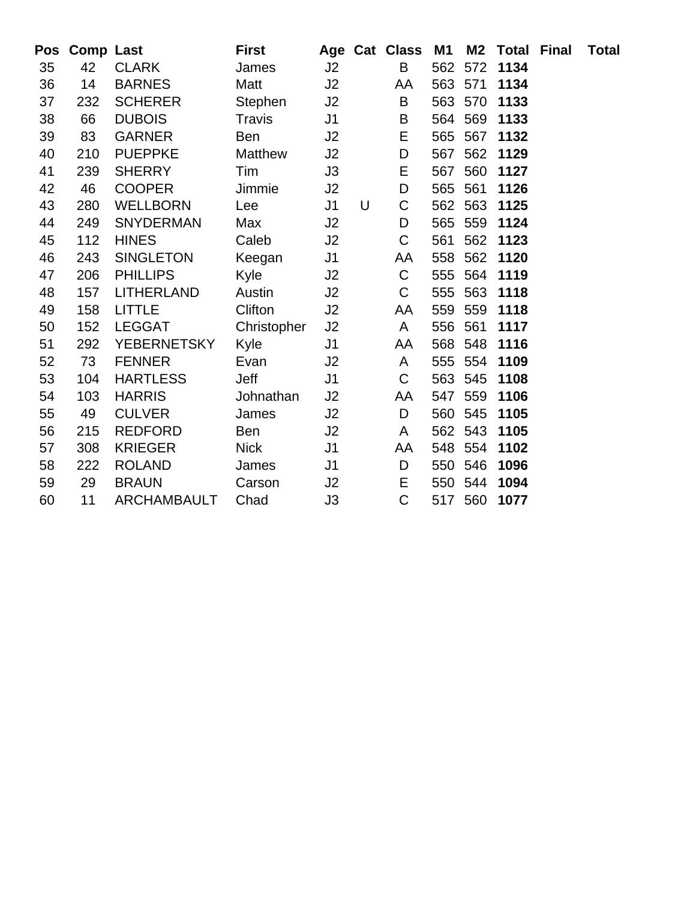| Pos | <b>Comp Last</b> |                    | <b>First</b>   |                |   | Age Cat Class | M1      | M2      | <b>Total Final</b> | <b>Total</b> |
|-----|------------------|--------------------|----------------|----------------|---|---------------|---------|---------|--------------------|--------------|
| 35  | 42               | <b>CLARK</b>       | James          | J2             |   | B             | 562     | 572     | 1134               |              |
| 36  | 14               | <b>BARNES</b>      | Matt           | J2             |   | AA            | 563 571 |         | 1134               |              |
| 37  | 232              | <b>SCHERER</b>     | Stephen        | J2             |   | B             | 563 570 |         | 1133               |              |
| 38  | 66               | <b>DUBOIS</b>      | <b>Travis</b>  | J <sub>1</sub> |   | B             | 564     | 569     | 1133               |              |
| 39  | 83               | <b>GARNER</b>      | Ben            | J2             |   | E             | 565     | 567     | 1132               |              |
| 40  | 210              | <b>PUEPPKE</b>     | <b>Matthew</b> | J2             |   | D             | 567     | 562     | 1129               |              |
| 41  | 239              | <b>SHERRY</b>      | Tim            | J3             |   | E             | 567     | 560     | 1127               |              |
| 42  | 46               | <b>COOPER</b>      | Jimmie         | J2             |   | D             | 565     | 561     | 1126               |              |
| 43  | 280              | <b>WELLBORN</b>    | Lee            | J <sub>1</sub> | U | C             | 562     | 563     | 1125               |              |
| 44  | 249              | <b>SNYDERMAN</b>   | Max            | J2             |   | D             | 565     | 559     | 1124               |              |
| 45  | 112              | <b>HINES</b>       | Caleb          | J2             |   | $\mathsf C$   | 561     | 562     | 1123               |              |
| 46  | 243              | <b>SINGLETON</b>   | Keegan         | J <sub>1</sub> |   | AA            | 558     | 562     | 1120               |              |
| 47  | 206              | <b>PHILLIPS</b>    | Kyle           | J <sub>2</sub> |   | $\mathsf C$   | 555     | 564     | 1119               |              |
| 48  | 157              | <b>LITHERLAND</b>  | Austin         | J2             |   | C             | 555     | 563     | 1118               |              |
| 49  | 158              | <b>LITTLE</b>      | Clifton        | J2             |   | AA            | 559     | 559     | 1118               |              |
| 50  | 152              | <b>LEGGAT</b>      | Christopher    | J2             |   | $\mathsf{A}$  | 556     | 561     | 1117               |              |
| 51  | 292              | <b>YEBERNETSKY</b> | Kyle           | J <sub>1</sub> |   | AA            | 568     | 548     | 1116               |              |
| 52  | 73               | <b>FENNER</b>      | Evan           | J2             |   | A             | 555     | 554     | 1109               |              |
| 53  | 104              | <b>HARTLESS</b>    | Jeff           | J <sub>1</sub> |   | $\mathsf C$   | 563     | 545     | 1108               |              |
| 54  | 103              | <b>HARRIS</b>      | Johnathan      | J <sub>2</sub> |   | AA            | 547     | 559     | 1106               |              |
| 55  | 49               | <b>CULVER</b>      | James          | J2             |   | D             | 560     | 545     | 1105               |              |
| 56  | 215              | <b>REDFORD</b>     | <b>Ben</b>     | J2             |   | A             | 562     | 543     | 1105               |              |
| 57  | 308              | <b>KRIEGER</b>     | <b>Nick</b>    | J <sub>1</sub> |   | AA            |         | 548 554 | 1102               |              |
| 58  | 222              | <b>ROLAND</b>      | James          | J <sub>1</sub> |   | D             | 550     | 546     | 1096               |              |
| 59  | 29               | <b>BRAUN</b>       | Carson         | J2             |   | E             | 550     | 544     | 1094               |              |
| 60  | 11               | <b>ARCHAMBAULT</b> | Chad           | J3             |   | C             | 517     | 560     | 1077               |              |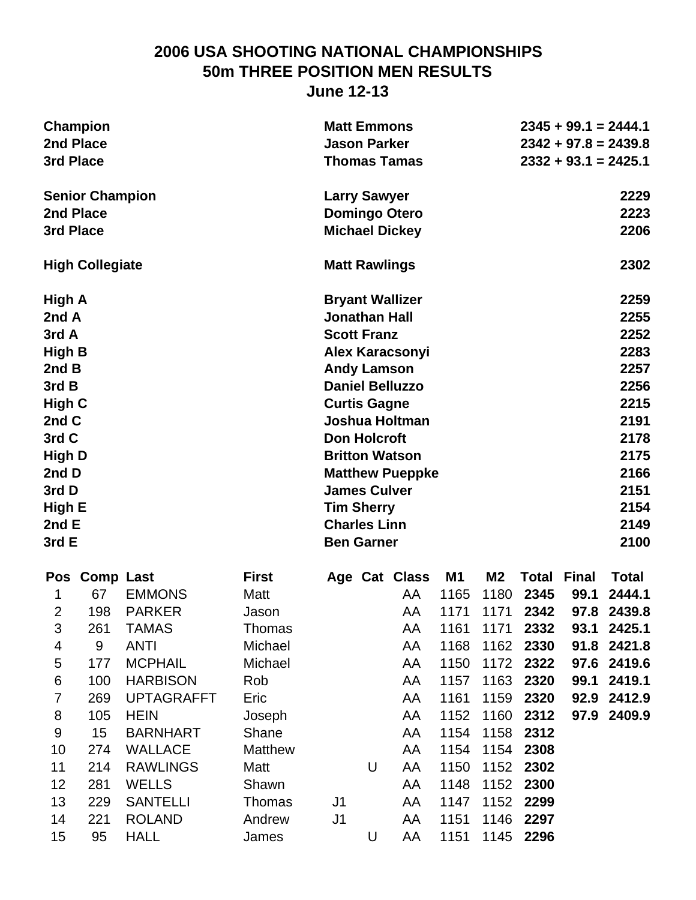#### **2006 USA SHOOTING NATIONAL CHAMPIONSHIPS 50m THREE POSITION MEN RESULTS June 12-13**

| Champion               | <b>Matt Emmons</b>     | $2345 + 99.1 = 2444.1$ |
|------------------------|------------------------|------------------------|
| 2nd Place              | <b>Jason Parker</b>    | $2342 + 97.8 = 2439.8$ |
| 3rd Place              | <b>Thomas Tamas</b>    | $2332 + 93.1 = 2425.1$ |
| <b>Senior Champion</b> | <b>Larry Sawyer</b>    | 2229                   |
| 2nd Place              | <b>Domingo Otero</b>   | 2223                   |
| 3rd Place              | <b>Michael Dickey</b>  | 2206                   |
| <b>High Collegiate</b> | <b>Matt Rawlings</b>   | 2302                   |
| High A                 | <b>Bryant Wallizer</b> | 2259                   |
| 2nd A                  | <b>Jonathan Hall</b>   | 2255                   |
| 3rd A                  | <b>Scott Franz</b>     | 2252                   |
| High B                 | <b>Alex Karacsonyi</b> | 2283                   |
| 2nd B                  | <b>Andy Lamson</b>     | 2257                   |
| 3rd B                  | <b>Daniel Belluzzo</b> | 2256                   |
| High C                 | <b>Curtis Gagne</b>    | 2215                   |
| 2nd C                  | Joshua Holtman         | 2191                   |
| 3rd C                  | <b>Don Holcroft</b>    | 2178                   |
| High D                 | <b>Britton Watson</b>  | 2175                   |
| 2nd D                  | <b>Matthew Pueppke</b> | 2166                   |
| 3rd D                  | <b>James Culver</b>    | 2151                   |
| High E                 | <b>Tim Sherry</b>      | 2154                   |

|                | Pos Comp Last |                   | <b>First</b>   |                |   | Age Cat Class | M1   | M <sub>2</sub> | <b>Total Final</b> |      | Total       |
|----------------|---------------|-------------------|----------------|----------------|---|---------------|------|----------------|--------------------|------|-------------|
|                | 67            | <b>EMMONS</b>     | Matt           |                |   | AA            | 1165 | 1180           | 2345               | 99.1 | 2444.1      |
| $\overline{2}$ | 198           | <b>PARKER</b>     | Jason          |                |   | AA            | 1171 | 1171           | 2342               |      | 97.8 2439.8 |
| 3              | 261           | <b>TAMAS</b>      | Thomas         |                |   | AA            | 1161 | 1171           | 2332               |      | 93.1 2425.1 |
| 4              | 9             | <b>ANTI</b>       | Michael        |                |   | AA            | 1168 | 1162           | 2330               |      | 91.8 2421.8 |
| 5              | 177           | <b>MCPHAIL</b>    | Michael        |                |   | AA            | 1150 |                | 1172 2322          |      | 97.6 2419.6 |
| 6              | 100           | <b>HARBISON</b>   | <b>Rob</b>     |                |   | AA            | 1157 |                | 1163 2320          |      | 99.1 2419.1 |
| $\overline{7}$ | 269           | <b>UPTAGRAFFT</b> | Eric           |                |   | AA            | 1161 | 1159           | 2320               |      | 92.9 2412.9 |
| 8              | 105           | <b>HEIN</b>       | Joseph         |                |   | AA            | 1152 | 1160           | 2312               |      | 97.9 2409.9 |
| 9              | 15            | <b>BARNHART</b>   | Shane          |                |   | AA            | 1154 | 1158           | 2312               |      |             |
| 10             | 274           | <b>WALLACE</b>    | <b>Matthew</b> |                |   | AA            | 1154 | 1154           | 2308               |      |             |
| 11             | 214           | <b>RAWLINGS</b>   | Matt           |                | U | AA            | 1150 |                | 1152 2302          |      |             |
| 12             | 281           | <b>WELLS</b>      | Shawn          |                |   | AA            | 1148 | 1152           | 2300               |      |             |
| 13             | 229           | <b>SANTELLI</b>   | Thomas         | J <sub>1</sub> |   | AA            | 1147 |                | 1152 2299          |      |             |
| 14             | 221           | <b>ROLAND</b>     | Andrew         | J <sub>1</sub> |   | AA            | 1151 | 1146           | 2297               |      |             |
| 15             | 95            | <b>HALL</b>       | James          |                | U | AA            | 1151 | 1145           | 2296               |      |             |

**2nd E Charles Linn 2149 3rd E** 2100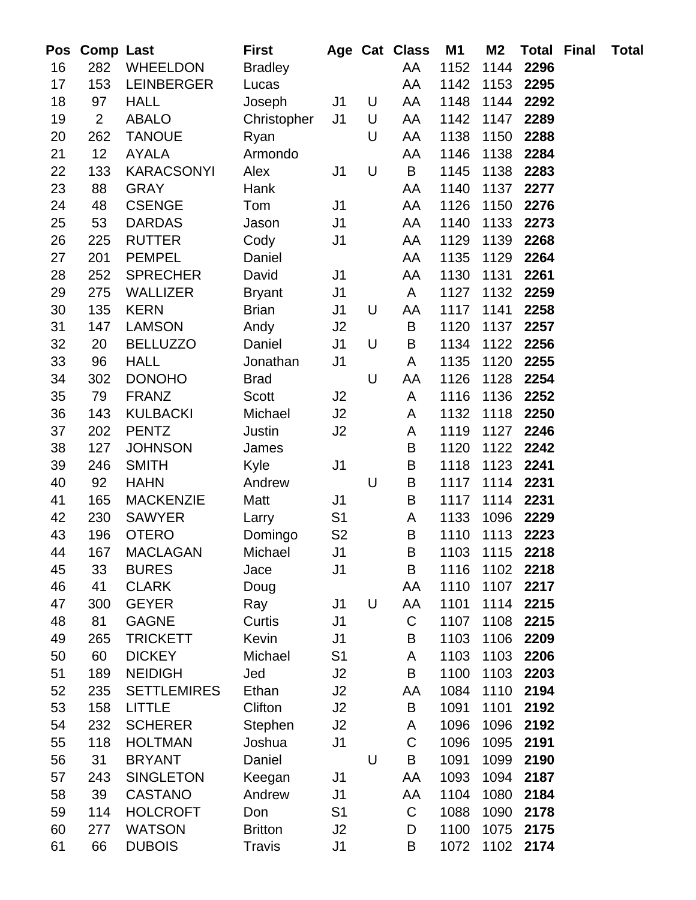| Pos      | <b>Comp Last</b> |                                    | First            |                                  |   | Age Cat Class    | M1           | M <sub>2</sub> | <b>Total Final</b> | <b>Total</b> |
|----------|------------------|------------------------------------|------------------|----------------------------------|---|------------------|--------------|----------------|--------------------|--------------|
| 16       | 282              | <b>WHEELDON</b>                    | <b>Bradley</b>   |                                  |   | AA               | 1152         | 1144           | 2296               |              |
| 17       | 153              | <b>LEINBERGER</b>                  | Lucas            |                                  |   | AA               | 1142         | 1153           | 2295               |              |
| 18       | 97               | <b>HALL</b>                        | Joseph           | J <sub>1</sub>                   | U | AA               | 1148         | 1144           | 2292               |              |
| 19       | $\overline{2}$   | <b>ABALO</b>                       | Christopher      | J <sub>1</sub>                   | U | AA               | 1142         | 1147           | 2289               |              |
| 20       | 262              | <b>TANOUE</b>                      | Ryan             |                                  | U | AA               | 1138         | 1150           | 2288               |              |
| 21       | 12               | <b>AYALA</b>                       | Armondo          |                                  |   | AA               | 1146         | 1138           | 2284               |              |
| 22       | 133              | <b>KARACSONYI</b>                  | Alex             | J1                               | U | B                | 1145         | 1138           | 2283               |              |
| 23       | 88               | <b>GRAY</b>                        | Hank             |                                  |   | AA               | 1140         | 1137           | 2277               |              |
| 24       | 48               | <b>CSENGE</b>                      | Tom              | J1                               |   | AA               | 1126         | 1150           | 2276               |              |
| 25       | 53               | <b>DARDAS</b>                      | Jason            | J1                               |   | AA               | 1140         | 1133           | 2273               |              |
| 26       | 225              | <b>RUTTER</b>                      | Cody             | J <sub>1</sub>                   |   | AA               | 1129         | 1139           | 2268               |              |
| 27       | 201              | <b>PEMPEL</b>                      | Daniel           |                                  |   | AA               | 1135         | 1129           | 2264               |              |
| 28       | 252              | <b>SPRECHER</b>                    | David            | J <sub>1</sub>                   |   | AA               | 1130         | 1131           | 2261               |              |
| 29       | 275              | WALLIZER                           | <b>Bryant</b>    | J1                               |   | A                | 1127         | 1132           | 2259               |              |
| 30       | 135              | <b>KERN</b>                        | <b>Brian</b>     | J1                               | U | AA               | 1117         | 1141           | 2258               |              |
| 31       | 147              | <b>LAMSON</b>                      | Andy             | J2                               |   | B                | 1120         | 1137           | 2257               |              |
| 32       | 20               | <b>BELLUZZO</b>                    | Daniel           | J <sub>1</sub>                   | U | B                | 1134         | 1122           | 2256               |              |
| 33       | 96               | <b>HALL</b>                        | Jonathan         | J <sub>1</sub>                   |   | A                | 1135         | 1120           | 2255               |              |
| 34       | 302              | <b>DONOHO</b>                      | <b>Brad</b>      |                                  | U | AA               | 1126         | 1128           | 2254               |              |
| 35       | 79               | <b>FRANZ</b>                       | <b>Scott</b>     | J2                               |   | A                | 1116         | 1136           | 2252               |              |
| 36       | 143              | <b>KULBACKI</b>                    | Michael          | J2                               |   | A                | 1132         | 1118           | 2250               |              |
| 37       | 202              | <b>PENTZ</b>                       | Justin           | J2                               |   | A                | 1119         | 1127           | 2246               |              |
| 38       | 127              | <b>JOHNSON</b>                     | James            |                                  |   | B                | 1120         | 1122           | 2242               |              |
| 39       | 246              | <b>SMITH</b>                       | Kyle             | J <sub>1</sub>                   |   | $\sf B$          | 1118         | 1123           | 2241               |              |
| 40       | 92               | <b>HAHN</b>                        | Andrew           |                                  | U | $\sf B$          | 1117         | 1114           | 2231               |              |
| 41       | 165              | <b>MACKENZIE</b>                   | Matt             | J <sub>1</sub>                   |   | $\sf B$          | 1117         | 1114           | 2231               |              |
| 42       | 230              | <b>SAWYER</b>                      | Larry            | S <sub>1</sub>                   |   | A                | 1133         | 1096           | 2229               |              |
| 43       | 196              | <b>OTERO</b>                       | Domingo          | S <sub>2</sub>                   |   | $\sf B$          | 1110         | 1113           | 2223               |              |
| 44       | 167              | MACLAGAN                           | Michael          | J1                               |   | $\mathsf B$      | 1103         |                | 1115 2218          |              |
| 45       | 33               | <b>BURES</b>                       | Jace             | J <sub>1</sub>                   |   | B                | 1116         | 1102           | 2218               |              |
| 46       | 41               | <b>CLARK</b>                       | Doug             |                                  |   | AA               | 1110         | 1107           | 2217               |              |
| 47       | 300              | <b>GEYER</b>                       | Ray              | J1                               | U | AA               | 1101         | 1114           | 2215               |              |
| 48       | 81               | <b>GAGNE</b>                       | Curtis           | J1                               |   | $\mathsf C$      | 1107         | 1108           | 2215               |              |
| 49       | 265              | <b>TRICKETT</b>                    | Kevin            | J <sub>1</sub>                   |   | $\sf B$          | 1103         | 1106           | 2209               |              |
| 50       | 60               | <b>DICKEY</b>                      | Michael          | S <sub>1</sub>                   |   | A                | 1103         | 1103           | 2206               |              |
| 51       | 189              | <b>NEIDIGH</b>                     | Jed              | J2                               |   | $\sf B$          | 1100         | 1103           | 2203               |              |
| 52       | 235              | <b>SETTLEMIRES</b>                 | Ethan            | J2                               |   | AA               | 1084         | 1110           | 2194               |              |
| 53       | 158              | <b>LITTLE</b>                      | Clifton          | J2                               |   | $\sf B$          | 1091         | 1101           | 2192               |              |
| 54       | 232              | <b>SCHERER</b>                     | Stephen          | J2                               |   | A<br>$\mathsf C$ | 1096         | 1096           | 2192               |              |
| 55       | 118              | <b>HOLTMAN</b><br><b>BRYANT</b>    | Joshua           | J <sub>1</sub>                   | U | B                | 1096         | 1095           | 2191               |              |
| 56       | 31               |                                    | Daniel           |                                  |   |                  | 1091         | 1099           | 2190               |              |
| 57<br>58 | 243<br>39        | <b>SINGLETON</b><br><b>CASTANO</b> | Keegan<br>Andrew | J <sub>1</sub>                   |   | AA<br>AA         | 1093<br>1104 | 1094<br>1080   | 2187<br>2184       |              |
| 59       | 114              | <b>HOLCROFT</b>                    | Don              | J <sub>1</sub><br>S <sub>1</sub> |   | $\mathsf C$      | 1088         | 1090           | 2178               |              |
| 60       | 277              | <b>WATSON</b>                      | <b>Britton</b>   | J2                               |   | D                | 1100         | 1075           | 2175               |              |
| 61       | 66               | <b>DUBOIS</b>                      | <b>Travis</b>    | J <sub>1</sub>                   |   | B                | 1072         | 1102           | 2174               |              |
|          |                  |                                    |                  |                                  |   |                  |              |                |                    |              |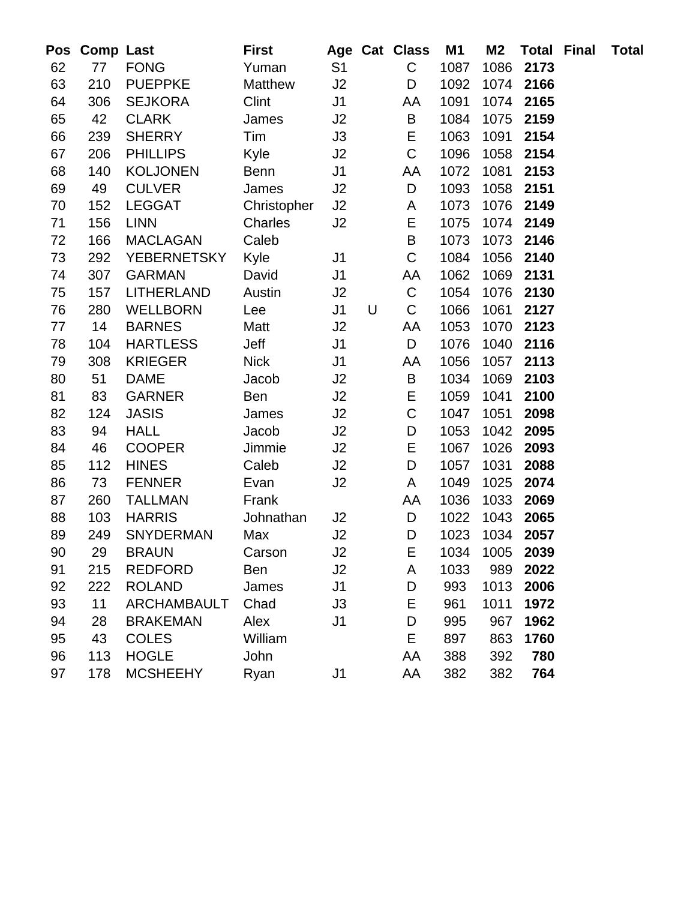| Pos | <b>Comp Last</b> |                    | <b>First</b> |                |   | Age Cat Class | M1   | M2   | <b>Total Final</b> | <b>Total</b> |
|-----|------------------|--------------------|--------------|----------------|---|---------------|------|------|--------------------|--------------|
| 62  | 77               | <b>FONG</b>        | Yuman        | S <sub>1</sub> |   | $\mathsf C$   | 1087 | 1086 | 2173               |              |
| 63  | 210              | <b>PUEPPKE</b>     | Matthew      | J2             |   | D             | 1092 | 1074 | 2166               |              |
| 64  | 306              | <b>SEJKORA</b>     | Clint        | J <sub>1</sub> |   | AA            | 1091 | 1074 | 2165               |              |
| 65  | 42               | <b>CLARK</b>       | James        | J2             |   | B             | 1084 | 1075 | 2159               |              |
| 66  | 239              | <b>SHERRY</b>      | Tim          | J3             |   | E             | 1063 | 1091 | 2154               |              |
| 67  | 206              | <b>PHILLIPS</b>    | Kyle         | J2             |   | $\mathsf C$   | 1096 | 1058 | 2154               |              |
| 68  | 140              | <b>KOLJONEN</b>    | <b>Benn</b>  | J1             |   | AA            | 1072 | 1081 | 2153               |              |
| 69  | 49               | <b>CULVER</b>      | James        | J2             |   | D             | 1093 | 1058 | 2151               |              |
| 70  | 152              | <b>LEGGAT</b>      | Christopher  | J2             |   | A             | 1073 | 1076 | 2149               |              |
| 71  | 156              | <b>LINN</b>        | Charles      | J2             |   | E             | 1075 | 1074 | 2149               |              |
| 72  | 166              | <b>MACLAGAN</b>    | Caleb        |                |   | B             | 1073 | 1073 | 2146               |              |
| 73  | 292              | <b>YEBERNETSKY</b> | Kyle         | J <sub>1</sub> |   | $\mathbf C$   | 1084 | 1056 | 2140               |              |
| 74  | 307              | <b>GARMAN</b>      | David        | J <sub>1</sub> |   | AA            | 1062 | 1069 | 2131               |              |
| 75  | 157              | <b>LITHERLAND</b>  | Austin       | J2             |   | $\mathsf C$   | 1054 | 1076 | 2130               |              |
| 76  | 280              | <b>WELLBORN</b>    | Lee          | J1             | U | C             | 1066 | 1061 | 2127               |              |
| 77  | 14               | <b>BARNES</b>      | Matt         | J2             |   | AA            | 1053 | 1070 | 2123               |              |
| 78  | 104              | <b>HARTLESS</b>    | Jeff         | J <sub>1</sub> |   | D             | 1076 | 1040 | 2116               |              |
| 79  | 308              | <b>KRIEGER</b>     | <b>Nick</b>  | J <sub>1</sub> |   | AA            | 1056 | 1057 | 2113               |              |
| 80  | 51               | <b>DAME</b>        | Jacob        | J2             |   | B             | 1034 | 1069 | 2103               |              |
| 81  | 83               | <b>GARNER</b>      | <b>Ben</b>   | J2             |   | Е             | 1059 | 1041 | 2100               |              |
| 82  | 124              | <b>JASIS</b>       | James        | J2             |   | $\mathsf C$   | 1047 | 1051 | 2098               |              |
| 83  | 94               | <b>HALL</b>        | Jacob        | J2             |   | D             | 1053 | 1042 | 2095               |              |
| 84  | 46               | <b>COOPER</b>      | Jimmie       | J2             |   | E             | 1067 | 1026 | 2093               |              |
| 85  | 112              | <b>HINES</b>       | Caleb        | J2             |   | D             | 1057 | 1031 | 2088               |              |
| 86  | 73               | <b>FENNER</b>      | Evan         | J2             |   | A             | 1049 | 1025 | 2074               |              |
| 87  | 260              | <b>TALLMAN</b>     | Frank        |                |   | AA            | 1036 | 1033 | 2069               |              |
| 88  | 103              | <b>HARRIS</b>      | Johnathan    | J2             |   | D             | 1022 | 1043 | 2065               |              |
| 89  | 249              | <b>SNYDERMAN</b>   | Max          | J2             |   | D             | 1023 | 1034 | 2057               |              |
| 90  | 29               | <b>BRAUN</b>       | Carson       | J2             |   | E.            | 1034 | 1005 | 2039               |              |
| 91  | 215              | <b>REDFORD</b>     | <b>Ben</b>   | J2             |   | A             | 1033 | 989  | 2022               |              |
| 92  | 222              | <b>ROLAND</b>      | James        | J1             |   | D             | 993  | 1013 | 2006               |              |
| 93  | 11               | <b>ARCHAMBAULT</b> | Chad         | J3             |   | E             | 961  | 1011 | 1972               |              |
| 94  | 28               | <b>BRAKEMAN</b>    | Alex         | J <sub>1</sub> |   | D             | 995  | 967  | 1962               |              |
| 95  | 43               | <b>COLES</b>       | William      |                |   | E             | 897  | 863  | 1760               |              |
| 96  | 113              | <b>HOGLE</b>       | John         |                |   | AA            | 388  | 392  | 780                |              |
| 97  | 178              | <b>MCSHEEHY</b>    | Ryan         | J <sub>1</sub> |   | AA            | 382  | 382  | 764                |              |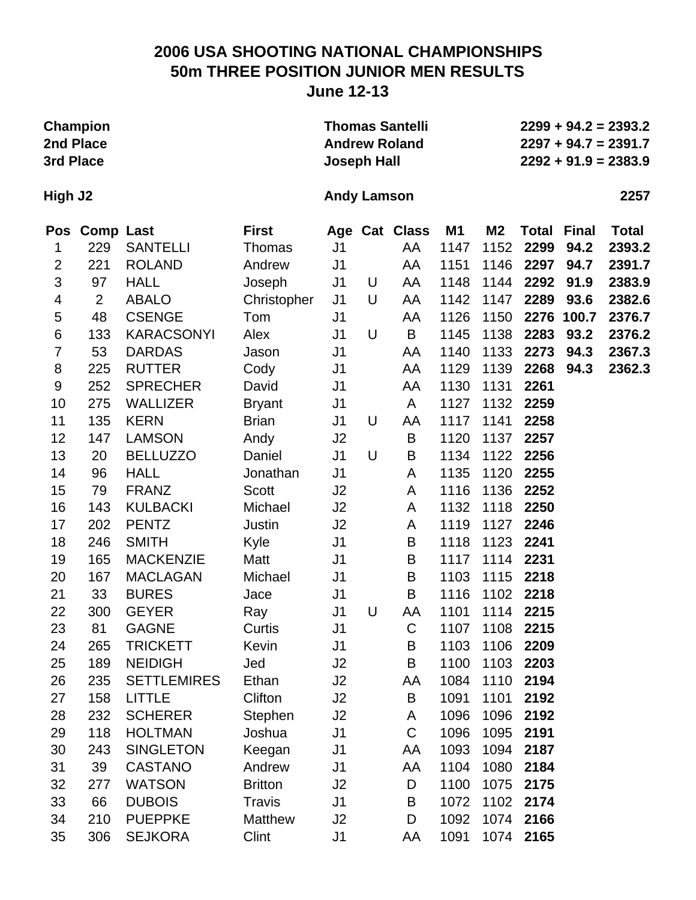# **2006 USA SHOOTING NATIONAL CHAMPIONSHIPS 50m THREE POSITION JUNIOR MEN RESULTS**

**June 12-13**

| 2nd Place<br>3rd Place | <b>Champion</b>  |                    |                | <b>Joseph Hall</b> |   | <b>Thomas Santelli</b><br><b>Andrew Roland</b> |      |                |              |              | $2299 + 94.2 = 2393.2$<br>$2297 + 94.7 = 2391.7$<br>$2292 + 91.9 = 2383.9$ |
|------------------------|------------------|--------------------|----------------|--------------------|---|------------------------------------------------|------|----------------|--------------|--------------|----------------------------------------------------------------------------|
| High J2                |                  |                    |                | <b>Andy Lamson</b> |   |                                                |      |                |              |              | 2257                                                                       |
| <b>Pos</b>             | <b>Comp Last</b> |                    | <b>First</b>   |                    |   | Age Cat Class                                  | M1   | M <sub>2</sub> | <b>Total</b> | <b>Final</b> | <b>Total</b>                                                               |
| 1                      | 229              | <b>SANTELLI</b>    | Thomas         | J <sub>1</sub>     |   | AA                                             | 1147 | 1152           | 2299         | 94.2         | 2393.2                                                                     |
| $\overline{2}$         | 221              | <b>ROLAND</b>      | Andrew         | J <sub>1</sub>     |   | AA                                             | 1151 | 1146           | 2297         | 94.7         | 2391.7                                                                     |
| 3                      | 97               | <b>HALL</b>        | Joseph         | J <sub>1</sub>     | U | AA                                             | 1148 | 1144           | 2292         | 91.9         | 2383.9                                                                     |
| 4                      | $\overline{2}$   | <b>ABALO</b>       | Christopher    | J <sub>1</sub>     | U | AA                                             | 1142 | 1147           | 2289         | 93.6         | 2382.6                                                                     |
| 5                      | 48               | <b>CSENGE</b>      | Tom            | J <sub>1</sub>     |   | AA                                             | 1126 | 1150           | 2276         | 100.7        | 2376.7                                                                     |
| 6                      | 133              | <b>KARACSONYI</b>  | Alex           | J <sub>1</sub>     | U | B                                              | 1145 | 1138           | 2283         | 93.2         | 2376.2                                                                     |
| $\overline{7}$         | 53               | <b>DARDAS</b>      | Jason          | J <sub>1</sub>     |   | AA                                             | 1140 | 1133           | 2273         | 94.3         | 2367.3                                                                     |
| 8                      | 225              | <b>RUTTER</b>      | Cody           | J <sub>1</sub>     |   | AA                                             | 1129 | 1139           | 2268         | 94.3         | 2362.3                                                                     |
| $\boldsymbol{9}$       | 252              | <b>SPRECHER</b>    | David          | J <sub>1</sub>     |   | AA                                             | 1130 | 1131           | 2261         |              |                                                                            |
| 10                     | 275              | <b>WALLIZER</b>    | <b>Bryant</b>  | J <sub>1</sub>     |   | A                                              | 1127 | 1132           | 2259         |              |                                                                            |
| 11                     | 135              | <b>KERN</b>        | <b>Brian</b>   | J1                 | U | AA                                             | 1117 | 1141           | 2258         |              |                                                                            |
| 12                     | 147              | <b>LAMSON</b>      | Andy           | J2                 |   | B                                              | 1120 | 1137           | 2257         |              |                                                                            |
| 13                     | 20               | <b>BELLUZZO</b>    | Daniel         | J <sub>1</sub>     | U | B                                              | 1134 | 1122           | 2256         |              |                                                                            |
| 14                     | 96               | <b>HALL</b>        | Jonathan       | J <sub>1</sub>     |   | A                                              | 1135 | 1120           | 2255         |              |                                                                            |
| 15                     | 79               | <b>FRANZ</b>       | Scott          | J2                 |   | A                                              | 1116 | 1136           | 2252         |              |                                                                            |
| 16                     | 143              | <b>KULBACKI</b>    | Michael        | J2                 |   | A                                              | 1132 | 1118           | 2250         |              |                                                                            |
| 17                     | 202              | <b>PENTZ</b>       | Justin         | J2                 |   | A                                              | 1119 | 1127           | 2246         |              |                                                                            |
| 18                     | 246              | <b>SMITH</b>       | Kyle           | J <sub>1</sub>     |   | B                                              | 1118 | 1123           | 2241         |              |                                                                            |
| 19                     | 165              | <b>MACKENZIE</b>   | Matt           | J <sub>1</sub>     |   | B                                              | 1117 | 1114           | 2231         |              |                                                                            |
| 20                     | 167              | <b>MACLAGAN</b>    | Michael        | J <sub>1</sub>     |   | B                                              | 1103 | 1115           | 2218         |              |                                                                            |
| 21                     | 33               | <b>BURES</b>       | Jace           | J <sub>1</sub>     |   | B                                              | 1116 | 1102           | 2218         |              |                                                                            |
| 22                     | 300              | <b>GEYER</b>       | Ray            | J <sub>1</sub>     | U | AA                                             | 1101 | 1114           | 2215         |              |                                                                            |
| 23                     | 81               | <b>GAGNE</b>       | Curtis         | J1                 |   | C                                              | 1107 | 1108           | 2215         |              |                                                                            |
| 24                     | 265              | <b>TRICKETT</b>    | Kevin          | J <sub>1</sub>     |   | B                                              | 1103 | 1106           | 2209         |              |                                                                            |
| 25                     | 189              | <b>NEIDIGH</b>     | Jed            | J2                 |   | B                                              | 1100 | 1103           | 2203         |              |                                                                            |
| 26                     | 235              | <b>SETTLEMIRES</b> | Ethan          | J2                 |   | AA                                             | 1084 | 1110           | 2194         |              |                                                                            |
| 27                     | 158              | <b>LITTLE</b>      | Clifton        | J2                 |   | B                                              | 1091 | 1101           | 2192         |              |                                                                            |
| 28                     | 232              | <b>SCHERER</b>     | Stephen        | J <sub>2</sub>     |   | A                                              | 1096 | 1096           | 2192         |              |                                                                            |
| 29                     | 118              | <b>HOLTMAN</b>     | Joshua         | J <sub>1</sub>     |   | $\mathsf C$                                    | 1096 | 1095           | 2191         |              |                                                                            |
| 30                     | 243              | <b>SINGLETON</b>   | Keegan         | J <sub>1</sub>     |   | AA                                             | 1093 | 1094           | 2187         |              |                                                                            |
| 31                     | 39               | <b>CASTANO</b>     | Andrew         | J <sub>1</sub>     |   | AA                                             | 1104 | 1080           | 2184         |              |                                                                            |
| 32                     | 277              | <b>WATSON</b>      | <b>Britton</b> | J <sub>2</sub>     |   | D                                              | 1100 | 1075           | 2175         |              |                                                                            |
| 33                     | 66               | <b>DUBOIS</b>      | <b>Travis</b>  | J <sub>1</sub>     |   | B                                              | 1072 |                | 1102 2174    |              |                                                                            |
| 34                     | 210              | <b>PUEPPKE</b>     | Matthew        | J <sub>2</sub>     |   | D                                              | 1092 |                | 1074 2166    |              |                                                                            |
| 35                     | 306              | <b>SEJKORA</b>     | Clint          | J <sub>1</sub>     |   | AA                                             | 1091 |                | 1074 2165    |              |                                                                            |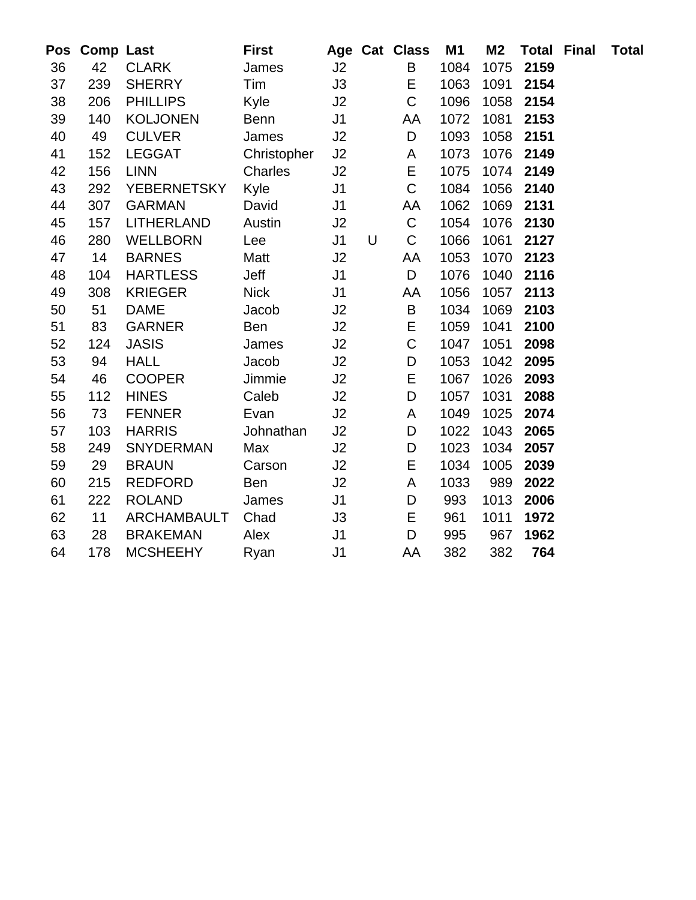| Pos |     | <b>Comp Last</b>   | <b>First</b> |                |   | Age Cat Class | M1   | M2   | <b>Total Final</b> | <b>Total</b> |
|-----|-----|--------------------|--------------|----------------|---|---------------|------|------|--------------------|--------------|
| 36  | 42  | <b>CLARK</b>       | James        | J2             |   | B             | 1084 | 1075 | 2159               |              |
| 37  | 239 | <b>SHERRY</b>      | Tim          | J3             |   | Ε             | 1063 | 1091 | 2154               |              |
| 38  | 206 | <b>PHILLIPS</b>    | Kyle         | J2             |   | $\mathsf C$   | 1096 | 1058 | 2154               |              |
| 39  | 140 | <b>KOLJONEN</b>    | <b>Benn</b>  | J1             |   | AA            | 1072 | 1081 | 2153               |              |
| 40  | 49  | <b>CULVER</b>      | James        | J2             |   | D             | 1093 | 1058 | 2151               |              |
| 41  | 152 | <b>LEGGAT</b>      | Christopher  | J2             |   | A             | 1073 | 1076 | 2149               |              |
| 42  | 156 | <b>LINN</b>        | Charles      | J2             |   | $\mathsf E$   | 1075 | 1074 | 2149               |              |
| 43  | 292 | <b>YEBERNETSKY</b> | Kyle         | J1             |   | $\mathsf C$   | 1084 | 1056 | 2140               |              |
| 44  | 307 | <b>GARMAN</b>      | David        | J <sub>1</sub> |   | AA            | 1062 | 1069 | 2131               |              |
| 45  | 157 | <b>LITHERLAND</b>  | Austin       | J2             |   | $\mathsf C$   | 1054 | 1076 | 2130               |              |
| 46  | 280 | <b>WELLBORN</b>    | Lee          | J <sub>1</sub> | U | $\mathsf C$   | 1066 | 1061 | 2127               |              |
| 47  | 14  | <b>BARNES</b>      | Matt         | J2             |   | AA            | 1053 | 1070 | 2123               |              |
| 48  | 104 | <b>HARTLESS</b>    | Jeff         | J <sub>1</sub> |   | $\mathsf D$   | 1076 | 1040 | 2116               |              |
| 49  | 308 | <b>KRIEGER</b>     | <b>Nick</b>  | J <sub>1</sub> |   | AA            | 1056 | 1057 | 2113               |              |
| 50  | 51  | <b>DAME</b>        | Jacob        | J2             |   | $\sf B$       | 1034 | 1069 | 2103               |              |
| 51  | 83  | <b>GARNER</b>      | <b>Ben</b>   | J2             |   | E             | 1059 | 1041 | 2100               |              |
| 52  | 124 | <b>JASIS</b>       | James        | J2             |   | $\mathsf C$   | 1047 | 1051 | 2098               |              |
| 53  | 94  | <b>HALL</b>        | Jacob        | J2             |   | $\mathsf D$   | 1053 | 1042 | 2095               |              |
| 54  | 46  | <b>COOPER</b>      | Jimmie       | J2             |   | E             | 1067 | 1026 | 2093               |              |
| 55  | 112 | <b>HINES</b>       | Caleb        | J2             |   | $\mathsf D$   | 1057 | 1031 | 2088               |              |
| 56  | 73  | <b>FENNER</b>      | Evan         | J2             |   | A             | 1049 | 1025 | 2074               |              |
| 57  | 103 | <b>HARRIS</b>      | Johnathan    | J2             |   | D             | 1022 | 1043 | 2065               |              |
| 58  | 249 | <b>SNYDERMAN</b>   | Max          | J2             |   | D             | 1023 | 1034 | 2057               |              |
| 59  | 29  | <b>BRAUN</b>       | Carson       | J2             |   | E             | 1034 | 1005 | 2039               |              |
| 60  | 215 | <b>REDFORD</b>     | <b>Ben</b>   | J2             |   | A             | 1033 | 989  | 2022               |              |
| 61  | 222 | <b>ROLAND</b>      | James        | J <sub>1</sub> |   | $\mathsf D$   | 993  | 1013 | 2006               |              |
| 62  | 11  | ARCHAMBAULT        | Chad         | J3             |   | E             | 961  | 1011 | 1972               |              |
| 63  | 28  | <b>BRAKEMAN</b>    | Alex         | J <sub>1</sub> |   | $\mathsf D$   | 995  | 967  | 1962               |              |
| 64  | 178 | <b>MCSHEEHY</b>    | Ryan         | J1             |   | AA            | 382  | 382  | 764                |              |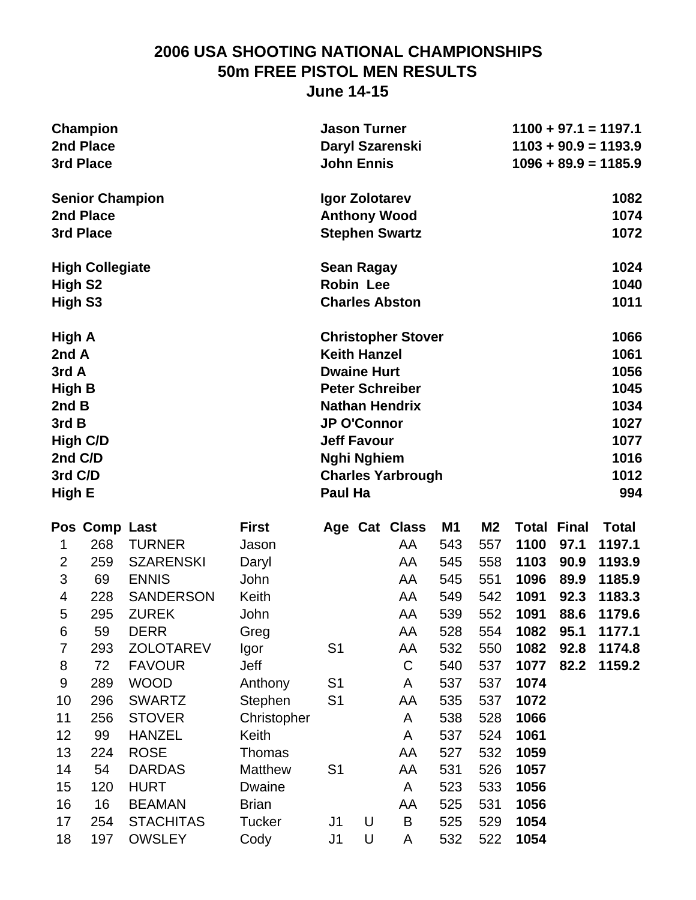### **2006 USA SHOOTING NATIONAL CHAMPIONSHIPS 50m FREE PISTOL MEN RESULTS June 14-15**

|                     | <b>Champion</b><br>2nd Place<br>3rd Place |                  |                | <b>Jason Turner</b><br><b>John Ennis</b> |   | Daryl Szarenski           |     |                |       |              | $1100 + 97.1 = 1197.1$<br>$1103 + 90.9 = 1193.9$<br>$1096 + 89.9 = 1185.9$ |
|---------------------|-------------------------------------------|------------------|----------------|------------------------------------------|---|---------------------------|-----|----------------|-------|--------------|----------------------------------------------------------------------------|
|                     | <b>Senior Champion</b>                    |                  |                | Igor Zolotarev                           |   |                           |     |                |       |              | 1082                                                                       |
|                     | 2nd Place                                 |                  |                |                                          |   | <b>Anthony Wood</b>       |     |                |       |              | 1074                                                                       |
|                     | 3rd Place                                 |                  |                |                                          |   | <b>Stephen Swartz</b>     |     |                |       |              | 1072                                                                       |
|                     | <b>High Collegiate</b>                    |                  |                | <b>Sean Ragay</b>                        |   |                           |     |                |       |              | 1024                                                                       |
| High S <sub>2</sub> |                                           |                  |                | <b>Robin Lee</b>                         |   |                           |     |                |       |              | 1040                                                                       |
| High S3             |                                           |                  |                |                                          |   | <b>Charles Abston</b>     |     |                |       |              | 1011                                                                       |
| High A              |                                           |                  |                |                                          |   | <b>Christopher Stover</b> |     |                |       |              | 1066                                                                       |
| 2nd A               |                                           |                  |                | <b>Keith Hanzel</b>                      |   |                           |     |                |       |              | 1061                                                                       |
| 3rd A               |                                           |                  |                | <b>Dwaine Hurt</b>                       |   |                           |     |                |       |              | 1056                                                                       |
| <b>High B</b>       |                                           |                  |                |                                          |   | <b>Peter Schreiber</b>    |     |                |       |              | 1045                                                                       |
| 2nd B               |                                           |                  |                |                                          |   | <b>Nathan Hendrix</b>     |     |                |       |              | 1034                                                                       |
| 3rd B               |                                           |                  |                | <b>JP O'Connor</b>                       |   |                           |     |                |       |              | 1027                                                                       |
|                     | <b>High C/D</b>                           |                  |                | <b>Jeff Favour</b>                       |   |                           |     |                |       |              | 1077                                                                       |
| 2nd C/D             |                                           |                  |                | <b>Nghi Nghiem</b>                       |   |                           |     |                |       |              | 1016                                                                       |
| 3rd C/D             |                                           |                  |                |                                          |   | <b>Charles Yarbrough</b>  |     |                |       |              | 1012                                                                       |
| High E              |                                           |                  |                | Paul Ha                                  |   |                           |     |                |       |              | 994                                                                        |
|                     | Pos Comp Last                             |                  | <b>First</b>   |                                          |   | Age Cat Class             | M1  | M <sub>2</sub> | Total | <b>Final</b> | <b>Total</b>                                                               |
| 1                   | 268                                       | <b>TURNER</b>    | Jason          |                                          |   | AA                        | 543 | 557            | 1100  | 97.1         | 1197.1                                                                     |
| $\overline{2}$      | 259                                       | <b>SZARENSKI</b> | Daryl          |                                          |   | AA                        | 545 | 558            | 1103  | 90.9         | 1193.9                                                                     |
| 3                   | 69                                        | <b>ENNIS</b>     | John           |                                          |   | AA                        | 545 | 551            | 1096  | 89.9         | 1185.9                                                                     |
| 4                   | 228                                       | <b>SANDERSON</b> | Keith          |                                          |   | AA                        | 549 | 542            | 1091  | 92.3         | 1183.3                                                                     |
| 5                   | 295                                       | <b>ZUREK</b>     | John           |                                          |   | AA                        | 539 | 552            | 1091  | 88.6         | 1179.6                                                                     |
| 6                   | 59                                        | <b>DERR</b>      | Greg           |                                          |   | AA                        | 528 | 554            | 1082  | 95.1         | 1177.1                                                                     |
| 7                   | 293                                       | <b>ZOLOTAREV</b> | Igor           | S <sub>1</sub>                           |   | AA                        | 532 | 550            | 1082  | 92.8         | 1174.8                                                                     |
| 8                   | 72                                        | <b>FAVOUR</b>    | Jeff           |                                          |   | $\mathsf C$               | 540 | 537            | 1077  | 82.2         | 1159.2                                                                     |
| 9                   | 289                                       | <b>WOOD</b>      | Anthony        | S <sub>1</sub>                           |   | A                         | 537 | 537            | 1074  |              |                                                                            |
| 10                  | 296                                       | <b>SWARTZ</b>    | Stephen        | S <sub>1</sub>                           |   | AA                        | 535 | 537            | 1072  |              |                                                                            |
| 11                  | 256                                       | <b>STOVER</b>    | Christopher    |                                          |   | A                         | 538 | 528            | 1066  |              |                                                                            |
| 12                  | 99                                        | <b>HANZEL</b>    | Keith          |                                          |   | A                         | 537 | 524            | 1061  |              |                                                                            |
| 13                  | 224                                       | <b>ROSE</b>      | <b>Thomas</b>  |                                          |   | AA                        | 527 | 532            | 1059  |              |                                                                            |
| 14                  | 54                                        | <b>DARDAS</b>    | <b>Matthew</b> | S <sub>1</sub>                           |   | AA                        | 531 | 526            | 1057  |              |                                                                            |
| 15                  | 120                                       | <b>HURT</b>      | Dwaine         |                                          |   | A                         | 523 | 533            | 1056  |              |                                                                            |
| 16                  | 16                                        | <b>BEAMAN</b>    | <b>Brian</b>   |                                          |   | AA                        | 525 | 531            | 1056  |              |                                                                            |
| 17                  | 254                                       | <b>STACHITAS</b> | <b>Tucker</b>  | J <sub>1</sub>                           | U | B                         | 525 | 529            | 1054  |              |                                                                            |

18 197 OWSLEY Cody J1 U A 532 522 **1054**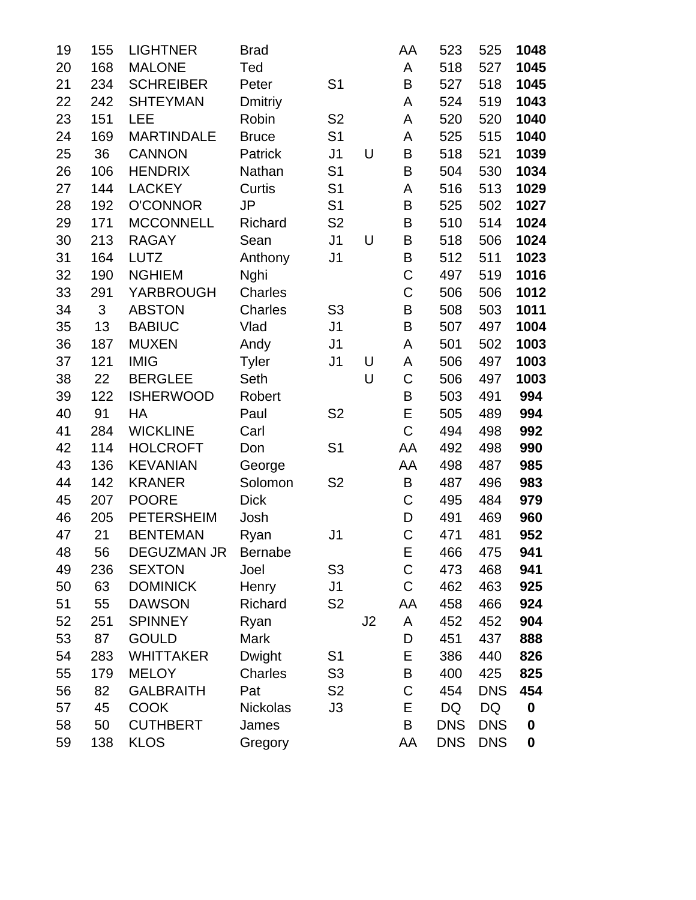| 19 | 155 | <b>LIGHTNER</b>   | <b>Brad</b>     |                |    | AA          | 523        | 525        | 1048             |
|----|-----|-------------------|-----------------|----------------|----|-------------|------------|------------|------------------|
| 20 | 168 | <b>MALONE</b>     | Ted             |                |    | A           | 518        | 527        | 1045             |
| 21 | 234 | <b>SCHREIBER</b>  | Peter           | S <sub>1</sub> |    | B           | 527        | 518        | 1045             |
| 22 | 242 | <b>SHTEYMAN</b>   | <b>Dmitriy</b>  |                |    | A           | 524        | 519        | 1043             |
| 23 | 151 | LEE               | Robin           | S <sub>2</sub> |    | A           | 520        | 520        | 1040             |
| 24 | 169 | <b>MARTINDALE</b> | <b>Bruce</b>    | S <sub>1</sub> |    | A           | 525        | 515        | 1040             |
| 25 | 36  | <b>CANNON</b>     | Patrick         | J <sub>1</sub> | U  | B           | 518        | 521        | 1039             |
| 26 | 106 | <b>HENDRIX</b>    | Nathan          | S <sub>1</sub> |    | $\mathsf B$ | 504        | 530        | 1034             |
| 27 | 144 | <b>LACKEY</b>     | Curtis          | S <sub>1</sub> |    | A           | 516        | 513        | 1029             |
| 28 | 192 | <b>O'CONNOR</b>   | JP              | S <sub>1</sub> |    | B           | 525        | 502        | 1027             |
| 29 | 171 | <b>MCCONNELL</b>  | Richard         | S <sub>2</sub> |    | B           | 510        | 514        | 1024             |
| 30 | 213 | <b>RAGAY</b>      | Sean            | J <sub>1</sub> | U  | B           | 518        | 506        | 1024             |
| 31 | 164 | <b>LUTZ</b>       | Anthony         | J <sub>1</sub> |    | $\mathsf B$ | 512        | 511        | 1023             |
| 32 | 190 | <b>NGHIEM</b>     | Nghi            |                |    | C           | 497        | 519        | 1016             |
| 33 | 291 | <b>YARBROUGH</b>  | Charles         |                |    | $\mathsf C$ | 506        | 506        | 1012             |
| 34 | 3   | <b>ABSTON</b>     | Charles         | S <sub>3</sub> |    | B           | 508        | 503        | 1011             |
| 35 | 13  | <b>BABIUC</b>     | Vlad            | J <sub>1</sub> |    | $\mathsf B$ | 507        | 497        | 1004             |
| 36 | 187 | <b>MUXEN</b>      | Andy            | J <sub>1</sub> |    | A           | 501        | 502        | 1003             |
| 37 | 121 | <b>IMIG</b>       | <b>Tyler</b>    | J <sub>1</sub> | U  | A           | 506        | 497        | 1003             |
| 38 | 22  | <b>BERGLEE</b>    | Seth            |                | U  | C           | 506        | 497        | 1003             |
| 39 | 122 | <b>ISHERWOOD</b>  | Robert          |                |    | B           | 503        | 491        | 994              |
| 40 | 91  | HA                | Paul            | S <sub>2</sub> |    | E           | 505        | 489        | 994              |
| 41 | 284 | <b>WICKLINE</b>   | Carl            |                |    | $\mathsf C$ | 494        | 498        | 992              |
| 42 | 114 | <b>HOLCROFT</b>   | Don             | S <sub>1</sub> |    | AA          | 492        | 498        | 990              |
| 43 | 136 | <b>KEVANIAN</b>   | George          |                |    | AA          | 498        | 487        | 985              |
| 44 | 142 | <b>KRANER</b>     | Solomon         | S <sub>2</sub> |    | $\sf B$     | 487        | 496        | 983              |
| 45 | 207 | <b>POORE</b>      | <b>Dick</b>     |                |    | C           | 495        | 484        | 979              |
| 46 | 205 | <b>PETERSHEIM</b> | Josh            |                |    | D           | 491        | 469        | 960              |
| 47 | 21  | <b>BENTEMAN</b>   | Ryan            | J1             |    | $\mathsf C$ | 471        | 481        | 952              |
| 48 | 56  | DEGUZMAN JR       | <b>Bernabe</b>  |                |    | Е           | 466        | 475        | 941              |
| 49 | 236 | <b>SEXTON</b>     | Joel            | S3             |    | C           | 473        | 468        | 941              |
| 50 | 63  | <b>DOMINICK</b>   | Henry           | J <sub>1</sub> |    | $\mathsf C$ | 462        | 463        | 925              |
| 51 | 55  | <b>DAWSON</b>     | Richard         | S <sub>2</sub> |    | AA          | 458        | 466        | 924              |
| 52 | 251 | <b>SPINNEY</b>    | Ryan            |                | J2 | A           | 452        | 452        | 904              |
| 53 | 87  | <b>GOULD</b>      | Mark            |                |    | D           | 451        | 437        | 888              |
| 54 | 283 | <b>WHITTAKER</b>  | <b>Dwight</b>   | S <sub>1</sub> |    | E           | 386        | 440        | 826              |
| 55 | 179 | <b>MELOY</b>      | <b>Charles</b>  | S <sub>3</sub> |    | B           | 400        | 425        | 825              |
| 56 | 82  | <b>GALBRAITH</b>  | Pat             | S <sub>2</sub> |    | C           | 454        | <b>DNS</b> | 454              |
| 57 | 45  | <b>COOK</b>       | <b>Nickolas</b> | J3             |    | E           | DQ         | DQ         | $\boldsymbol{0}$ |
| 58 | 50  | <b>CUTHBERT</b>   | James           |                |    | B           | <b>DNS</b> | <b>DNS</b> | 0                |
| 59 | 138 | <b>KLOS</b>       | Gregory         |                |    | AA          | <b>DNS</b> | <b>DNS</b> | $\boldsymbol{0}$ |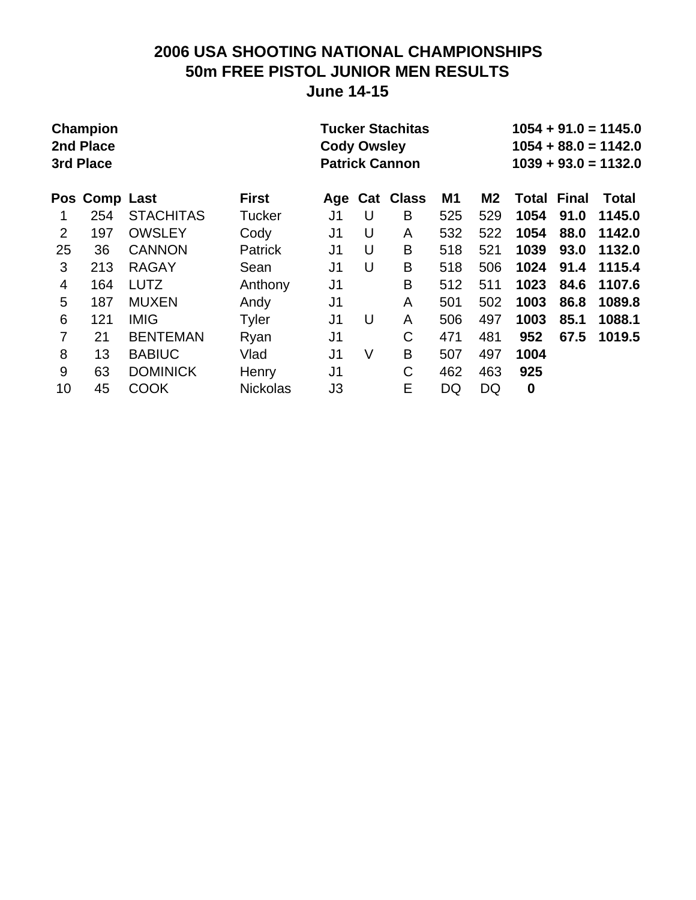### **2006 USA SHOOTING NATIONAL CHAMPIONSHIPS 50m FREE PISTOL JUNIOR MEN RESULTS June 14-15**

| <b>Champion</b><br>2nd Place<br>3rd Place<br>Pos Comp Last<br><b>First</b> |     |                  |                 | <b>Cody Owsley</b> |   | <b>Tucker Stachitas</b><br><b>Patrick Cannon</b> |           |                | $1054 + 91.0 = 1145.0$<br>$1054 + 88.0 = 1142.0$<br>$1039 + 93.0 = 1132.0$ |              |        |  |
|----------------------------------------------------------------------------|-----|------------------|-----------------|--------------------|---|--------------------------------------------------|-----------|----------------|----------------------------------------------------------------------------|--------------|--------|--|
|                                                                            |     |                  |                 | Age                |   | <b>Cat Class</b>                                 | <b>M1</b> | M <sub>2</sub> | Total                                                                      | <b>Final</b> | Total  |  |
|                                                                            | 254 | <b>STACHITAS</b> | <b>Tucker</b>   | J1                 | U | B                                                | 525       | 529            | 1054                                                                       | 91.0         | 1145.0 |  |
| 2                                                                          | 197 | <b>OWSLEY</b>    | Cody            | J <sub>1</sub>     | U | A                                                | 532       | 522            | 1054                                                                       | 88.0         | 1142.0 |  |
| 25                                                                         | 36  | <b>CANNON</b>    | <b>Patrick</b>  | J <sub>1</sub>     | U | B                                                | 518       | 521            | 1039                                                                       | 93.0         | 1132.0 |  |
| 3                                                                          | 213 | <b>RAGAY</b>     | Sean            | J1                 | U | B                                                | 518       | 506            | 1024                                                                       | 91.4         | 1115.4 |  |
| $\overline{4}$                                                             | 164 | <b>LUTZ</b>      | Anthony         | J <sub>1</sub>     |   | B                                                | 512       | 511            | 1023                                                                       | 84.6         | 1107.6 |  |
| 5                                                                          | 187 | <b>MUXEN</b>     | Andy            | J <sub>1</sub>     |   | A                                                | 501       | 502            | 1003                                                                       | 86.8         | 1089.8 |  |
| 6                                                                          | 121 | <b>IMIG</b>      | <b>Tyler</b>    | J <sub>1</sub>     | U | A                                                | 506       | 497            | 1003                                                                       | 85.1         | 1088.1 |  |
| 7                                                                          | 21  | <b>BENTEMAN</b>  | Ryan            | J <sub>1</sub>     |   | C                                                | 471       | 481            | 952                                                                        | 67.5         | 1019.5 |  |
| 8                                                                          | 13  | <b>BABIUC</b>    | Vlad            | J <sub>1</sub>     | V | B                                                | 507       | 497            | 1004                                                                       |              |        |  |
| 9                                                                          | 63  | <b>DOMINICK</b>  | Henry           | J <sub>1</sub>     |   | C                                                | 462       | 463            | 925                                                                        |              |        |  |
| 10                                                                         | 45  | <b>COOK</b>      | <b>Nickolas</b> | JЗ                 |   | E                                                | DQ        | DQ             | $\boldsymbol{0}$                                                           |              |        |  |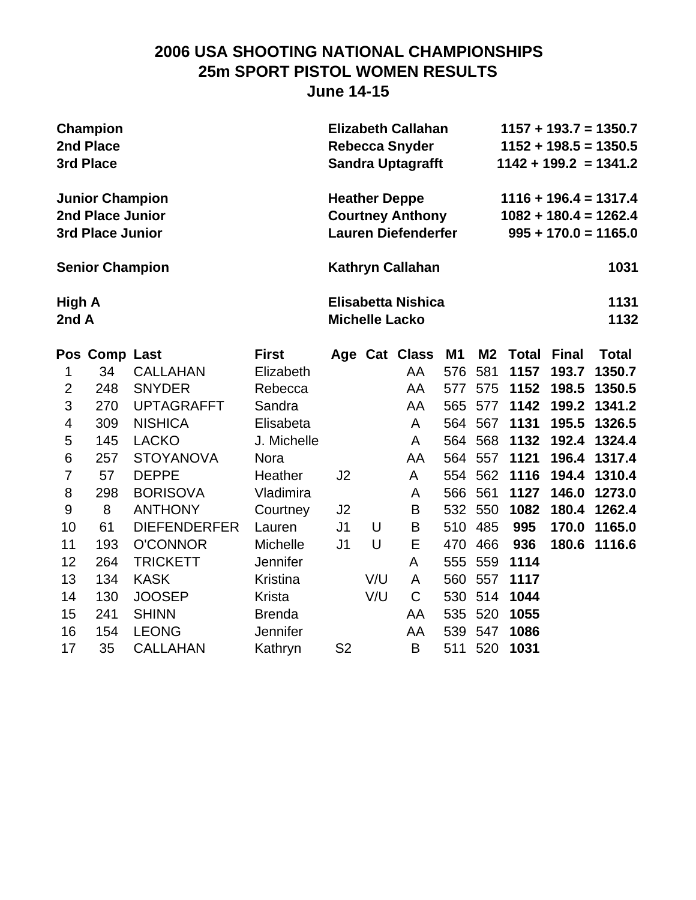### **2006 USA SHOOTING NATIONAL CHAMPIONSHIPS 25m SPORT PISTOL WOMEN RESULTS June 14-15**

| Champion               | <b>Elizabeth Callahan</b>  | $1157 + 193.7 = 1350.7$ |
|------------------------|----------------------------|-------------------------|
| 2nd Place              | <b>Rebecca Snyder</b>      | $1152 + 198.5 = 1350.5$ |
| 3rd Place              | <b>Sandra Uptagrafft</b>   | $1142 + 199.2 = 1341.2$ |
| <b>Junior Champion</b> | <b>Heather Deppe</b>       | $1116 + 196.4 = 1317.4$ |
| 2nd Place Junior       | <b>Courtney Anthony</b>    | $1082 + 180.4 = 1262.4$ |
| 3rd Place Junior       | <b>Lauren Diefenderfer</b> | $995 + 170.0 = 1165.0$  |
| <b>Senior Champion</b> | Kathryn Callahan           | 1031                    |
| High A                 | Elisabetta Nishica         | 1131                    |
| 2nd A                  | <b>Michelle Lacko</b>      | 1132                    |

|    | Pos Comp Last |                     | <b>First</b>    |                |     | Age Cat Class | M1  |         | M2 Total | <b>Final</b> | <b>Total</b> |
|----|---------------|---------------------|-----------------|----------------|-----|---------------|-----|---------|----------|--------------|--------------|
|    | 34            | <b>CALLAHAN</b>     | Elizabeth       |                |     | AA            | 576 | 581     | 1157     | 193.7        | 1350.7       |
| 2  | 248           | <b>SNYDER</b>       | Rebecca         |                |     | AA            | 577 | 575     | 1152     | 198.5        | 1350.5       |
| 3  | 270           | <b>UPTAGRAFFT</b>   | Sandra          |                |     | AA            | 565 | 577     | 1142     | 199.2        | 1341.2       |
| 4  | 309           | <b>NISHICA</b>      | Elisabeta       |                |     | A             | 564 | 567     | 1131     | 195.5        | 1326.5       |
| 5  | 145           | <b>LACKO</b>        | J. Michelle     |                |     | A             | 564 | 568     | 1132     | 192.4        | 1324.4       |
| 6  | 257           | <b>STOYANOVA</b>    | <b>Nora</b>     |                |     | AA            | 564 | 557     | 1121     | 196.4        | 1317.4       |
| 7  | 57            | <b>DEPPE</b>        | Heather         | J <sub>2</sub> |     | A             | 554 | 562     | 1116     | 194.4        | 1310.4       |
| 8  | 298           | <b>BORISOVA</b>     | Vladimira       |                |     | A             | 566 | 561     | 1127     | 146.0        | 1273.0       |
| 9  | 8             | <b>ANTHONY</b>      | Courtney        | J <sub>2</sub> |     | B             |     | 532 550 | 1082     |              | 180.4 1262.4 |
| 10 | 61            | <b>DIEFENDERFER</b> | Lauren          | J <sub>1</sub> | U   | B             | 510 | 485     | 995      | 170.0        | 1165.0       |
| 11 | 193           | <b>O'CONNOR</b>     | <b>Michelle</b> | J <sub>1</sub> | U   | E             | 470 | 466     | 936      | 180.6        | 1116.6       |
| 12 | 264           | <b>TRICKETT</b>     | <b>Jennifer</b> |                |     | A             | 555 | 559     | 1114     |              |              |
| 13 | 134           | <b>KASK</b>         | Kristina        |                | V/U | A             | 560 | 557     | 1117     |              |              |
| 14 | 130           | <b>JOOSEP</b>       | Krista          |                | V/U | C             | 530 | 514     | 1044     |              |              |
| 15 | 241           | <b>SHINN</b>        | <b>Brenda</b>   |                |     | AA            | 535 | 520     | 1055     |              |              |
| 16 | 154           | <b>LEONG</b>        | Jennifer        |                |     | AA            | 539 | 547     | 1086     |              |              |
| 17 | 35            | <b>CALLAHAN</b>     | Kathryn         | S <sub>2</sub> |     | B             | 511 | 520     | 1031     |              |              |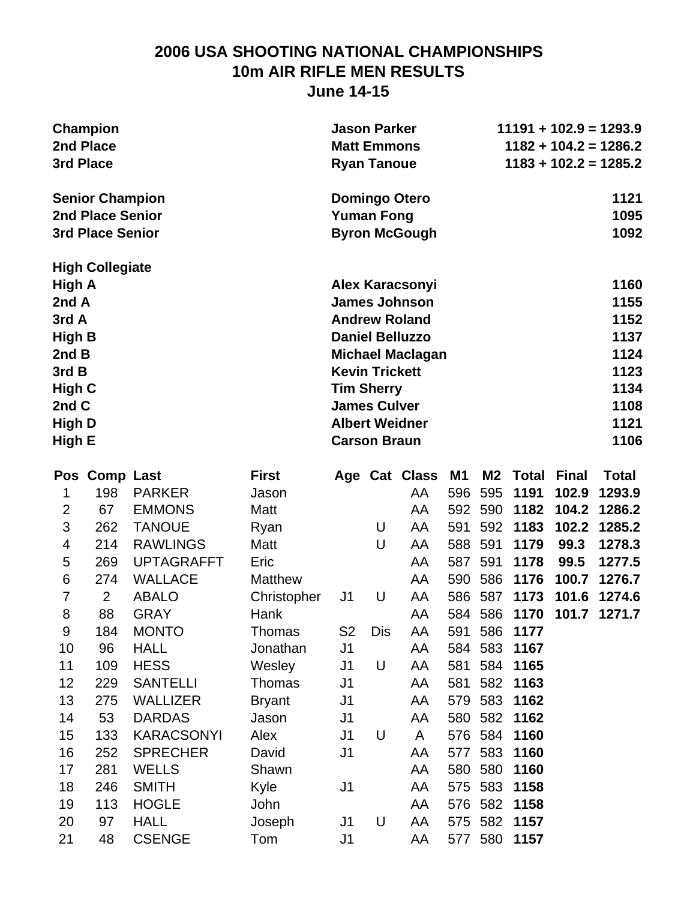### **2006 USA SHOOTING NATIONAL CHAMPIONSHIPS 10m AIR RIFLE MEN RESULTS June 14-15**

| <b>Champion</b>         | <b>Jason Parker</b>     | $11191 + 102.9 = 1293.9$ |
|-------------------------|-------------------------|--------------------------|
| 2nd Place               | <b>Matt Emmons</b>      | $1182 + 104.2 = 1286.2$  |
| 3rd Place               | <b>Ryan Tanoue</b>      | $1183 + 102.2 = 1285.2$  |
| <b>Senior Champion</b>  | <b>Domingo Otero</b>    | 1121                     |
| 2nd Place Senior        | <b>Yuman Fong</b>       | 1095                     |
| <b>3rd Place Senior</b> | <b>Byron McGough</b>    | 1092                     |
| <b>High Collegiate</b>  |                         |                          |
| High A                  | <b>Alex Karacsonyi</b>  | 1160                     |
| 2nd A                   | <b>James Johnson</b>    | 1155                     |
| 3rd A                   | <b>Andrew Roland</b>    | 1152                     |
| High B                  | <b>Daniel Belluzzo</b>  | 1137                     |
| 2nd B                   | <b>Michael Maclagan</b> | 1124                     |
| 3rdB                    | <b>Kevin Trickett</b>   | 1123                     |
| High C                  | <b>Tim Sherry</b>       | 1134                     |
| 2nd C                   | <b>James Culver</b>     | 1108                     |
| High D                  | <b>Albert Weidner</b>   | 1121                     |
| High E                  | <b>Carson Braun</b>     | 1106                     |

|                |                   | <b>First</b>     |                |            |    | M <sub>1</sub> | <b>M2</b> |      |       | <b>Total</b>       |
|----------------|-------------------|------------------|----------------|------------|----|----------------|-----------|------|-------|--------------------|
| 198            | <b>PARKER</b>     | Jason            |                |            | AA | 596            | 595       | 1191 | 102.9 | 1293.9             |
| 67             | <b>EMMONS</b>     | Matt             |                |            | AA | 592            | 590       | 1182 | 104.2 | 1286.2             |
| 262            | <b>TANOUE</b>     | Ryan             |                | U          | AA | 591            | 592       | 1183 | 102.2 | 1285.2             |
| 214            | <b>RAWLINGS</b>   | Matt             |                | U          | AA | 588            | 591       | 1179 | 99.3  | 1278.3             |
| 269            | <b>UPTAGRAFFT</b> | Eric             |                |            | AA | 587            | 591       | 1178 | 99.5  | 1277.5             |
| 274            | <b>WALLACE</b>    | <b>Matthew</b>   |                |            | AA | 590            | 586       | 1176 | 100.7 | 1276.7             |
| $\overline{2}$ | <b>ABALO</b>      | Christopher      | J <sub>1</sub> | U          | AA | 586            | 587       | 1173 | 101.6 | 1274.6             |
| 88             | <b>GRAY</b>       | Hank             |                |            | AA | 584            | 586       | 1170 | 101.7 | 1271.7             |
| 184            | <b>MONTO</b>      | Thomas           | S <sub>2</sub> | <b>Dis</b> | AA | 591            | 586       | 1177 |       |                    |
| 96             | <b>HALL</b>       | Jonathan         | J <sub>1</sub> |            | AA | 584            | 583       | 1167 |       |                    |
| 109            | <b>HESS</b>       | Wesley           | J1             | U          | AA | 581            | 584       | 1165 |       |                    |
| 229            | <b>SANTELLI</b>   | Thomas           | J <sub>1</sub> |            | AA | 581            | 582       | 1163 |       |                    |
| 275            | <b>WALLIZER</b>   | <b>Bryant</b>    | J1             |            | AA | 579            | 583       | 1162 |       |                    |
| 53             | <b>DARDAS</b>     | Jason            | J <sub>1</sub> |            | AA | 580            | 582       | 1162 |       |                    |
| 133            | <b>KARACSONYI</b> | Alex             | J <sub>1</sub> | U          | A  | 576            | 584       | 1160 |       |                    |
| 252            | <b>SPRECHER</b>   | David            | J <sub>1</sub> |            | AA |                | 583       | 1160 |       |                    |
| 281            | <b>WELLS</b>      | Shawn            |                |            | AA | 580            | 580       | 1160 |       |                    |
| 246            | <b>SMITH</b>      | Kyle             | J <sub>1</sub> |            | AA | 575            | 583       | 1158 |       |                    |
| 113            | <b>HOGLE</b>      | John             |                |            | AA | 576            | 582       | 1158 |       |                    |
| 97             | <b>HALL</b>       | Joseph           | J1             | U          | AA | 575            | 582       | 1157 |       |                    |
| 48             | <b>CSENGE</b>     | Tom              | J1             |            | AA |                | 580       | 1157 |       |                    |
|                |                   | <b>Comp Last</b> |                |            |    | Age Cat Class  | 577       | 577  |       | <b>Total Final</b> |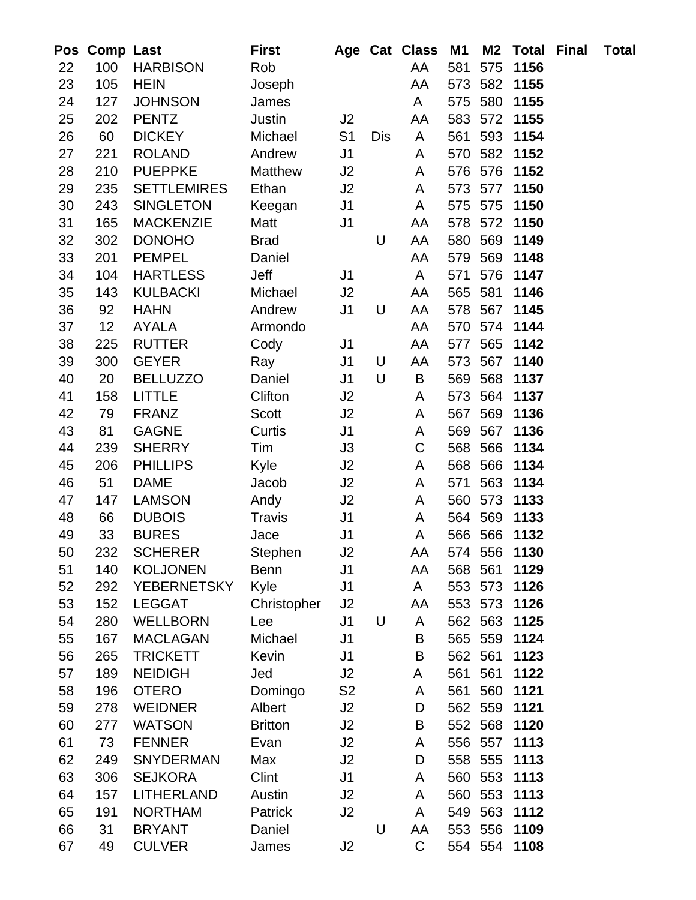| Pos      | <b>Comp Last</b> |                                     | <b>First</b>      |                      |     | Age Cat Class | M <sub>1</sub> | <b>M2</b>      | <b>Total</b> | Final | <b>Total</b> |
|----------|------------------|-------------------------------------|-------------------|----------------------|-----|---------------|----------------|----------------|--------------|-------|--------------|
| 22       | 100              | <b>HARBISON</b>                     | Rob               |                      |     | AA            | 581            | 575            | 1156         |       |              |
| 23       | 105              | <b>HEIN</b>                         | Joseph            |                      |     | AA            | 573            | 582            | 1155         |       |              |
| 24       | 127              | <b>JOHNSON</b>                      | James             |                      |     | A             | 575            | 580            | 1155         |       |              |
| 25       | 202              | <b>PENTZ</b>                        | <b>Justin</b>     | J <sub>2</sub>       |     | AA            | 583            | 572            | 1155         |       |              |
| 26       | 60               | <b>DICKEY</b>                       | Michael           | S <sub>1</sub>       | Dis | A             | 561            | 593            | 1154         |       |              |
| 27       | 221              | <b>ROLAND</b>                       | Andrew            | J <sub>1</sub>       |     | A             | 570            | 582            | 1152         |       |              |
| 28       | 210              | <b>PUEPPKE</b>                      | <b>Matthew</b>    | J2                   |     | A             | 576            | 576            | 1152         |       |              |
| 29       | 235              | <b>SETTLEMIRES</b>                  | Ethan             | J2                   |     | A             | 573            | 577            | 1150         |       |              |
| 30       | 243              | <b>SINGLETON</b>                    | Keegan            | J <sub>1</sub>       |     | A             | 575            | 575            | 1150         |       |              |
| 31       | 165              | <b>MACKENZIE</b>                    | Matt              | J <sub>1</sub>       |     | AA            | 578            | 572            | 1150         |       |              |
| 32       | 302              | <b>DONOHO</b>                       | <b>Brad</b>       |                      | U   | AA            | 580            | 569            | 1149         |       |              |
| 33       | 201              | <b>PEMPEL</b>                       | Daniel            |                      |     | AA            | 579            | 569            | 1148         |       |              |
| 34       | 104              | <b>HARTLESS</b>                     | Jeff              | J <sub>1</sub>       |     | A             | 571            | 576            | 1147         |       |              |
| 35       | 143              | <b>KULBACKI</b>                     | Michael           | J2                   |     | AA            | 565            | 581            | 1146         |       |              |
| 36       | 92               | <b>HAHN</b>                         | Andrew            | J <sub>1</sub>       | U   | AA            | 578            | 567            | 1145         |       |              |
| 37       | 12               | <b>AYALA</b>                        | Armondo           |                      |     | AA            | 570            | 574            | 1144         |       |              |
| 38       | 225              | <b>RUTTER</b>                       | Cody              | J <sub>1</sub>       |     | AA            | 577            | 565            | 1142         |       |              |
| 39       | 300              | <b>GEYER</b>                        | Ray               | J <sub>1</sub>       | U   | AA            | 573            | 567            | 1140         |       |              |
| 40       | 20               | <b>BELLUZZO</b>                     | Daniel            | J <sub>1</sub>       | U   | B             | 569            | 568            | 1137         |       |              |
| 41       | 158              | <b>LITTLE</b>                       | Clifton           | J2                   |     | A             | 573            | 564            | 1137         |       |              |
| 42       | 79               | <b>FRANZ</b>                        | <b>Scott</b>      | J2                   |     | A             | 567            | 569            | 1136         |       |              |
| 43       | 81               | <b>GAGNE</b>                        | Curtis            | J <sub>1</sub>       |     | A             | 569            | 567            | 1136         |       |              |
| 44       | 239              | <b>SHERRY</b>                       | Tim               | J3                   |     | $\mathsf C$   | 568            | 566            | 1134         |       |              |
| 45       | 206              | <b>PHILLIPS</b>                     | Kyle              | J2                   |     | A             | 568            | 566            | 1134         |       |              |
| 46       | 51               | <b>DAME</b>                         | Jacob             | J2                   |     | A             | 571            | 563            | 1134         |       |              |
| 47       | 147              | <b>LAMSON</b>                       | Andy              | J2                   |     | A             | 560            | 573            | 1133         |       |              |
| 48       | 66               | <b>DUBOIS</b>                       | <b>Travis</b>     | J <sub>1</sub>       |     | A             | 564            | 569            | 1133         |       |              |
| 49       | 33               | <b>BURES</b>                        | Jace              | J <sub>1</sub>       |     | A             |                | 566 566        | 1132         |       |              |
| 50       | 232              | <b>SCHERER</b>                      | Stephen           | J2                   |     | AA            | 574            | 556            | 1130         |       |              |
| 51       | 140              | <b>KOLJONEN</b>                     | <b>Benn</b>       | J <sub>1</sub>       |     | AA            | 568            | 561            | 1129         |       |              |
| 52       | 292              | <b>YEBERNETSKY</b>                  | Kyle              | J <sub>1</sub>       |     | A             | 553            | 573            | 1126         |       |              |
| 53       | 152              | <b>LEGGAT</b>                       | Christopher       | J2                   |     | AA            |                | 553 573        | 1126         |       |              |
| 54       | 280              | <b>WELLBORN</b>                     | Lee               | J <sub>1</sub>       | U   | A             | 562            | 563            | 1125         |       |              |
| 55       | 167              | <b>MACLAGAN</b>                     | Michael           | J <sub>1</sub>       |     | B             |                | 565 559        | 1124         |       |              |
| 56       | 265              | <b>TRICKETT</b>                     | Kevin             | J <sub>1</sub>       |     | B             |                | 562 561        | 1123         |       |              |
| 57       | 189              | <b>NEIDIGH</b>                      | Jed               | J2                   |     | A             | 561            | 561            | 1122         |       |              |
| 58       | 196              | <b>OTERO</b>                        | Domingo           | S <sub>2</sub>       |     | A             | 561            | 560            | 1121         |       |              |
| 59       | 278              | <b>WEIDNER</b>                      | Albert            | J2                   |     | D             |                | 562 559        | 1121         |       |              |
| 60       | 277              | <b>WATSON</b>                       | <b>Britton</b>    | J2                   |     | B             |                | 552 568        | 1120         |       |              |
| 61       | 73<br>249        | <b>FENNER</b><br><b>SNYDERMAN</b>   | Evan<br>Max       | J2                   |     | A<br>D        | 558            | 556 557<br>555 | 1113<br>1113 |       |              |
| 62       |                  |                                     |                   | J2                   |     |               |                |                |              |       |              |
| 63<br>64 | 306<br>157       | <b>SEJKORA</b><br><b>LITHERLAND</b> | Clint             | J <sub>1</sub><br>J2 |     | A<br>A        | 560            | 553<br>560 553 | 1113<br>1113 |       |              |
| 65       | 191              | <b>NORTHAM</b>                      | Austin<br>Patrick | J2                   |     | A             | 549            | 563            | 1112         |       |              |
| 66       | 31               | <b>BRYANT</b>                       | Daniel            |                      | U   | AA            | 553            | 556            | 1109         |       |              |
| 67       | 49               | <b>CULVER</b>                       | James             | J2                   |     | C             |                |                | 554 554 1108 |       |              |
|          |                  |                                     |                   |                      |     |               |                |                |              |       |              |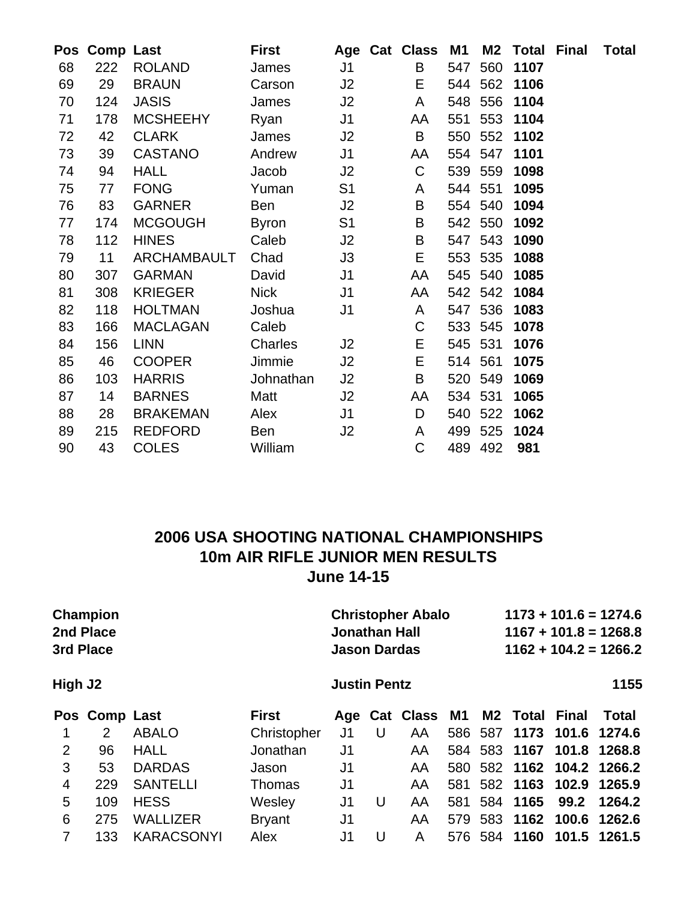|    | Pos Comp Last |                 | <b>First</b> |                | Age Cat Class | M1      |         | <b>M2 Total Final</b> | <b>Total</b> |
|----|---------------|-----------------|--------------|----------------|---------------|---------|---------|-----------------------|--------------|
| 68 | 222           | <b>ROLAND</b>   | James        | J <sub>1</sub> | B             | 547     | 560     | 1107                  |              |
| 69 | 29            | <b>BRAUN</b>    | Carson       | J2             | E             | 544     | 562     | 1106                  |              |
| 70 | 124           | <b>JASIS</b>    | James        | J2             | A             | 548     | 556     | 1104                  |              |
| 71 | 178           | <b>MCSHEEHY</b> | Ryan         | J <sub>1</sub> | AA            | 551     | 553     | 1104                  |              |
| 72 | 42            | <b>CLARK</b>    | James        | J2             | B             | 550     | 552     | 1102                  |              |
| 73 | 39            | <b>CASTANO</b>  | Andrew       | J <sub>1</sub> | AA            | 554     | 547     | 1101                  |              |
| 74 | 94            | <b>HALL</b>     | Jacob        | J2             | C             |         | 539 559 | 1098                  |              |
| 75 | 77            | <b>FONG</b>     | Yuman        | S <sub>1</sub> | A             | 544     | 551     | 1095                  |              |
| 76 | 83            | <b>GARNER</b>   | Ben          | J2             | B             |         | 554 540 | 1094                  |              |
| 77 | 174           | <b>MCGOUGH</b>  | <b>Byron</b> | S <sub>1</sub> | B             |         | 542 550 | 1092                  |              |
| 78 | 112           | <b>HINES</b>    | Caleb        | J2             | B             | 547     | 543     | 1090                  |              |
| 79 | 11            | ARCHAMBAULT     | Chad         | J3             | Е             | 553     | 535     | 1088                  |              |
| 80 | 307           | <b>GARMAN</b>   | David        | J <sub>1</sub> | AA            | 545     | 540     | 1085                  |              |
| 81 | 308           | <b>KRIEGER</b>  | <b>Nick</b>  | J <sub>1</sub> | AA            |         | 542 542 | 1084                  |              |
| 82 | 118           | <b>HOLTMAN</b>  | Joshua       | J <sub>1</sub> | A             |         | 547 536 | 1083                  |              |
| 83 | 166           | <b>MACLAGAN</b> | Caleb        |                | $\mathsf C$   |         | 533 545 | 1078                  |              |
| 84 | 156           | <b>LINN</b>     | Charles      | J2             | Е             | 545 531 |         | 1076                  |              |
| 85 | 46            | <b>COOPER</b>   | Jimmie       | J2             | Е             | 514 561 |         | 1075                  |              |
| 86 | 103           | <b>HARRIS</b>   | Johnathan    | J2             | B             | 520     | 549     | 1069                  |              |
| 87 | 14            | <b>BARNES</b>   | Matt         | J2             | AA            | 534 531 |         | 1065                  |              |
| 88 | 28            | <b>BRAKEMAN</b> | Alex         | J <sub>1</sub> | D             | 540     | 522     | 1062                  |              |
| 89 | 215           | <b>REDFORD</b>  | Ben          | J2             | A             | 499     | 525     | 1024                  |              |
| 90 | 43            | <b>COLES</b>    | William      |                | C             | 489     | 492     | 981                   |              |
|    |               |                 |              |                |               |         |         |                       |              |

### **2006 USA SHOOTING NATIONAL CHAMPIONSHIPS 10m AIR RIFLE JUNIOR MEN RESULTS June 14-15**

**Champion Christopher Abalo** 1173 + 101.6 = 1274.6<br>2nd Place 3rd Christopher Abalo 1167 + 101.8 = 1268.8 **3rd Place Jason Dardas 1162 + 104.2 = 1266.2**

#### **High J2** 1155

**2nd Place Jonathan Hall 1167 + 101.8 = 1268.8**

|                |     | Pos Comp Last  | First         |     |                        |    |  |  | Age Cat Class M1 M2 Total Final Total |
|----------------|-----|----------------|---------------|-----|------------------------|----|--|--|---------------------------------------|
| $\overline{1}$ | 2   | ABALO          | Christopher   | J1  | $\overline{U}$         |    |  |  | AA 586 587 1173 101.6 1274.6          |
| $\mathcal{P}$  | 96  | HALL           | Jonathan      |     | J1                     | AA |  |  | 584 583 1167 101.8 1268.8             |
| 3              | 53  | <b>DARDAS</b>  | Jason         |     | $J1$ and $J1$ and $J1$ | AA |  |  | 580 582 1162 104.2 1266.2             |
| 4              |     | 229 SANTELLI   | <b>Thomas</b> | J1  |                        | AA |  |  | 581 582 1163 102.9 1265.9             |
| 5.             |     | 109 HESS       | Wesley        | J1  | U                      | AA |  |  | 581 584 1165 99.2 1264.2              |
| 6              | 275 | WALLIZER       | <b>Bryant</b> | J1  |                        | AA |  |  | 579 583 1162 100.6 1262.6             |
|                |     | 133 KARACSONYI | Alex          | J1. | U                      | A  |  |  | 576 584 1160 101.5 1261.5             |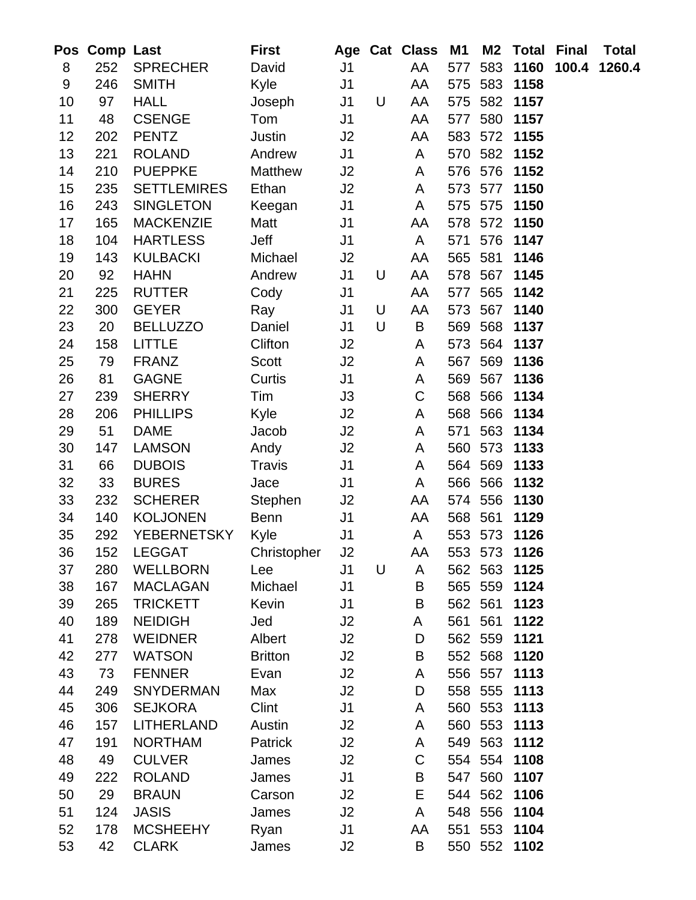| Pos      | <b>Comp Last</b> |                              | <b>First</b>   |                |   | Age Cat Class | M <sub>1</sub> | M <sub>2</sub> | <b>Total</b>         | <b>Final</b> | Total  |
|----------|------------------|------------------------------|----------------|----------------|---|---------------|----------------|----------------|----------------------|--------------|--------|
| 8        | 252              | <b>SPRECHER</b>              | David          | J <sub>1</sub> |   | AA            | 577            | 583            | 1160                 | 100.4        | 1260.4 |
| 9        | 246              | <b>SMITH</b>                 | Kyle           | J <sub>1</sub> |   | AA            |                | 575 583        | 1158                 |              |        |
| 10       | 97               | <b>HALL</b>                  | Joseph         | J <sub>1</sub> | U | AA            |                | 575 582        | 1157                 |              |        |
| 11       | 48               | <b>CSENGE</b>                | Tom            | J <sub>1</sub> |   | AA            | 577            | 580            | 1157                 |              |        |
| 12       | 202              | <b>PENTZ</b>                 | Justin         | J2             |   | AA            |                | 583 572        | 1155                 |              |        |
| 13       | 221              | <b>ROLAND</b>                | Andrew         | J <sub>1</sub> |   | A             | 570            | 582            | 1152                 |              |        |
| 14       | 210              | <b>PUEPPKE</b>               | Matthew        | J2             |   | A             | 576            | 576            | 1152                 |              |        |
| 15       | 235              | <b>SETTLEMIRES</b>           | Ethan          | J2             |   | A             | 573            | 577            | 1150                 |              |        |
| 16       | 243              | <b>SINGLETON</b>             | Keegan         | J <sub>1</sub> |   | A             | 575            | 575            | 1150                 |              |        |
| 17       | 165              | <b>MACKENZIE</b>             | Matt           | J <sub>1</sub> |   | AA            |                | 578 572        | 1150                 |              |        |
| 18       | 104              | <b>HARTLESS</b>              | Jeff           | J <sub>1</sub> |   | A             | 571            | 576            | 1147                 |              |        |
| 19       | 143              | <b>KULBACKI</b>              | Michael        | J2             |   | AA            | 565 581        |                | 1146                 |              |        |
| 20       | 92               | <b>HAHN</b>                  | Andrew         | J <sub>1</sub> | U | AA            | 578            | 567            | 1145                 |              |        |
| 21       | 225              | <b>RUTTER</b>                | Cody           | J <sub>1</sub> |   | AA            | 577            | 565            | 1142                 |              |        |
| 22       | 300              | <b>GEYER</b>                 | Ray            | J <sub>1</sub> | U | AA            | 573            | 567            | 1140                 |              |        |
| 23       | 20               | <b>BELLUZZO</b>              | Daniel         | J <sub>1</sub> | U | B             | 569            | 568            | 1137                 |              |        |
| 24       | 158              | <b>LITTLE</b>                | Clifton        | J2             |   | A             | 573            | 564            | 1137                 |              |        |
| 25       | 79               | <b>FRANZ</b>                 | <b>Scott</b>   | J2             |   | A             | 567            | 569            | 1136                 |              |        |
| 26       | 81               | <b>GAGNE</b>                 | Curtis         | J <sub>1</sub> |   | A             | 569            | 567            | 1136                 |              |        |
| 27       | 239              | <b>SHERRY</b>                | Tim            | J3             |   | C             | 568            | 566            | 1134                 |              |        |
| 28       | 206              | <b>PHILLIPS</b>              | Kyle           | J2             |   | A             |                | 568 566        | 1134                 |              |        |
| 29       | 51               | <b>DAME</b>                  | Jacob          | J2             |   | A             | 571            | 563            | 1134                 |              |        |
| 30       | 147              | <b>LAMSON</b>                | Andy           | J2             |   | A             | 560            | 573            | 1133                 |              |        |
| 31       | 66               | <b>DUBOIS</b>                | Travis         | J <sub>1</sub> |   | A             |                | 564 569        | 1133                 |              |        |
| 32       | 33               | <b>BURES</b>                 | Jace           | J <sub>1</sub> |   | A             |                | 566 566        | 1132                 |              |        |
| 33       | 232              | <b>SCHERER</b>               | Stephen        | J <sub>2</sub> |   | AA            | 574 556        |                | 1130                 |              |        |
| 34       | 140              | <b>KOLJONEN</b>              | <b>Benn</b>    | J <sub>1</sub> |   | AA            | 568 561        |                | 1129                 |              |        |
| 35       | 292              | <b>YEBERNETSKY</b>           | Kyle           | J <sub>1</sub> |   | A             |                | 553 573        | 1126                 |              |        |
| 36       | 152              | LEGGAT                       | Christopher    | J2             |   | AA            | 553 573        |                | 1126                 |              |        |
| 37       | 280              | <b>WELLBORN</b>              | Lee            | J1             | U | A             | 562            | 563            | 1125                 |              |        |
| 38       | 167              | <b>MACLAGAN</b>              | Michael        | J <sub>1</sub> |   | B             |                | 565 559        | 1124                 |              |        |
| 39       | 265              | <b>TRICKETT</b>              | Kevin          | J <sub>1</sub> |   | B             | 562 561        |                | 1123                 |              |        |
| 40       | 189              | <b>NEIDIGH</b>               | Jed            | J2             |   | A             | 561            | 561            | 1122                 |              |        |
| 41       | 278              | <b>WEIDNER</b>               | Albert         | J2             |   | D             |                | 562 559        | 1121                 |              |        |
| 42       | 277              | <b>WATSON</b>                | <b>Britton</b> | J2             |   | B             | 552            | 568            | 1120                 |              |        |
| 43       | 73               | <b>FENNER</b>                | Evan           | J2             |   | A             |                |                | 556 557 1113         |              |        |
| 44       | 249              | <b>SNYDERMAN</b>             | Max            | J2             |   | D             |                | 558 555        | 1113                 |              |        |
| 45       | 306              | <b>SEJKORA</b>               | Clint          | J <sub>1</sub> |   | A             |                |                | 560 553 1113         |              |        |
| 46       | 157              | <b>LITHERLAND</b>            | Austin         | J2             |   | A             |                | 560 553        | 1113                 |              |        |
| 47       | 191              | <b>NORTHAM</b>               | Patrick        | J2             |   | A             |                | 549 563        | 1112                 |              |        |
| 48       | 49               | <b>CULVER</b>                | James          | J2             |   | $\mathsf C$   |                |                | 554 554 1108         |              |        |
| 49       | 222              | <b>ROLAND</b>                | James          | J <sub>1</sub> |   | B             |                | 547 560        | 1107<br>544 562 1106 |              |        |
| 50<br>51 | 29<br>124        | <b>BRAUN</b><br><b>JASIS</b> | Carson         | J2<br>J2       |   | Е<br>A        |                | 548 556        | 1104                 |              |        |
| 52       | 178              | <b>MCSHEEHY</b>              | James          | J <sub>1</sub> |   | AA            | 551            | 553            | 1104                 |              |        |
| 53       | 42               | <b>CLARK</b>                 | Ryan           | J2             |   | B             |                |                | 550 552 1102         |              |        |
|          |                  |                              | James          |                |   |               |                |                |                      |              |        |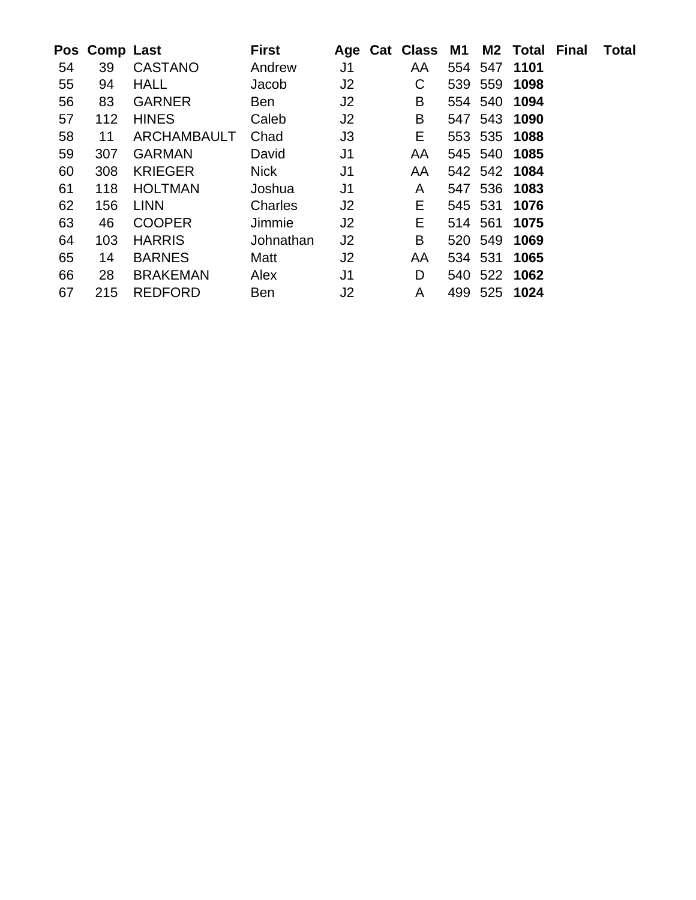|    | Pos Comp Last |                 | <b>First</b> |                | Age Cat Class M1 M2 Total Final |         |              | <b>Total</b> |
|----|---------------|-----------------|--------------|----------------|---------------------------------|---------|--------------|--------------|
| 54 | 39            | <b>CASTANO</b>  | Andrew       | J <sub>1</sub> | AA                              |         | 554 547 1101 |              |
| 55 | 94            | <b>HALL</b>     | Jacob        | J <sub>2</sub> | C                               |         | 539 559 1098 |              |
| 56 | 83            | <b>GARNER</b>   | Ben          | J <sub>2</sub> | B                               |         | 554 540 1094 |              |
| 57 | 112           | <b>HINES</b>    | Caleb        | J <sub>2</sub> | B                               |         | 547 543 1090 |              |
| 58 | 11            | ARCHAMBAULT     | Chad         | J3             | E.                              |         | 553 535 1088 |              |
| 59 | 307           | <b>GARMAN</b>   | David        | J <sub>1</sub> | AA                              |         | 545 540 1085 |              |
| 60 | 308           | <b>KRIEGER</b>  | <b>Nick</b>  | J <sub>1</sub> | AA                              |         | 542 542 1084 |              |
| 61 | 118           | <b>HOLTMAN</b>  | Joshua       | J <sub>1</sub> | A                               |         | 547 536 1083 |              |
| 62 | 156           | <b>LINN</b>     | Charles      | J <sub>2</sub> | E.                              |         | 545 531 1076 |              |
| 63 | 46            | <b>COOPER</b>   | Jimmie       | J <sub>2</sub> | Е                               | 514 561 | 1075         |              |
| 64 | 103           | <b>HARRIS</b>   | Johnathan    | J <sub>2</sub> | B                               |         | 520 549 1069 |              |
| 65 | 14            | <b>BARNES</b>   | Matt         | J <sub>2</sub> | AA                              |         | 534 531 1065 |              |
| 66 | 28            | <b>BRAKEMAN</b> | Alex         | J <sub>1</sub> | D                               |         | 540 522 1062 |              |
| 67 | 215           | <b>REDFORD</b>  | <b>Ben</b>   | J2             | A                               |         | 499 525 1024 |              |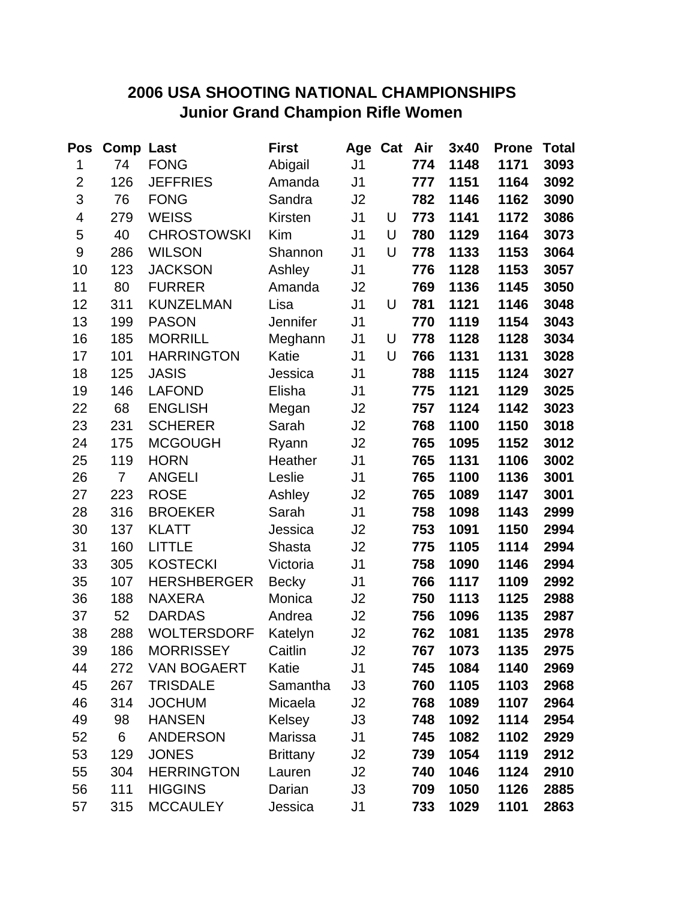# **2006 USA SHOOTING NATIONAL CHAMPIONSHIPS Junior Grand Champion Rifle Women**

| Pos                     | <b>Comp Last</b> |                    | <b>First</b>    | Age Cat        |   | Air | 3x40 | <b>Prone</b> | <b>Total</b> |
|-------------------------|------------------|--------------------|-----------------|----------------|---|-----|------|--------------|--------------|
| 1                       | 74               | <b>FONG</b>        | Abigail         | J <sub>1</sub> |   | 774 | 1148 | 1171         | 3093         |
| $\overline{2}$          | 126              | <b>JEFFRIES</b>    | Amanda          | J <sub>1</sub> |   | 777 | 1151 | 1164         | 3092         |
| 3                       | 76               | <b>FONG</b>        | Sandra          | J <sub>2</sub> |   | 782 | 1146 | 1162         | 3090         |
| $\overline{\mathbf{4}}$ | 279              | <b>WEISS</b>       | Kirsten         | J <sub>1</sub> | U | 773 | 1141 | 1172         | 3086         |
| 5                       | 40               | <b>CHROSTOWSKI</b> | Kim             | J <sub>1</sub> | U | 780 | 1129 | 1164         | 3073         |
| 9                       | 286              | <b>WILSON</b>      | Shannon         | J <sub>1</sub> | U | 778 | 1133 | 1153         | 3064         |
| 10                      | 123              | <b>JACKSON</b>     | Ashley          | J <sub>1</sub> |   | 776 | 1128 | 1153         | 3057         |
| 11                      | 80               | <b>FURRER</b>      | Amanda          | J2             |   | 769 | 1136 | 1145         | 3050         |
| 12                      | 311              | <b>KUNZELMAN</b>   | Lisa            | J <sub>1</sub> | U | 781 | 1121 | 1146         | 3048         |
| 13                      | 199              | <b>PASON</b>       | <b>Jennifer</b> | J <sub>1</sub> |   | 770 | 1119 | 1154         | 3043         |
| 16                      | 185              | <b>MORRILL</b>     | Meghann         | J <sub>1</sub> | U | 778 | 1128 | 1128         | 3034         |
| 17                      | 101              | <b>HARRINGTON</b>  | Katie           | J <sub>1</sub> | U | 766 | 1131 | 1131         | 3028         |
| 18                      | 125              | <b>JASIS</b>       | Jessica         | J <sub>1</sub> |   | 788 | 1115 | 1124         | 3027         |
| 19                      | 146              | <b>LAFOND</b>      | Elisha          | J <sub>1</sub> |   | 775 | 1121 | 1129         | 3025         |
| 22                      | 68               | <b>ENGLISH</b>     | Megan           | J2             |   | 757 | 1124 | 1142         | 3023         |
| 23                      | 231              | <b>SCHERER</b>     | Sarah           | J2             |   | 768 | 1100 | 1150         | 3018         |
| 24                      | 175              | <b>MCGOUGH</b>     | Ryann           | J2             |   | 765 | 1095 | 1152         | 3012         |
| 25                      | 119              | <b>HORN</b>        | Heather         | J <sub>1</sub> |   | 765 | 1131 | 1106         | 3002         |
| 26                      | $\overline{7}$   | <b>ANGELI</b>      | Leslie          | J <sub>1</sub> |   | 765 | 1100 | 1136         | 3001         |
| 27                      | 223              | <b>ROSE</b>        | Ashley          | J2             |   | 765 | 1089 | 1147         | 3001         |
| 28                      | 316              | <b>BROEKER</b>     | Sarah           | J <sub>1</sub> |   | 758 | 1098 | 1143         | 2999         |
| 30                      | 137              | <b>KLATT</b>       | Jessica         | J2             |   | 753 | 1091 | 1150         | 2994         |
| 31                      | 160              | <b>LITTLE</b>      | Shasta          | J2             |   | 775 | 1105 | 1114         | 2994         |
| 33                      | 305              | <b>KOSTECKI</b>    | Victoria        | J <sub>1</sub> |   | 758 | 1090 | 1146         | 2994         |
| 35                      | 107              | <b>HERSHBERGER</b> | <b>Becky</b>    | J <sub>1</sub> |   | 766 | 1117 | 1109         | 2992         |
| 36                      | 188              | <b>NAXERA</b>      | Monica          | J <sub>2</sub> |   | 750 | 1113 | 1125         | 2988         |
| 37                      | 52               | <b>DARDAS</b>      | Andrea          | J2             |   | 756 | 1096 | 1135         | 2987         |
| 38                      | 288              | <b>WOLTERSDORF</b> | Katelyn         | J2             |   | 762 | 1081 | 1135         | 2978         |
| 39                      | 186              | <b>MORRISSEY</b>   | Caitlin         | J2             |   | 767 | 1073 | 1135         | 2975         |
| 44                      | 272              | <b>VAN BOGAERT</b> | Katie           | J1             |   | 745 | 1084 | 1140         | 2969         |
| 45                      | 267              | <b>TRISDALE</b>    | Samantha        | J3             |   | 760 | 1105 | 1103         | 2968         |
| 46                      | 314              | <b>JOCHUM</b>      | Micaela         | J2             |   | 768 | 1089 | 1107         | 2964         |
| 49                      | 98               | <b>HANSEN</b>      | Kelsey          | J3             |   | 748 | 1092 | 1114         | 2954         |
| 52                      | 6                | <b>ANDERSON</b>    | Marissa         | J <sub>1</sub> |   | 745 | 1082 | 1102         | 2929         |
| 53                      | 129              | <b>JONES</b>       | <b>Brittany</b> | J2             |   | 739 | 1054 | 1119         | 2912         |
| 55                      | 304              | <b>HERRINGTON</b>  | Lauren          | J2             |   | 740 | 1046 | 1124         | 2910         |
| 56                      | 111              | <b>HIGGINS</b>     | Darian          | J3             |   | 709 | 1050 | 1126         | 2885         |
| 57                      | 315              | <b>MCCAULEY</b>    | Jessica         | J <sub>1</sub> |   | 733 | 1029 | 1101         | 2863         |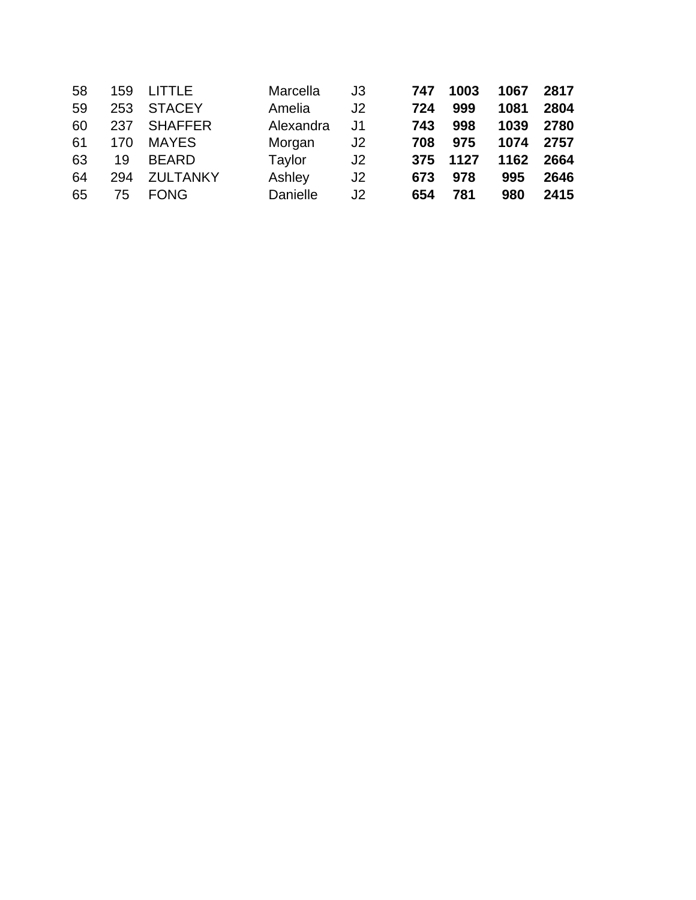| 58 | 159 | LITTLE          | Marcella  | J3             | 747 | 1003 | 1067 | 2817 |
|----|-----|-----------------|-----------|----------------|-----|------|------|------|
| 59 | 253 | <b>STACEY</b>   | Amelia    | J2             | 724 | 999  | 1081 | 2804 |
| 60 | 237 | <b>SHAFFER</b>  | Alexandra | J1             | 743 | 998  | 1039 | 2780 |
| 61 | 170 | <b>MAYES</b>    | Morgan    | J2             | 708 | 975  | 1074 | 2757 |
| 63 | 19  | <b>BEARD</b>    | Taylor    | J <sub>2</sub> | 375 | 1127 | 1162 | 2664 |
| 64 | 294 | <b>ZULTANKY</b> | Ashley    | J <sub>2</sub> | 673 | 978  | 995  | 2646 |
| 65 | 75  | <b>FONG</b>     | Danielle  | J2             | 654 | 781  | 980  | 2415 |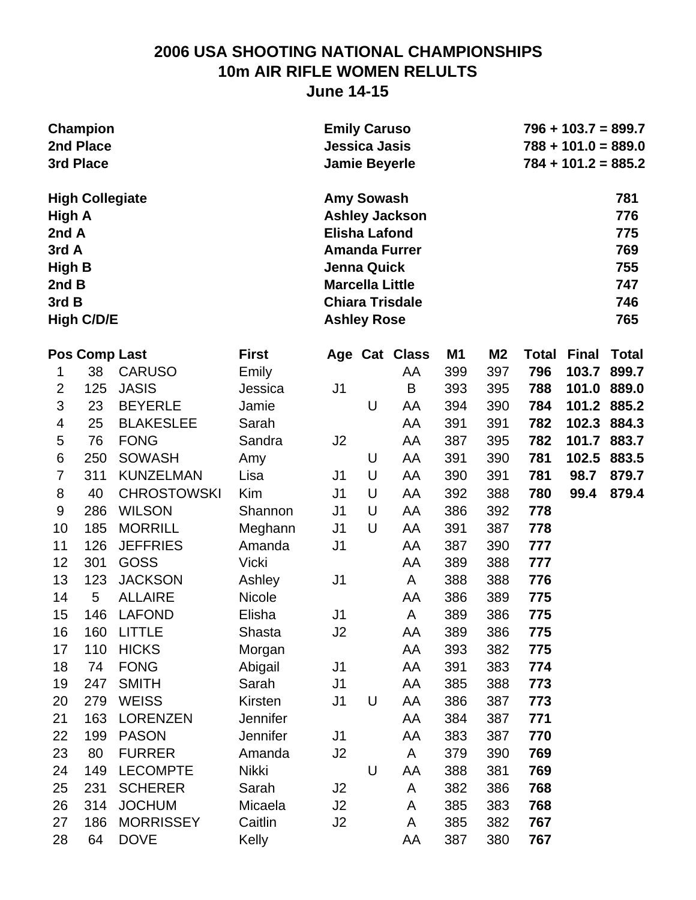### **2006 USA SHOOTING NATIONAL CHAMPIONSHIPS 10m AIR RIFLE WOMEN RELULTS June 14-15**

| <b>Emily Caruso</b>    | $796 + 103.7 = 899.7$ |
|------------------------|-----------------------|
| <b>Jessica Jasis</b>   | $788 + 101.0 = 889.0$ |
| <b>Jamie Beyerle</b>   | $784 + 101.2 = 885.2$ |
| <b>Amy Sowash</b>      | 781                   |
| <b>Ashley Jackson</b>  | 776                   |
| <b>Elisha Lafond</b>   | 775                   |
| <b>Amanda Furrer</b>   | 769                   |
| Jenna Quick            | 755                   |
| <b>Marcella Little</b> | 747                   |
| <b>Chiara Trisdale</b> | 746                   |
| <b>Ashley Rose</b>     | 765                   |
|                        |                       |

|                  | Pos Comp Last |                    | <b>First</b>    |                | Age Cat | <b>Class</b> | M1  | M <sub>2</sub> | <b>Total</b> | <b>Final</b> | <b>Total</b> |
|------------------|---------------|--------------------|-----------------|----------------|---------|--------------|-----|----------------|--------------|--------------|--------------|
| 1                | 38            | <b>CARUSO</b>      | Emily           |                |         | AA           | 399 | 397            | 796          | 103.7 899.7  |              |
| $\overline{2}$   | 125           | <b>JASIS</b>       | Jessica         | J <sub>1</sub> |         | $\sf B$      | 393 | 395            | 788          | 101.0        | 889.0        |
| 3                | 23            | <b>BEYERLE</b>     | Jamie           |                | U       | AA           | 394 | 390            | 784          | 101.2 885.2  |              |
| 4                | 25            | <b>BLAKESLEE</b>   | Sarah           |                |         | AA           | 391 | 391            | 782          | 102.3        | 884.3        |
| 5                | 76            | <b>FONG</b>        | Sandra          | J2             |         | AA           | 387 | 395            | 782          | 101.7        | 883.7        |
| $\,6$            | 250           | <b>SOWASH</b>      | Amy             |                | U       | AA           | 391 | 390            | 781          | 102.5        | 883.5        |
| $\overline{7}$   | 311           | <b>KUNZELMAN</b>   | Lisa            | J1             | U       | AA           | 390 | 391            | 781          | 98.7         | 879.7        |
| 8                | 40            | <b>CHROSTOWSKI</b> | Kim             | J <sub>1</sub> | $\cup$  | AA           | 392 | 388            | 780          | 99.4         | 879.4        |
| $\boldsymbol{9}$ | 286           | <b>WILSON</b>      | Shannon         | J <sub>1</sub> | U       | AA           | 386 | 392            | 778          |              |              |
| 10               | 185           | <b>MORRILL</b>     | Meghann         | J <sub>1</sub> | U       | AA           | 391 | 387            | 778          |              |              |
| 11               | 126           | <b>JEFFRIES</b>    | Amanda          | J <sub>1</sub> |         | AA           | 387 | 390            | 777          |              |              |
| 12               | 301           | <b>GOSS</b>        | <b>Vicki</b>    |                |         | AA           | 389 | 388            | 777          |              |              |
| 13               | 123           | <b>JACKSON</b>     | Ashley          | J <sub>1</sub> |         | A            | 388 | 388            | 776          |              |              |
| 14               | 5             | <b>ALLAIRE</b>     | <b>Nicole</b>   |                |         | AA           | 386 | 389            | 775          |              |              |
| 15               | 146           | <b>LAFOND</b>      | Elisha          | J <sub>1</sub> |         | A            | 389 | 386            | 775          |              |              |
| 16               | 160           | <b>LITTLE</b>      | Shasta          | J2             |         | AA           | 389 | 386            | 775          |              |              |
| 17               | 110           | <b>HICKS</b>       | Morgan          |                |         | AA           | 393 | 382            | 775          |              |              |
| 18               | 74            | <b>FONG</b>        | Abigail         | J <sub>1</sub> |         | AA           | 391 | 383            | 774          |              |              |
| 19               | 247           | <b>SMITH</b>       | Sarah           | J <sub>1</sub> |         | AA           | 385 | 388            | 773          |              |              |
| 20               | 279           | <b>WEISS</b>       | Kirsten         | J <sub>1</sub> | U       | AA           | 386 | 387            | 773          |              |              |
| 21               | 163           | <b>LORENZEN</b>    | <b>Jennifer</b> |                |         | AA           | 384 | 387            | 771          |              |              |
| 22               | 199           | <b>PASON</b>       | Jennifer        | J <sub>1</sub> |         | AA           | 383 | 387            | 770          |              |              |
| 23               | 80            | <b>FURRER</b>      | Amanda          | J2             |         | A            | 379 | 390            | 769          |              |              |
| 24               | 149           | <b>LECOMPTE</b>    | <b>Nikki</b>    |                | U       | AA           | 388 | 381            | 769          |              |              |
| 25               | 231           | <b>SCHERER</b>     | Sarah           | J <sub>2</sub> |         | A            | 382 | 386            | 768          |              |              |
| 26               | 314           | <b>JOCHUM</b>      | Micaela         | J2             |         | A            | 385 | 383            | 768          |              |              |
| 27               | 186           | <b>MORRISSEY</b>   | Caitlin         | J2             |         | A            | 385 | 382            | 767          |              |              |
| 28               | 64            | <b>DOVE</b>        | Kelly           |                |         | AA           | 387 | 380            | 767          |              |              |
|                  |               |                    |                 |                |         |              |     |                |              |              |              |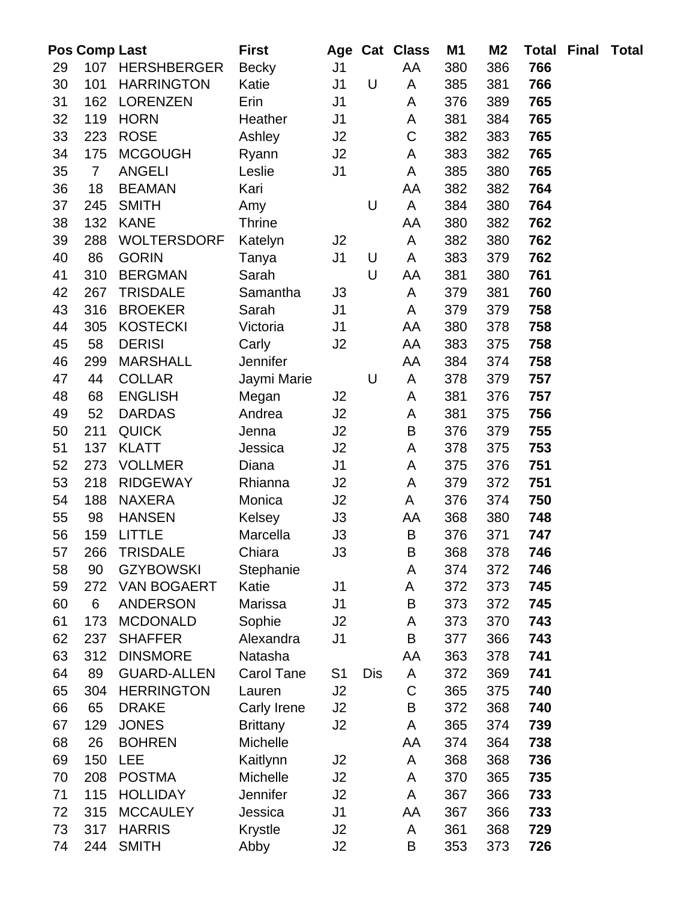|          | Pos Comp Last   |                                   | <b>First</b>         |                |     | Age Cat Class | <b>M1</b>  | M <sub>2</sub> | <b>Total</b> | <b>Final Total</b> |  |
|----------|-----------------|-----------------------------------|----------------------|----------------|-----|---------------|------------|----------------|--------------|--------------------|--|
| 29       |                 | 107 HERSHBERGER                   | <b>Becky</b>         | J <sub>1</sub> |     | AA            | 380        | 386            | 766          |                    |  |
| 30       | 101             | <b>HARRINGTON</b>                 | Katie                | J <sub>1</sub> | U   | A             | 385        | 381            | 766          |                    |  |
| 31       | 162             | <b>LORENZEN</b>                   | Erin                 | J <sub>1</sub> |     | A             | 376        | 389            | 765          |                    |  |
| 32       | 119             | <b>HORN</b>                       | Heather              | J <sub>1</sub> |     | A             | 381        | 384            | 765          |                    |  |
| 33       | 223             | <b>ROSE</b>                       | Ashley               | J2             |     | $\mathsf C$   | 382        | 383            | 765          |                    |  |
| 34       | 175             | <b>MCGOUGH</b>                    | Ryann                | J2             |     | A             | 383        | 382            | 765          |                    |  |
| 35       | $\overline{7}$  | <b>ANGELI</b>                     | Leslie               | J <sub>1</sub> |     | A             | 385        | 380            | 765          |                    |  |
| 36       | 18              | <b>BEAMAN</b>                     | Kari                 |                |     | AA            | 382        | 382            | 764          |                    |  |
| 37       | 245             | <b>SMITH</b>                      | Amy                  |                | U   | A             | 384        | 380            | 764          |                    |  |
| 38       | 132             | <b>KANE</b>                       | <b>Thrine</b>        |                |     | AA            | 380        | 382            | 762          |                    |  |
| 39       | 288             | <b>WOLTERSDORF</b>                | Katelyn              | J2             |     | A             | 382        | 380            | 762          |                    |  |
| 40       | 86              | <b>GORIN</b>                      | Tanya                | J <sub>1</sub> | U   | A             | 383        | 379            | 762          |                    |  |
| 41       | 310             | <b>BERGMAN</b>                    | Sarah                |                | U   | AA            | 381        | 380            | 761          |                    |  |
| 42       | 267             | <b>TRISDALE</b>                   | Samantha             | J3             |     | A             | 379        | 381            | 760          |                    |  |
| 43       | 316             | <b>BROEKER</b>                    | Sarah                | J <sub>1</sub> |     | A             | 379        | 379            | 758          |                    |  |
| 44       | 305             | <b>KOSTECKI</b>                   | Victoria             | J1             |     | AA            | 380        | 378            | 758          |                    |  |
| 45       | 58              | <b>DERISI</b>                     | Carly                | J2             |     | AA            | 383        | 375            | 758          |                    |  |
| 46       | 299             | <b>MARSHALL</b>                   | Jennifer             |                |     | AA            | 384        | 374            | 758          |                    |  |
| 47       | 44              | <b>COLLAR</b>                     | Jaymi Marie          |                | U   | A             | 378        | 379            | 757          |                    |  |
| 48       | 68              | <b>ENGLISH</b>                    | Megan                | J2             |     | A             | 381        | 376            | 757          |                    |  |
| 49       | 52              | <b>DARDAS</b>                     | Andrea               | J2             |     | A             | 381        | 375            | 756          |                    |  |
| 50       | 211             | <b>QUICK</b>                      | Jenna                | J2             |     | B             | 376        | 379            | 755          |                    |  |
| 51       | 137             | <b>KLATT</b>                      | Jessica              | J2             |     | A             | 378        | 375            | 753          |                    |  |
| 52       | 273             | <b>VOLLMER</b>                    | Diana                | J <sub>1</sub> |     | A             | 375        | 376            | 751          |                    |  |
| 53       | 218             | <b>RIDGEWAY</b>                   | Rhianna              | J2             |     | A             | 379        | 372            | 751          |                    |  |
| 54       | 188             | <b>NAXERA</b>                     | Monica               | J2             |     | A             | 376        | 374            | 750          |                    |  |
| 55       | 98              | <b>HANSEN</b>                     | Kelsey               | J3             |     | AA            | 368        | 380            | 748          |                    |  |
| 56       | 159             | <b>LITTLE</b>                     | Marcella             | J3             |     | B             | 376        | 371            | 747          |                    |  |
| 57       | 266             | <b>TRISDALE</b>                   | Chiara               | J3             |     | $\sf B$       | 368        | 378            | 746          |                    |  |
| 58       | 90              | <b>GZYBOWSKI</b>                  | Stephanie            |                |     | A             | 374        | 372            | 746          |                    |  |
| 59       | 272             | <b>VAN BOGAERT</b>                | Katie                | J <sub>1</sub> |     | A             | 372        | 373            | 745          |                    |  |
| 60       | $6\phantom{1}6$ | <b>ANDERSON</b>                   | Marissa              | J <sub>1</sub> |     | B             | 373        | 372            | 745          |                    |  |
| 61<br>62 | 173<br>237      | <b>MCDONALD</b><br><b>SHAFFER</b> | Sophie               | J <sub>2</sub> |     | A<br>$\sf B$  | 373        | 370<br>366     | 743<br>743   |                    |  |
| 63       | 312             | <b>DINSMORE</b>                   | Alexandra<br>Natasha | J <sub>1</sub> |     | AA            | 377<br>363 | 378            | 741          |                    |  |
| 64       | 89              | <b>GUARD-ALLEN</b>                | <b>Carol Tane</b>    | S <sub>1</sub> | Dis | A             | 372        | 369            | 741          |                    |  |
| 65       | 304             | <b>HERRINGTON</b>                 | Lauren               | J2             |     | C             | 365        | 375            | 740          |                    |  |
| 66       | 65              | <b>DRAKE</b>                      | Carly Irene          | J2             |     | $\sf B$       | 372        | 368            | 740          |                    |  |
| 67       | 129             | <b>JONES</b>                      | <b>Brittany</b>      | J <sub>2</sub> |     | A             | 365        | 374            | 739          |                    |  |
| 68       | 26              | <b>BOHREN</b>                     | Michelle             |                |     | AA            | 374        | 364            | 738          |                    |  |
| 69       | 150             | <b>LEE</b>                        | Kaitlynn             | J2             |     | A             | 368        | 368            | 736          |                    |  |
| 70       | 208             | <b>POSTMA</b>                     | Michelle             | J2             |     | A             | 370        | 365            | 735          |                    |  |
| 71       | 115             | <b>HOLLIDAY</b>                   | Jennifer             | J2             |     | A             | 367        | 366            | 733          |                    |  |
| 72       | 315             | <b>MCCAULEY</b>                   | Jessica              | J1             |     | AA            | 367        | 366            | 733          |                    |  |
| 73       | 317             | <b>HARRIS</b>                     | Krystle              | J2             |     | A             | 361        | 368            | 729          |                    |  |
| 74       | 244             | <b>SMITH</b>                      | Abby                 | J2             |     | B             | 353        | 373            | 726          |                    |  |
|          |                 |                                   |                      |                |     |               |            |                |              |                    |  |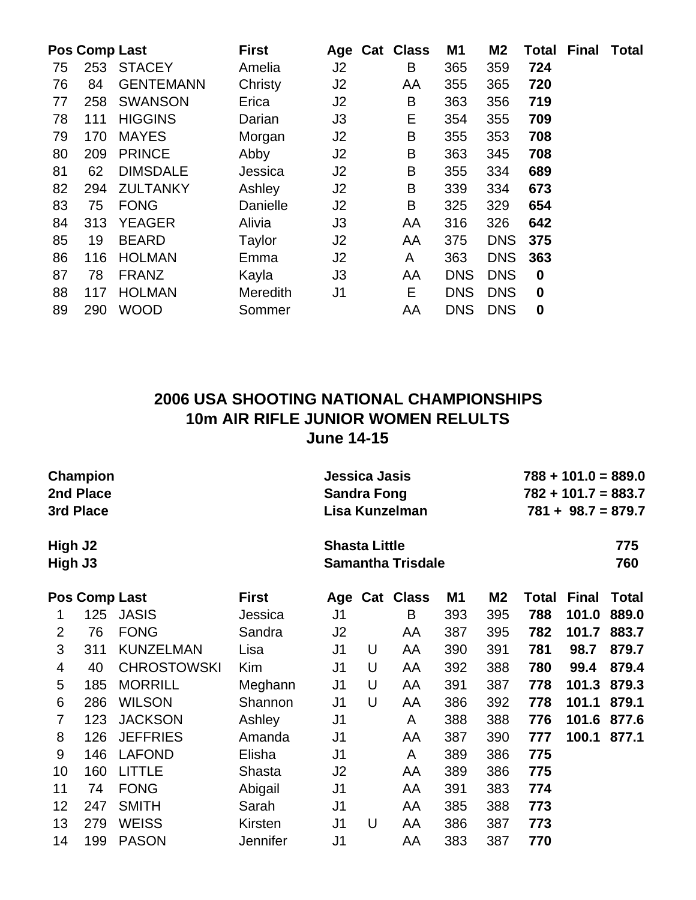|    |     | Pos Comp Last    | <b>First</b>    |                | Age Cat Class | <b>M1</b>  | M <sub>2</sub> | Total       | <b>Final</b> | <b>Total</b> |
|----|-----|------------------|-----------------|----------------|---------------|------------|----------------|-------------|--------------|--------------|
| 75 | 253 | <b>STACEY</b>    | Amelia          | J <sub>2</sub> | В             | 365        | 359            | 724         |              |              |
| 76 | 84  | <b>GENTEMANN</b> | Christy         | J2             | AA            | 355        | 365            | 720         |              |              |
| 77 | 258 | <b>SWANSON</b>   | Erica           | J <sub>2</sub> | B             | 363        | 356            | 719         |              |              |
| 78 | 111 | <b>HIGGINS</b>   | Darian          | J3             | E             | 354        | 355            | 709         |              |              |
| 79 | 170 | <b>MAYES</b>     | Morgan          | J <sub>2</sub> | B             | 355        | 353            | 708         |              |              |
| 80 | 209 | <b>PRINCE</b>    | Abby            | J <sub>2</sub> | B             | 363        | 345            | 708         |              |              |
| 81 | 62  | <b>DIMSDALE</b>  | Jessica         | J <sub>2</sub> | B             | 355        | 334            | 689         |              |              |
| 82 | 294 | <b>ZULTANKY</b>  | Ashley          | J <sub>2</sub> | B             | 339        | 334            | 673         |              |              |
| 83 | 75  | <b>FONG</b>      | Danielle        | J <sub>2</sub> | B             | 325        | 329            | 654         |              |              |
| 84 | 313 | <b>YEAGER</b>    | Alivia          | J3             | AA            | 316        | 326            | 642         |              |              |
| 85 | 19  | <b>BEARD</b>     | Taylor          | J <sub>2</sub> | AA            | 375        | <b>DNS</b>     | 375         |              |              |
| 86 | 116 | <b>HOLMAN</b>    | Emma            | J <sub>2</sub> | A             | 363        | <b>DNS</b>     | 363         |              |              |
| 87 | 78  | <b>FRANZ</b>     | Kayla           | J3             | AA            | <b>DNS</b> | <b>DNS</b>     | $\mathbf 0$ |              |              |
| 88 | 117 | <b>HOLMAN</b>    | <b>Meredith</b> | J <sub>1</sub> | E.            | <b>DNS</b> | <b>DNS</b>     | $\mathbf 0$ |              |              |
| 89 | 290 | <b>WOOD</b>      | Sommer          |                | AA            | <b>DNS</b> | <b>DNS</b>     | $\mathbf 0$ |              |              |

### **2006 USA SHOOTING NATIONAL CHAMPIONSHIPS 10m AIR RIFLE JUNIOR WOMEN RELULTS June 14-15**

| Champion<br>2nd Place<br>3rd Place<br>High J2 |                      |                    |                 | Jessica Jasis<br><b>Sandra Fong</b> |   | Lisa Kunzelman           | $788 + 101.0 = 889.0$<br>$782 + 101.7 = 883.7$<br>$781 + 98.7 = 879.7$ |                |       |              |              |
|-----------------------------------------------|----------------------|--------------------|-----------------|-------------------------------------|---|--------------------------|------------------------------------------------------------------------|----------------|-------|--------------|--------------|
| High J3                                       |                      |                    |                 | <b>Shasta Little</b>                |   | <b>Samantha Trisdale</b> |                                                                        |                |       | 775<br>760   |              |
|                                               | <b>Pos Comp Last</b> |                    | <b>First</b>    |                                     |   | Age Cat Class            | M1                                                                     | M <sub>2</sub> | Total | <b>Final</b> | <b>Total</b> |
| 1                                             | 125                  | <b>JASIS</b>       | Jessica         | J <sub>1</sub>                      |   | B                        | 393                                                                    | 395            | 788   | 101.0        | 889.0        |
| $\overline{2}$                                | 76                   | <b>FONG</b>        | Sandra          | J2                                  |   | AA                       | 387                                                                    | 395            | 782   | 101.7        | 883.7        |
| 3                                             | 311                  | <b>KUNZELMAN</b>   | Lisa            | J1                                  | U | AA                       | 390                                                                    | 391            | 781   | 98.7         | 879.7        |
| 4                                             | 40                   | <b>CHROSTOWSKI</b> | Kim             | J1                                  | U | AA                       | 392                                                                    | 388            | 780   | 99.4         | 879.4        |
| 5                                             | 185                  | <b>MORRILL</b>     | Meghann         | J1                                  | U | AA                       | 391                                                                    | 387            | 778   | 101.3        | 879.3        |
| 6                                             | 286                  | <b>WILSON</b>      | Shannon         | J1                                  | U | AA                       | 386                                                                    | 392            | 778   | 101.1        | 879.1        |
| 7                                             | 123                  | <b>JACKSON</b>     | Ashley          | J <sub>1</sub>                      |   | A                        | 388                                                                    | 388            | 776   | 101.6        | 877.6        |
| 8                                             | 126                  | <b>JEFFRIES</b>    | Amanda          | J <sub>1</sub>                      |   | AA                       | 387                                                                    | 390            | 777   | 100.1        | 877.1        |
| 9                                             | 146                  | <b>LAFOND</b>      | Elisha          | J <sub>1</sub>                      |   | A                        | 389                                                                    | 386            | 775   |              |              |
| 10                                            | 160                  | <b>LITTLE</b>      | Shasta          | J2                                  |   | AA                       | 389                                                                    | 386            | 775   |              |              |
| 11                                            | 74                   | <b>FONG</b>        | Abigail         | J <sub>1</sub>                      |   | AA                       | 391                                                                    | 383            | 774   |              |              |
| 12                                            | 247                  | <b>SMITH</b>       | Sarah           | J <sub>1</sub>                      |   | AA                       | 385                                                                    | 388            | 773   |              |              |
| 13                                            | 279                  | <b>WEISS</b>       | Kirsten         | J1                                  | U | AA                       | 386                                                                    | 387            | 773   |              |              |
| 14                                            | 199                  | <b>PASON</b>       | <b>Jennifer</b> | J1                                  |   | AA                       | 383                                                                    | 387            | 770   |              |              |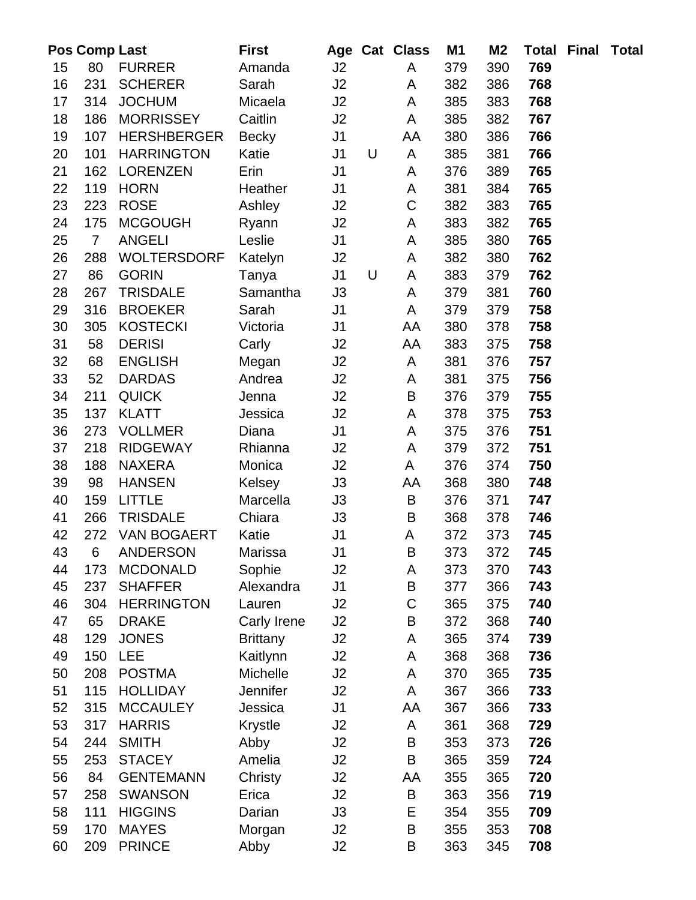|          | <b>Pos Comp Last</b> |                                   | <b>First</b>          |                |   | Age Cat Class    | M1         | M <sub>2</sub> |            | <b>Total Final Total</b> |  |
|----------|----------------------|-----------------------------------|-----------------------|----------------|---|------------------|------------|----------------|------------|--------------------------|--|
| 15       | 80                   | <b>FURRER</b>                     | Amanda                | J2             |   | A                | 379        | 390            | 769        |                          |  |
| 16       | 231                  | <b>SCHERER</b>                    | Sarah                 | J2             |   | A                | 382        | 386            | 768        |                          |  |
| 17       | 314                  | <b>JOCHUM</b>                     | Micaela               | J2             |   | A                | 385        | 383            | 768        |                          |  |
| 18       | 186                  | <b>MORRISSEY</b>                  | Caitlin               | J2             |   | A                | 385        | 382            | 767        |                          |  |
| 19       | 107                  | <b>HERSHBERGER</b>                | <b>Becky</b>          | J <sub>1</sub> |   | AA               | 380        | 386            | 766        |                          |  |
| 20       | 101                  | <b>HARRINGTON</b>                 | Katie                 | J <sub>1</sub> | U | A                | 385        | 381            | 766        |                          |  |
| 21       | 162                  | <b>LORENZEN</b>                   | Erin                  | J <sub>1</sub> |   | A                | 376        | 389            | 765        |                          |  |
| 22       | 119                  | <b>HORN</b>                       | Heather               | J <sub>1</sub> |   | А                | 381        | 384            | 765        |                          |  |
| 23       | 223                  | <b>ROSE</b>                       | Ashley                | J2             |   | $\mathsf C$      | 382        | 383            | 765        |                          |  |
| 24       | 175                  | <b>MCGOUGH</b>                    | Ryann                 | J2             |   | A                | 383        | 382            | 765        |                          |  |
| 25       | $\overline{7}$       | <b>ANGELI</b>                     | Leslie                | J <sub>1</sub> |   | A                | 385        | 380            | 765        |                          |  |
| 26       | 288                  | <b>WOLTERSDORF</b>                | Katelyn               | J2             |   | А                | 382        | 380            | 762        |                          |  |
| 27       | 86                   | <b>GORIN</b>                      | Tanya                 | J <sub>1</sub> | U | A                | 383        | 379            | 762        |                          |  |
| 28       | 267                  | <b>TRISDALE</b>                   | Samantha              | J3             |   | A                | 379        | 381            | 760        |                          |  |
| 29       | 316                  | <b>BROEKER</b>                    | Sarah                 | J <sub>1</sub> |   | A                | 379        | 379            | 758        |                          |  |
| 30       | 305                  | <b>KOSTECKI</b>                   | Victoria              | J1             |   | AA               | 380        | 378            | 758        |                          |  |
| 31       | 58                   | <b>DERISI</b>                     | Carly                 | J2             |   | AA               | 383        | 375            | 758        |                          |  |
| 32       | 68                   | <b>ENGLISH</b>                    | Megan                 | J2             |   | A                | 381        | 376            | 757        |                          |  |
| 33       | 52                   | <b>DARDAS</b>                     | Andrea                | J2             |   | A                | 381        | 375            | 756        |                          |  |
| 34       | 211                  | <b>QUICK</b>                      | Jenna                 | J2             |   | B                | 376        | 379            | 755        |                          |  |
| 35       | 137                  | <b>KLATT</b>                      | Jessica               | J2             |   | A                | 378        | 375            | 753        |                          |  |
| 36       | 273                  | <b>VOLLMER</b>                    | Diana                 | J <sub>1</sub> |   | A                | 375        | 376            | 751        |                          |  |
| 37       | 218                  | <b>RIDGEWAY</b>                   | Rhianna               | J2             |   | A                | 379        | 372            | 751        |                          |  |
| 38       | 188                  | <b>NAXERA</b>                     | Monica                | J2             |   | A                | 376        | 374            | 750        |                          |  |
| 39       | 98                   | <b>HANSEN</b>                     | Kelsey                | J3             |   | AA               | 368        | 380            | 748        |                          |  |
| 40       | 159                  | <b>LITTLE</b>                     | Marcella              | J3             |   | B                | 376        | 371            | 747        |                          |  |
| 41       | 266                  | <b>TRISDALE</b>                   | Chiara                | J3             |   | B                | 368        | 378            | 746        |                          |  |
| 42       | 272                  | <b>VAN BOGAERT</b>                | Katie                 | J <sub>1</sub> |   | A                | 372        | 373            | 745        |                          |  |
| 43       | 6                    | <b>ANDERSON</b>                   | Marissa               | J1             |   | $\sf B$          | 373        | 372            | 745        |                          |  |
| 44       | 173                  | <b>MCDONALD</b>                   | Sophie                | J2             |   | A                | 373        | 370            | 743        |                          |  |
| 45       | 237                  | <b>SHAFFER</b>                    | Alexandra             | J1             |   | В<br>$\mathsf C$ | 377        | 366            | 743        |                          |  |
| 46<br>47 | 304<br>65            | <b>HERRINGTON</b><br><b>DRAKE</b> | Lauren<br>Carly Irene | J2<br>J2       |   | B                | 365<br>372 | 375<br>368     | 740<br>740 |                          |  |
| 48       | 129                  | <b>JONES</b>                      | <b>Brittany</b>       | J2             |   | Α                | 365        | 374            | 739        |                          |  |
| 49       | 150                  | <b>LEE</b>                        | Kaitlynn              | J2             |   | A                | 368        | 368            | 736        |                          |  |
| 50       | 208                  | <b>POSTMA</b>                     | Michelle              | J2             |   | А                | 370        | 365            | 735        |                          |  |
| 51       | 115                  | <b>HOLLIDAY</b>                   | Jennifer              | J2             |   | A                | 367        | 366            | 733        |                          |  |
| 52       | 315                  | <b>MCCAULEY</b>                   | Jessica               | J <sub>1</sub> |   | AA               | 367        | 366            | 733        |                          |  |
| 53       | 317                  | <b>HARRIS</b>                     | Krystle               | J2             |   | A                | 361        | 368            | 729        |                          |  |
| 54       | 244                  | <b>SMITH</b>                      | Abby                  | J2             |   | B                | 353        | 373            | 726        |                          |  |
| 55       | 253                  | <b>STACEY</b>                     | Amelia                | J2             |   | B                | 365        | 359            | 724        |                          |  |
| 56       | 84                   | <b>GENTEMANN</b>                  | Christy               | J2             |   | AA               | 355        | 365            | 720        |                          |  |
| 57       | 258                  | <b>SWANSON</b>                    | Erica                 | J2             |   | B                | 363        | 356            | 719        |                          |  |
| 58       | 111                  | <b>HIGGINS</b>                    | Darian                | J3             |   | E                | 354        | 355            | 709        |                          |  |
| 59       | 170                  | <b>MAYES</b>                      | Morgan                | J2             |   | B                | 355        | 353            | 708        |                          |  |
| 60       | 209                  | <b>PRINCE</b>                     | Abby                  | J2             |   | В                | 363        | 345            | 708        |                          |  |
|          |                      |                                   |                       |                |   |                  |            |                |            |                          |  |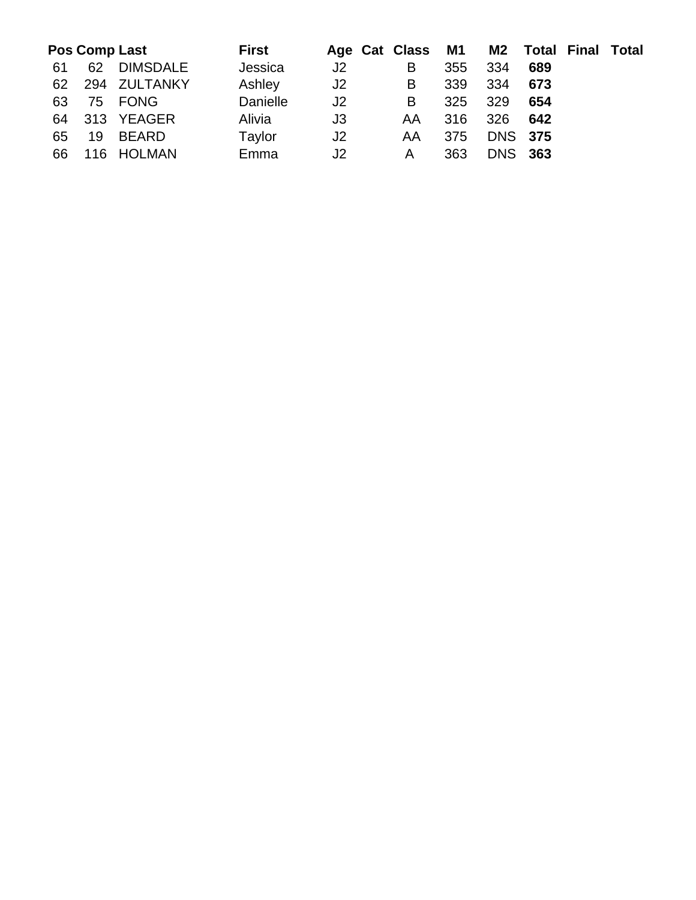|    |    | <b>Pos Comp Last</b> | First    |    | Age Cat Class M1 |     |                |     | <b>M2</b> Total Final Total |  |
|----|----|----------------------|----------|----|------------------|-----|----------------|-----|-----------------------------|--|
| 61 | 62 | <b>DIMSDALE</b>      | Jessica  | J2 | В                | 355 | 334            | 689 |                             |  |
| 62 |    | 294 ZULTANKY         | Ashley   | J2 | B                | 339 | 334            | 673 |                             |  |
| 63 |    | 75 FONG              | Danielle | J2 | B                | 325 | 329            | 654 |                             |  |
| 64 |    | 313 YEAGER           | Alivia   | J3 | AA               | 316 | 326            | 642 |                             |  |
| 65 | 19 | BEARD                | Taylor   | J2 | AA               | 375 | <b>DNS 375</b> |     |                             |  |
| 66 |    | 116 HOLMAN           | Emma     | J2 | A                | 363 | <b>DNS 363</b> |     |                             |  |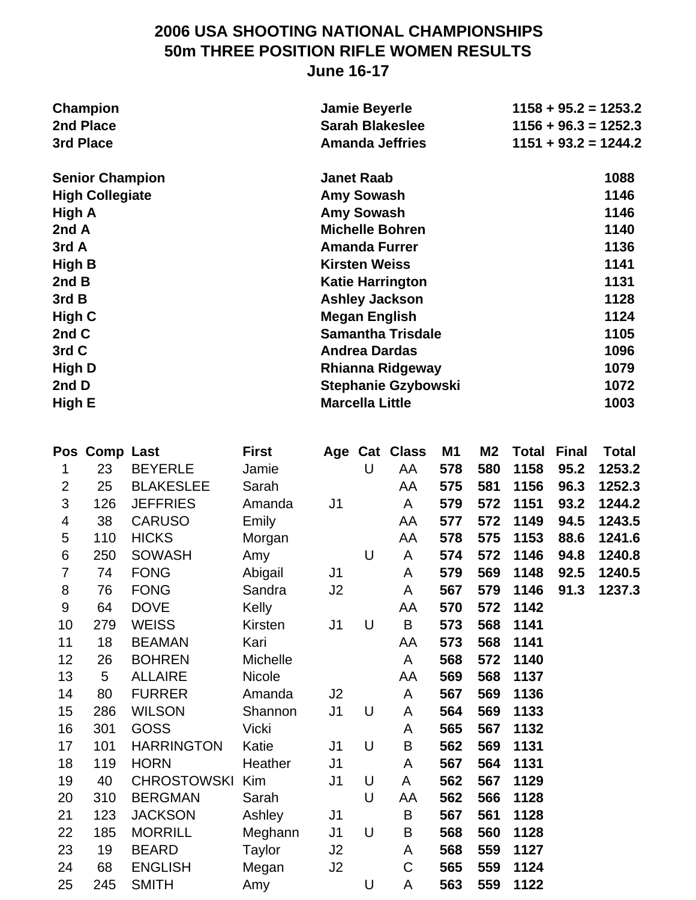### **2006 USA SHOOTING NATIONAL CHAMPIONSHIPS 50m THREE POSITION RIFLE WOMEN RESULTS June 16-17**

|                | <b>Champion</b><br>2nd Place<br>3rd Place |                   |               | <b>Jamie Beyerle</b>   |   | <b>Sarah Blakeslee</b><br><b>Amanda Jeffries</b> |     |                |              |              | $1158 + 95.2 = 1253.2$<br>$1156 + 96.3 = 1252.3$<br>$1151 + 93.2 = 1244.2$ |
|----------------|-------------------------------------------|-------------------|---------------|------------------------|---|--------------------------------------------------|-----|----------------|--------------|--------------|----------------------------------------------------------------------------|
|                | <b>Senior Champion</b>                    |                   |               | <b>Janet Raab</b>      |   |                                                  |     |                |              |              | 1088                                                                       |
|                | <b>High Collegiate</b>                    |                   |               | <b>Amy Sowash</b>      |   |                                                  |     |                |              |              | 1146                                                                       |
| High A         |                                           |                   |               | <b>Amy Sowash</b>      |   |                                                  |     |                |              |              | 1146                                                                       |
| 2nd A          |                                           |                   |               |                        |   | <b>Michelle Bohren</b>                           |     |                |              |              | 1140                                                                       |
| 3rd A          |                                           |                   |               |                        |   | <b>Amanda Furrer</b>                             |     |                |              |              | 1136                                                                       |
| <b>High B</b>  |                                           |                   |               | <b>Kirsten Weiss</b>   |   |                                                  |     |                |              |              | 1141                                                                       |
| 2nd B          |                                           |                   |               |                        |   | <b>Katie Harrington</b>                          |     |                |              |              | 1131                                                                       |
| 3rd B          |                                           |                   |               |                        |   | <b>Ashley Jackson</b>                            |     |                |              |              | 1128                                                                       |
| High C         |                                           |                   |               |                        |   | <b>Megan English</b>                             |     |                |              |              | 1124                                                                       |
| 2nd C          |                                           |                   |               |                        |   | <b>Samantha Trisdale</b>                         |     |                |              |              | 1105                                                                       |
| 3rd C          |                                           |                   |               |                        |   | <b>Andrea Dardas</b>                             |     |                |              |              | 1096                                                                       |
| High D         |                                           |                   |               |                        |   | <b>Rhianna Ridgeway</b>                          |     |                |              |              | 1079                                                                       |
| 2nd D          |                                           |                   |               |                        |   | <b>Stephanie Gzybowski</b>                       |     |                |              |              | 1072                                                                       |
| High E         |                                           |                   |               | <b>Marcella Little</b> |   |                                                  |     |                |              |              | 1003                                                                       |
|                | Pos Comp Last                             |                   | <b>First</b>  | Age                    |   | <b>Cat Class</b>                                 | M1  | M <sub>2</sub> | <b>Total</b> | <b>Final</b> | <b>Total</b>                                                               |
| 1              | 23                                        | <b>BEYERLE</b>    | Jamie         |                        | U | AA                                               | 578 | 580            | 1158         | 95.2         | 1253.2                                                                     |
| $\overline{2}$ | 25                                        | <b>BLAKESLEE</b>  | Sarah         |                        |   | AA                                               | 575 | 581            | 1156         | 96.3         | 1252.3                                                                     |
| 3              | 126                                       | <b>JEFFRIES</b>   | Amanda        | J <sub>1</sub>         |   | A                                                | 579 | 572            | 1151         | 93.2         | 1244.2                                                                     |
| 4              | 38                                        | <b>CARUSO</b>     | Emily         |                        |   | AA                                               | 577 | 572            | 1149         | 94.5         | 1243.5                                                                     |
| 5              | 110                                       | <b>HICKS</b>      | Morgan        |                        |   | AA                                               | 578 | 575            | 1153         | 88.6         | 1241.6                                                                     |
| 6              | 250                                       | <b>SOWASH</b>     | Amy           |                        | U | A                                                | 574 | 572            | 1146         | 94.8         | 1240.8                                                                     |
| $\overline{7}$ | 74                                        | <b>FONG</b>       | Abigail       | J <sub>1</sub>         |   | A                                                | 579 | 569            | 1148         | 92.5         | 1240.5                                                                     |
| 8              | 76                                        | <b>FONG</b>       | Sandra        | J <sub>2</sub>         |   | A                                                | 567 | 579            | 1146         | 91.3         | 1237.3                                                                     |
| 9              | 64                                        | <b>DOVE</b>       | Kelly         |                        |   | AA                                               | 570 | 572            | 1142         |              |                                                                            |
| 10             | 279                                       | <b>WEISS</b>      | Kirsten       | J <sub>1</sub>         | U | B                                                | 573 | 568            | 1141         |              |                                                                            |
| 11             | 18                                        | <b>BEAMAN</b>     | Kari          |                        |   | AA                                               | 573 | 568            | 1141         |              |                                                                            |
| 12             | 26                                        | <b>BOHREN</b>     | Michelle      |                        |   | A                                                | 568 | 572            | 1140         |              |                                                                            |
| 13             | 5                                         | <b>ALLAIRE</b>    | <b>Nicole</b> |                        |   | AA                                               | 569 | 568            | 1137         |              |                                                                            |
| 14             | 80                                        | <b>FURRER</b>     | Amanda        | J2                     |   | A                                                | 567 | 569            | 1136         |              |                                                                            |
| 15             | 286                                       | <b>WILSON</b>     | Shannon       | J <sub>1</sub>         | U | A                                                | 564 | 569            | 1133         |              |                                                                            |
| 16             | 301                                       | <b>GOSS</b>       | <b>Vicki</b>  |                        |   | A                                                | 565 | 567            | 1132         |              |                                                                            |
| 17             | 101                                       | <b>HARRINGTON</b> | Katie         | J1                     | U | B                                                | 562 | 569            | 1131         |              |                                                                            |
| 18             | 119                                       | <b>HORN</b>       | Heather       | J <sub>1</sub>         |   | A                                                | 567 | 564            | 1131         |              |                                                                            |
| 19             | 40                                        | CHROSTOWSKI Kim   |               | J <sub>1</sub>         | U | A                                                | 562 | 567            | 1129         |              |                                                                            |

20 310 BERGMAN Sarah U AA **562 566 1128** 21 123 JACKSON Ashley J1 B **567 561 1128** 22 185 MORRILL Meghann J1 U B **568 560 1128** 23 19 BEARD Taylor J2 A **568 559 1127** 24 68 ENGLISH Megan J2 C **565 559 1124** 25 245 SMITH Amy U A **563 559 1122**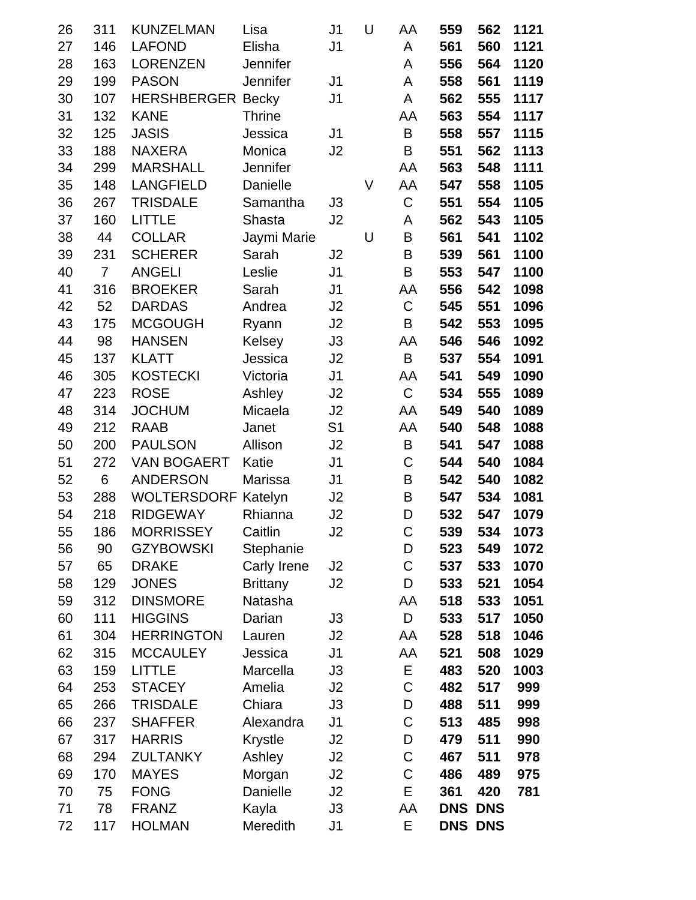| 26       | 311            | <b>KUNZELMAN</b>            | Lisa            | J <sub>1</sub> | U | AA               | 559        | 562            | 1121       |
|----------|----------------|-----------------------------|-----------------|----------------|---|------------------|------------|----------------|------------|
| 27       | 146            | <b>LAFOND</b>               | Elisha          | J <sub>1</sub> |   | A                | 561        | 560            | 1121       |
| 28       | 163            | <b>LORENZEN</b>             | Jennifer        |                |   | A                | 556        | 564            | 1120       |
| 29       | 199            | <b>PASON</b>                | Jennifer        | J <sub>1</sub> |   | A                | 558        | 561            | 1119       |
| 30       | 107            | <b>HERSHBERGER Becky</b>    |                 | J <sub>1</sub> |   | A                | 562        | 555            | 1117       |
| 31       | 132            | <b>KANE</b>                 | <b>Thrine</b>   |                |   | AA               | 563        | 554            | 1117       |
| 32       | 125            | <b>JASIS</b>                | Jessica         | J <sub>1</sub> |   | B                | 558        | 557            | 1115       |
| 33       | 188            | <b>NAXERA</b>               | Monica          | J <sub>2</sub> |   | B                | 551        | 562            | 1113       |
| 34       | 299            | <b>MARSHALL</b>             | Jennifer        |                |   | AA               | 563        | 548            | 1111       |
| 35       | 148            | <b>LANGFIELD</b>            | Danielle        |                | V | AA               | 547        | 558            | 1105       |
| 36       | 267            | <b>TRISDALE</b>             | Samantha        | J3             |   | $\mathsf C$      | 551        | 554            | 1105       |
| 37       | 160            | <b>LITTLE</b>               | Shasta          | J <sub>2</sub> |   | A                | 562        | 543            | 1105       |
| 38       | 44             | <b>COLLAR</b>               | Jaymi Marie     |                | U | B                | 561        | 541            | 1102       |
| 39       | 231            | <b>SCHERER</b>              | Sarah           | J2             |   | B                | 539        | 561            | 1100       |
| 40       | $\overline{7}$ | <b>ANGELI</b>               | Leslie          | J <sub>1</sub> |   | B                | 553        | 547            | 1100       |
| 41       | 316            | <b>BROEKER</b>              | Sarah           | J <sub>1</sub> |   | AA               | 556        | 542            | 1098       |
| 42       | 52             | <b>DARDAS</b>               | Andrea          | J <sub>2</sub> |   | C                | 545        | 551            | 1096       |
| 43       | 175            | <b>MCGOUGH</b>              | Ryann           | J <sub>2</sub> |   | B                | 542        | 553            | 1095       |
| 44       | 98             | <b>HANSEN</b>               | Kelsey          | J3             |   | AA               | 546        | 546            | 1092       |
| 45       | 137            | <b>KLATT</b>                | Jessica         | J <sub>2</sub> |   | B                | 537        | 554            | 1091       |
| 46       | 305            | <b>KOSTECKI</b>             | Victoria        | J <sub>1</sub> |   | AA               | 541        | 549            | 1090       |
| 47       | 223            | <b>ROSE</b>                 | Ashley          | J <sub>2</sub> |   | $\mathsf C$      | 534        | 555            | 1089       |
| 48       | 314            | <b>JOCHUM</b>               | Micaela         | J2             |   | AA               | 549        | 540            | 1089       |
| 49       | 212            | <b>RAAB</b>                 | Janet           | S <sub>1</sub> |   | AA               | 540        | 548            | 1088       |
| 50       | 200            | <b>PAULSON</b>              | Allison         | J2             |   | B                | 541        | 547            | 1088       |
| 51       | 272            | <b>VAN BOGAERT</b>          | Katie           | J <sub>1</sub> |   | C                | 544        | 540            | 1084       |
| 52       | 6              | <b>ANDERSON</b>             | Marissa         | J <sub>1</sub> |   | B                | 542        | 540            | 1082       |
| 53       | 288            | <b>WOLTERSDORF</b>          | Katelyn         | J2             |   | B                | 547        | 534            | 1081       |
| 54       | 218            | <b>RIDGEWAY</b>             | Rhianna         | J <sub>2</sub> |   | D                | 532        | 547            | 1079       |
| 55       | 186            | <b>MORRISSEY</b>            | Caitlin         | J2             |   | $\mathsf C$      | 539        | 534            | 1073       |
| 56       | 90             | <b>GZYBOWSKI</b>            | Stephanie       |                |   | D                | 523        | 549            | 1072       |
| 57       | 65             | <b>DRAKE</b>                | Carly Irene     | J2             |   | $\mathsf C$      | 537        | 533            | 1070       |
| 58       | 129            | <b>JONES</b>                | <b>Brittany</b> | J2             |   | D                | 533        | 521            | 1054       |
| 59       | 312            | <b>DINSMORE</b>             | Natasha         |                |   | AA               | 518        | 533            | 1051       |
| 60       | 111            | <b>HIGGINS</b>              | Darian          | J3             |   | D                | 533        | 517            | 1050       |
| 61       | 304            | <b>HERRINGTON</b>           | Lauren          | J2             |   | AA               | 528        | 518            | 1046       |
| 62       | 315            | <b>MCCAULEY</b>             | Jessica         | J1             |   | AA               | 521        | 508            | 1029       |
| 63       | 159            | <b>LITTLE</b>               | Marcella        | J3             |   | E                | 483        | 520            | 1003       |
| 64       | 253            | <b>STACEY</b>               | Amelia          | J2             |   | C                | 482        | 517            | 999        |
| 65       | 266            | <b>TRISDALE</b>             | Chiara          | J3             |   | D                | 488        | 511            | 999        |
| 66       | 237            | <b>SHAFFER</b>              | Alexandra       | J <sub>1</sub> |   | $\mathsf C$      | 513        | 485            | 998        |
| 67       | 317            | <b>HARRIS</b>               | <b>Krystle</b>  | J2             |   | D                | 479        | 511            | 990        |
| 68       | 294            | <b>ZULTANKY</b>             | Ashley          | J2             |   | $\mathsf C$      | 467        | 511            | 978        |
| 69<br>70 | 170<br>75      | <b>MAYES</b><br><b>FONG</b> | Morgan          | J2             |   | $\mathsf C$<br>E | 486<br>361 | 489<br>420     | 975<br>781 |
|          | 78             | <b>FRANZ</b>                | Danielle        | J2             |   |                  | <b>DNS</b> | <b>DNS</b>     |            |
| 71       |                |                             | Kayla           | J3             |   | AA<br>E          |            |                |            |
| 72       | 117            | <b>HOLMAN</b>               | Meredith        | J1             |   |                  |            | <b>DNS DNS</b> |            |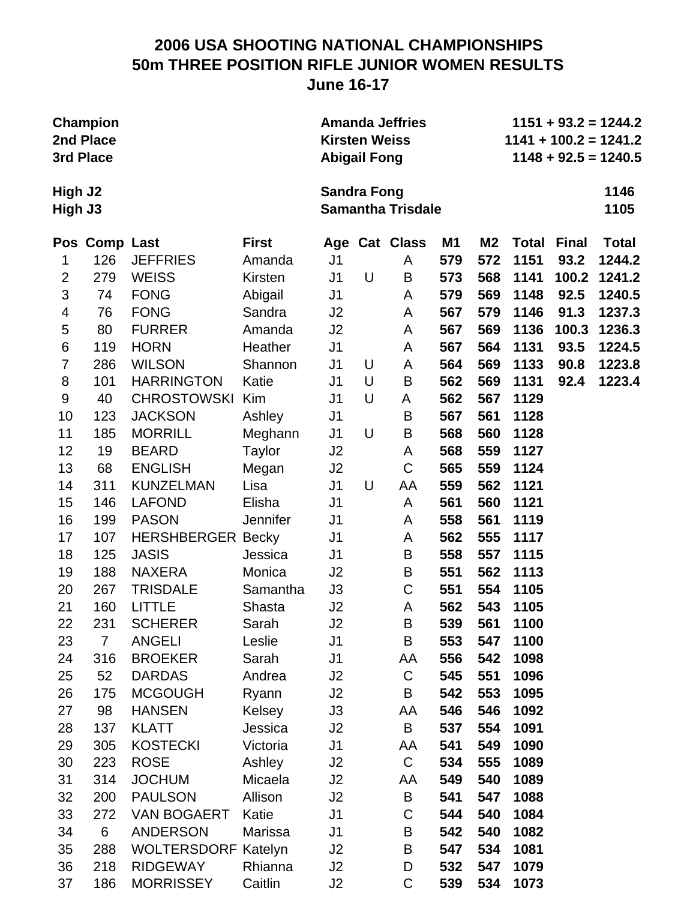#### **2006 USA SHOOTING NATIONAL CHAMPIONSHIPS 50m THREE POSITION RIFLE JUNIOR WOMEN RESULTS June 16-17**

|         | <b>Champion</b> |                 |              |                      |   | <b>Amanda Jeffries</b>   |     | $1151 + 93.2 = 1244.2$ |              |              |                         |  |
|---------|-----------------|-----------------|--------------|----------------------|---|--------------------------|-----|------------------------|--------------|--------------|-------------------------|--|
|         | 2nd Place       |                 |              | <b>Kirsten Weiss</b> |   |                          |     |                        |              |              | $1141 + 100.2 = 1241.2$ |  |
|         | 3rd Place       |                 |              | <b>Abigail Fong</b>  |   |                          |     |                        |              |              | $1148 + 92.5 = 1240.5$  |  |
| High J2 |                 |                 |              | <b>Sandra Fong</b>   |   |                          |     |                        |              |              | 1146                    |  |
| High J3 |                 |                 |              |                      |   | <b>Samantha Trisdale</b> |     |                        |              |              | 1105                    |  |
|         | Pos Comp Last   |                 | <b>First</b> |                      |   | Age Cat Class            | M1  | M <sub>2</sub>         | <b>Total</b> | <b>Final</b> | <b>Total</b>            |  |
|         | 126             | <b>JEFFRIES</b> | Amanda       | J1                   |   | A                        | 579 | 572                    | 1151         | 93.2         | 1244.2                  |  |
| 2       | 279             | <b>WEISS</b>    | Kirsten      | J <sub>1</sub>       | U | B                        | 573 | 568                    | 1141         |              | 100.2 1241.2            |  |
| 3       | 74              | <b>FONG</b>     | Abigail      | J <sub>1</sub>       |   | A                        | 579 | 569                    | 1148         | 92.5         | 1240.5                  |  |
| 4       | 76              | <b>FONG</b>     | Sandra       | J <sub>2</sub>       |   | A                        | 567 | 579                    | 1146         | 91.3         | 1237.3                  |  |
| 5       | 80              | <b>FURRER</b>   | Amanda       | J <sub>2</sub>       |   | A                        | 567 | 569                    | 1136         | 100.3        | 1236.3                  |  |
| 6       | 119             | <b>HORN</b>     | Heather      | J <sub>1</sub>       |   | A                        | 567 | 564                    | 1131         | 93.5         | 1224.5                  |  |
| 7       | 286             | <b>WILSON</b>   | Shannon      | J <sub>1</sub>       | U | A                        | 564 | 569                    | 1133         | 90.8         | 1223.8                  |  |

**High J3 Samantha Trisdale 1105** Pos Comp Last **First** Age Cat Class M1 M2 Total Final Total 1 126 JEFFRIES Amanda J1 A **579 572 1151 93.2 1244.2** 2 279 WEISS Kirsten J1 U B **573 568 1141 100.2 1241.2** 3 74 FONG Abigail J1 A **579 569 1148 92.5 1240.5** 4 76 FONG Sandra J2 A **567 579 1146 91.3 1237.3** 5 80 FURRER Amanda J2 A **567 569 1136 100.3 1236.3** 6 119 HORN Heather J1 A **567 564 1131 93.5 1224.5** 7 286 WILSON Shannon J1 U A **564 569 1133 90.8 1223.8** 8 101 HARRINGTON Katie J1 U B **562 569 1131 92.4 1223.4** 9 40 CHROSTOWSKI Kim J1 U A **562 567 1129** 10 123 JACKSON Ashley J1 B **567 561 1128** 11 185 MORRILL Meghann J1 U B **568 560 1128** 12 19 BEARD Taylor J2 A **568 559 1127** 13 68 ENGLISH Megan J2 C **565 559 1124** 14 311 KUNZELMAN Lisa J1 U AA **559 562 1121** 15 146 LAFOND Elisha J1 A **561 560 1121** 16 199 PASON Jennifer J1 A **558 561 1119** 17 107 HERSHBERGER Becky J1 A **562 555 1117** 18 125 JASIS Jessica J1 B **558 557 1115** 19 188 NAXERA Monica J2 B **551 562 1113** 20 267 TRISDALE Samantha J3 C **551 554 1105** 21 160 LITTLE Shasta J2 A **562 543 1105** 22 231 SCHERER Sarah J2 B **539 561 1100** 23 7 ANGELI Leslie J1 B **553 547 1100** 24 316 BROEKER Sarah J1 AA **556 542 1098** 25 52 DARDAS Andrea J2 C **545 551 1096** 26 175 MCGOUGH Ryann J2 B **542 553 1095** 27 98 HANSEN Kelsey J3 AA **546 546 1092** 28 137 KLATT Jessica J2 B **537 554 1091** 29 305 KOSTECKI Victoria J1 AA **541 549 1090** 30 223 ROSE Ashley J2 C **534 555 1089** 31 314 JOCHUM Micaela J2 AA **549 540 1089** 32 200 PAULSON Allison J2 B **541 547 1088**

33 272 VAN BOGAERT Katie J1 C **544 540 1084** 34 6 ANDERSON Marissa J1 B **542 540 1082** 35 288 WOLTERSDORF Katelyn J2 B **547 534 1081** 36 218 RIDGEWAY Rhianna J2 D **532 547 1079** 37 186 MORRISSEY Caitlin J2 C **539 534 1073**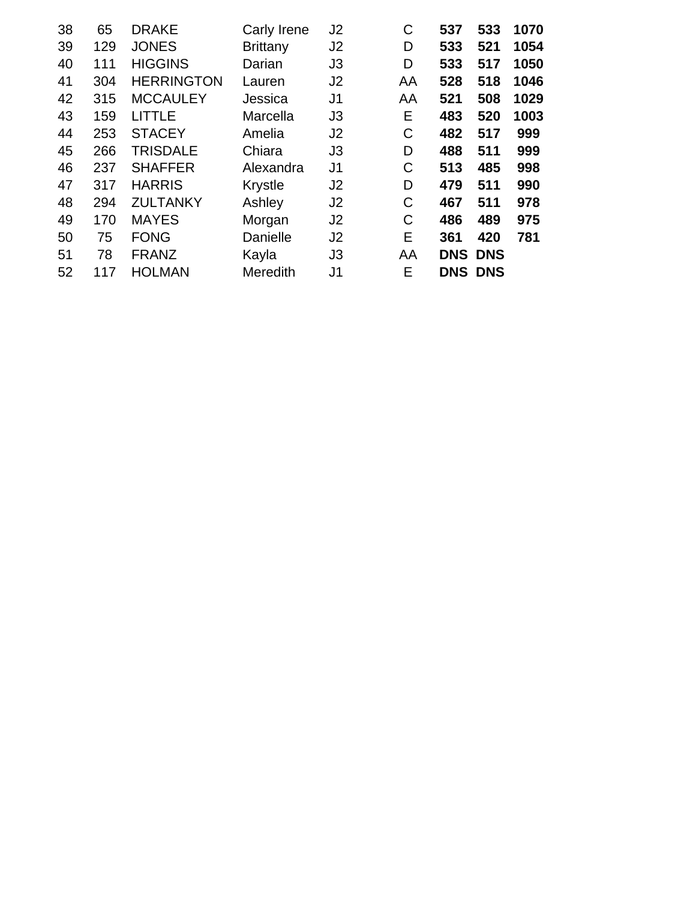| 38 | 65  | <b>DRAKE</b>      | Carly Irene     | J <sub>2</sub> | С  | 537        | 533            | 1070 |
|----|-----|-------------------|-----------------|----------------|----|------------|----------------|------|
| 39 | 129 | <b>JONES</b>      | <b>Brittany</b> | J <sub>2</sub> | D  | 533        | 521            | 1054 |
| 40 | 111 | <b>HIGGINS</b>    | Darian          | J <sub>3</sub> | D  | 533        | 517            | 1050 |
| 41 | 304 | <b>HERRINGTON</b> | Lauren          | J <sub>2</sub> | AA | 528        | 518            | 1046 |
| 42 | 315 | <b>MCCAULEY</b>   | Jessica         | J <sub>1</sub> | AA | 521        | 508            | 1029 |
| 43 | 159 | <b>LITTLE</b>     | Marcella        | J <sub>3</sub> | Е  | 483        | 520            | 1003 |
| 44 | 253 | <b>STACEY</b>     | Amelia          | J <sub>2</sub> | C  | 482        | 517            | 999  |
| 45 | 266 | <b>TRISDALE</b>   | Chiara          | J <sub>3</sub> | D  | 488        | 511            | 999  |
| 46 | 237 | <b>SHAFFER</b>    | Alexandra       | J <sub>1</sub> | C  | 513        | 485            | 998  |
| 47 | 317 | <b>HARRIS</b>     | Krystle         | J <sub>2</sub> | D  | 479        | 511            | 990  |
| 48 | 294 | <b>ZULTANKY</b>   | Ashley          | J <sub>2</sub> | C  | 467        | 511            | 978  |
| 49 | 170 | <b>MAYES</b>      | Morgan          | J <sub>2</sub> | C  | 486        | 489            | 975  |
| 50 | 75  | <b>FONG</b>       | Danielle        | J <sub>2</sub> | Е  | 361        | 420            | 781  |
| 51 | 78  | <b>FRANZ</b>      | Kayla           | J <sub>3</sub> | AA | <b>DNS</b> | <b>DNS</b>     |      |
| 52 | 117 | <b>HOLMAN</b>     | Meredith        | J1             | Е  |            | <b>DNS DNS</b> |      |
|    |     |                   |                 |                |    |            |                |      |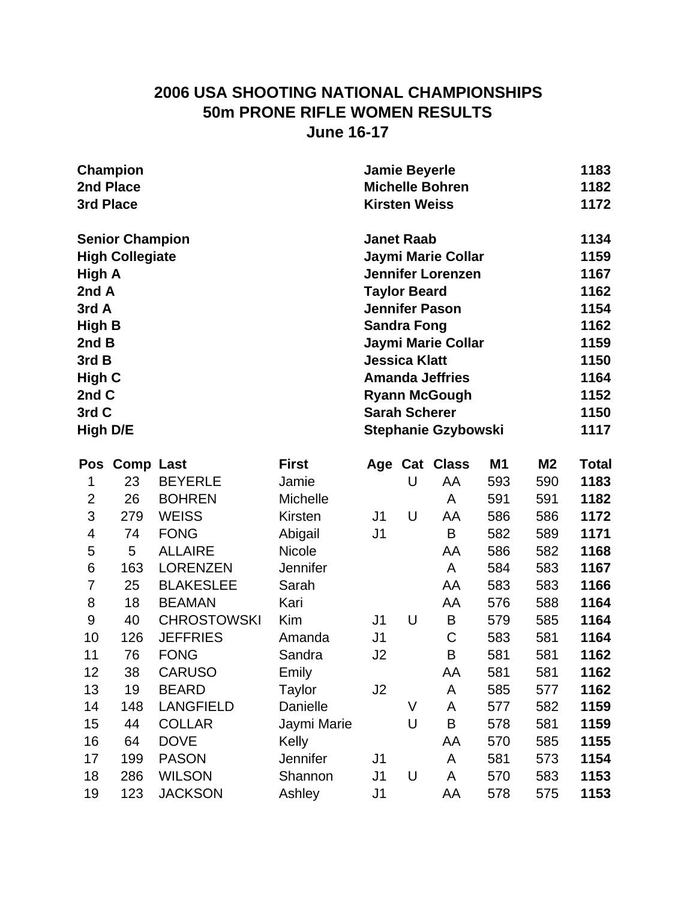### **2006 USA SHOOTING NATIONAL CHAMPIONSHIPS 50m PRONE RIFLE WOMEN RESULTS June 16-17**

| 3rd Place       | Champion<br>2nd Place  |                    |               | <b>Jamie Beyerle</b><br><b>Kirsten Weiss</b> |   | <b>Michelle Bohren</b>     |                |                | 1183<br>1182<br>1172 |
|-----------------|------------------------|--------------------|---------------|----------------------------------------------|---|----------------------------|----------------|----------------|----------------------|
|                 | <b>Senior Champion</b> |                    |               | <b>Janet Raab</b>                            |   |                            |                |                | 1134                 |
|                 | <b>High Collegiate</b> |                    |               |                                              |   | Jaymi Marie Collar         |                |                | 1159                 |
| High A          |                        |                    |               |                                              |   | <b>Jennifer Lorenzen</b>   |                |                | 1167                 |
| 2nd A           |                        |                    |               | <b>Taylor Beard</b>                          |   |                            |                |                | 1162                 |
| 3rd A           |                        |                    |               |                                              |   | <b>Jennifer Pason</b>      |                |                | 1154                 |
| <b>High B</b>   |                        |                    |               | <b>Sandra Fong</b>                           |   |                            |                |                | 1162                 |
| 2nd B           |                        |                    |               |                                              |   | Jaymi Marie Collar         |                |                | 1159                 |
| 3rd B           |                        |                    |               | <b>Jessica Klatt</b>                         |   |                            |                |                | 1150                 |
| <b>High C</b>   |                        |                    |               |                                              |   | <b>Amanda Jeffries</b>     |                |                | 1164                 |
| 2nd C           |                        |                    |               |                                              |   | <b>Ryann McGough</b>       |                |                | 1152                 |
| 3rd C           |                        |                    |               | <b>Sarah Scherer</b>                         |   |                            |                |                | 1150                 |
| <b>High D/E</b> |                        |                    |               |                                              |   | <b>Stephanie Gzybowski</b> |                |                | 1117                 |
| Pos             | <b>Comp Last</b>       |                    | <b>First</b>  |                                              |   | Age Cat Class              | M <sub>1</sub> | M <sub>2</sub> | <b>Total</b>         |
| 1               | 23                     | <b>BEYERLE</b>     | Jamie         |                                              | U | AA                         | 593            | 590            | 1183                 |
| $\overline{2}$  | 26                     | <b>BOHREN</b>      | Michelle      |                                              |   | A                          | 591            | 591            | 1182                 |
| 3               | 279                    | <b>WEISS</b>       | Kirsten       | J <sub>1</sub>                               | U | AA                         | 586            | 586            | 1172                 |
| 4               | 74                     | <b>FONG</b>        | Abigail       | J1                                           |   | B                          | 582            | 589            | 1171                 |
| 5               | 5                      | <b>ALLAIRE</b>     | <b>Nicole</b> |                                              |   | AA                         | 586            | 582            | 1168                 |
| 6               | 163                    | <b>LORENZEN</b>    | Jennifer      |                                              |   | A                          | 584            | 583            | 1167                 |
| $\overline{7}$  | 25                     | <b>BLAKESLEE</b>   | Sarah         |                                              |   | AA                         | 583            | 583            | 1166                 |
| 8               | 18                     | <b>BEAMAN</b>      | Kari          |                                              |   | AA                         | 576            | 588            | 1164                 |
| 9               | 40                     | <b>CHROSTOWSKI</b> | Kim           | J <sub>1</sub>                               | U | B                          | 579            | 585            | 1164                 |
| 10              | 126                    | <b>JEFFRIES</b>    | Amanda        | J <sub>1</sub>                               |   | C                          | 583            | 581            | 1164                 |
| 11              | 76                     | <b>FONG</b>        | Sandra        | J <sub>2</sub>                               |   | B                          | 581            | 581            | 1162                 |
| 12              | 38                     | <b>CARUSO</b>      | Emily         |                                              |   | AA                         | 581            | 581            | 1162                 |
| 13              | 19                     | <b>BEARD</b>       | Taylor        | J <sub>2</sub>                               |   | A                          | 585            | 577            | 1162                 |
| 14              | 148                    | <b>LANGFIELD</b>   | Danielle      |                                              | V | A                          | 577            | 582            | 1159                 |
| 15              | 44                     | <b>COLLAR</b>      | Jaymi Marie   |                                              | U | B                          | 578            | 581            | 1159                 |
| 16              | 64                     | <b>DOVE</b>        | Kelly         |                                              |   | AA                         | 570            | 585            | 1155                 |
| 17              | 199                    | <b>PASON</b>       | Jennifer      | J <sub>1</sub>                               |   | A                          | 581            | 573            | 1154                 |
| 18              | 286                    | <b>WILSON</b>      | Shannon       | J1                                           | U | A                          | 570            | 583            | 1153                 |
| 19              | 123                    | <b>JACKSON</b>     | Ashley        | J <sub>1</sub>                               |   | AA                         | 578            | 575            | 1153                 |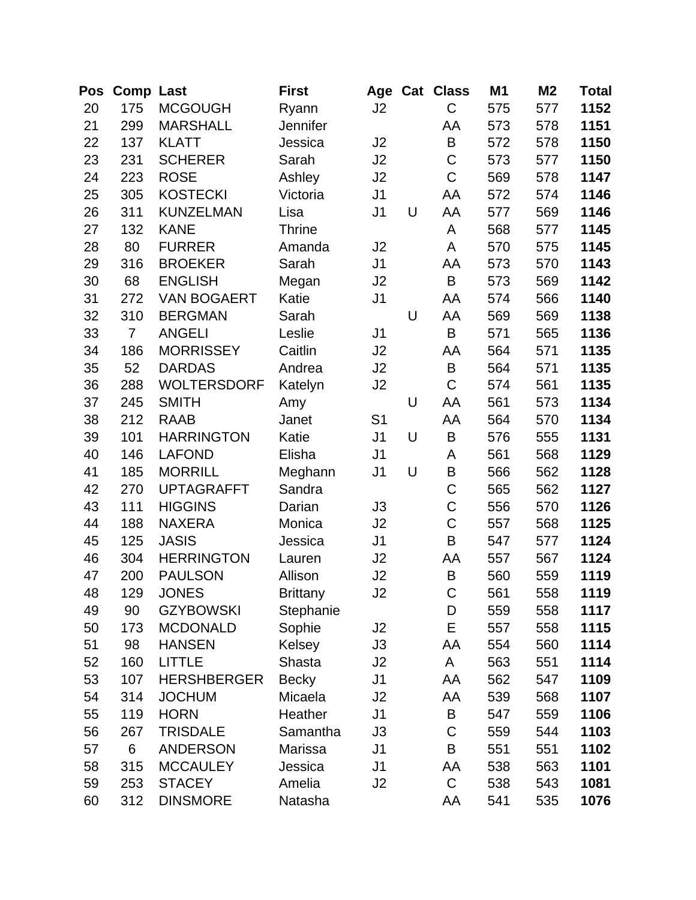| Pos | <b>Comp Last</b> |                    | <b>First</b>    |                |   | Age Cat Class | M <sub>1</sub> | M <sub>2</sub> | Total |
|-----|------------------|--------------------|-----------------|----------------|---|---------------|----------------|----------------|-------|
| 20  | 175              | <b>MCGOUGH</b>     | Ryann           | J <sub>2</sub> |   | C             | 575            | 577            | 1152  |
| 21  | 299              | <b>MARSHALL</b>    | Jennifer        |                |   | AA            | 573            | 578            | 1151  |
| 22  | 137              | <b>KLATT</b>       | Jessica         | J <sub>2</sub> |   | B             | 572            | 578            | 1150  |
| 23  | 231              | <b>SCHERER</b>     | Sarah           | J <sub>2</sub> |   | $\mathsf C$   | 573            | 577            | 1150  |
| 24  | 223              | <b>ROSE</b>        | Ashley          | J2             |   | $\mathsf C$   | 569            | 578            | 1147  |
| 25  | 305              | <b>KOSTECKI</b>    | Victoria        | J <sub>1</sub> |   | AA            | 572            | 574            | 1146  |
| 26  | 311              | <b>KUNZELMAN</b>   | Lisa            | J <sub>1</sub> | U | AA            | 577            | 569            | 1146  |
| 27  | 132              | <b>KANE</b>        | <b>Thrine</b>   |                |   | A             | 568            | 577            | 1145  |
| 28  | 80               | <b>FURRER</b>      | Amanda          | J <sub>2</sub> |   | A             | 570            | 575            | 1145  |
| 29  | 316              | <b>BROEKER</b>     | Sarah           | J <sub>1</sub> |   | AA            | 573            | 570            | 1143  |
| 30  | 68               | <b>ENGLISH</b>     | Megan           | J2             |   | B             | 573            | 569            | 1142  |
| 31  | 272              | <b>VAN BOGAERT</b> | Katie           | J <sub>1</sub> |   | AA            | 574            | 566            | 1140  |
| 32  | 310              | <b>BERGMAN</b>     | Sarah           |                | U | AA            | 569            | 569            | 1138  |
| 33  | $\overline{7}$   | <b>ANGELI</b>      | Leslie          | J <sub>1</sub> |   | $\sf B$       | 571            | 565            | 1136  |
| 34  | 186              | <b>MORRISSEY</b>   | Caitlin         | J2             |   | AA            | 564            | 571            | 1135  |
| 35  | 52               | <b>DARDAS</b>      | Andrea          | J2             |   | B             | 564            | 571            | 1135  |
| 36  | 288              | <b>WOLTERSDORF</b> | Katelyn         | J <sub>2</sub> |   | $\mathsf C$   | 574            | 561            | 1135  |
| 37  | 245              | <b>SMITH</b>       | Amy             |                | U | AA            | 561            | 573            | 1134  |
| 38  | 212              | <b>RAAB</b>        | Janet           | S <sub>1</sub> |   | AA            | 564            | 570            | 1134  |
| 39  | 101              | <b>HARRINGTON</b>  | Katie           | J <sub>1</sub> | U | $\sf B$       | 576            | 555            | 1131  |
| 40  | 146              | <b>LAFOND</b>      | Elisha          | J <sub>1</sub> |   | A             | 561            | 568            | 1129  |
| 41  | 185              | <b>MORRILL</b>     | Meghann         | J <sub>1</sub> | U | B             | 566            | 562            | 1128  |
| 42  | 270              | <b>UPTAGRAFFT</b>  | Sandra          |                |   | $\mathsf C$   | 565            | 562            | 1127  |
| 43  | 111              | <b>HIGGINS</b>     | Darian          | J3             |   | $\mathsf C$   | 556            | 570            | 1126  |
| 44  | 188              | <b>NAXERA</b>      | Monica          | J2             |   | $\mathsf C$   | 557            | 568            | 1125  |
| 45  | 125              | <b>JASIS</b>       | Jessica         | J <sub>1</sub> |   | B             | 547            | 577            | 1124  |
| 46  | 304              | <b>HERRINGTON</b>  | Lauren          | J2             |   | AA            | 557            | 567            | 1124  |
| 47  | 200              | <b>PAULSON</b>     | Allison         | J2             |   | B             | 560            | 559            | 1119  |
| 48  | 129              | <b>JONES</b>       | <b>Brittany</b> | J2             |   | $\mathsf C$   | 561            | 558            | 1119  |
| 49  | 90               | <b>GZYBOWSKI</b>   | Stephanie       |                |   | D             | 559            | 558            | 1117  |
| 50  | 173              | <b>MCDONALD</b>    | Sophie          | J2             |   | E             | 557            | 558            | 1115  |
| 51  | 98               | <b>HANSEN</b>      | Kelsey          | J3             |   | AA            | 554            | 560            | 1114  |
| 52  | 160              | <b>LITTLE</b>      | Shasta          | J <sub>2</sub> |   | A             | 563            | 551            | 1114  |
| 53  | 107              | <b>HERSHBERGER</b> | <b>Becky</b>    | J <sub>1</sub> |   | AA            | 562            | 547            | 1109  |
| 54  | 314              | <b>JOCHUM</b>      | Micaela         | J2             |   | AA            | 539            | 568            | 1107  |
| 55  | 119              | <b>HORN</b>        | Heather         | J <sub>1</sub> |   | B             | 547            | 559            | 1106  |
| 56  | 267              | <b>TRISDALE</b>    | Samantha        | J3             |   | $\mathsf C$   | 559            | 544            | 1103  |
| 57  | 6                | <b>ANDERSON</b>    | Marissa         | J <sub>1</sub> |   | $\sf B$       | 551            | 551            | 1102  |
| 58  | 315              | <b>MCCAULEY</b>    | Jessica         | J <sub>1</sub> |   | AA            | 538            | 563            | 1101  |
| 59  | 253              | <b>STACEY</b>      | Amelia          | J2             |   | $\mathsf C$   | 538            | 543            | 1081  |
| 60  | 312              | <b>DINSMORE</b>    | Natasha         |                |   | AA            | 541            | 535            | 1076  |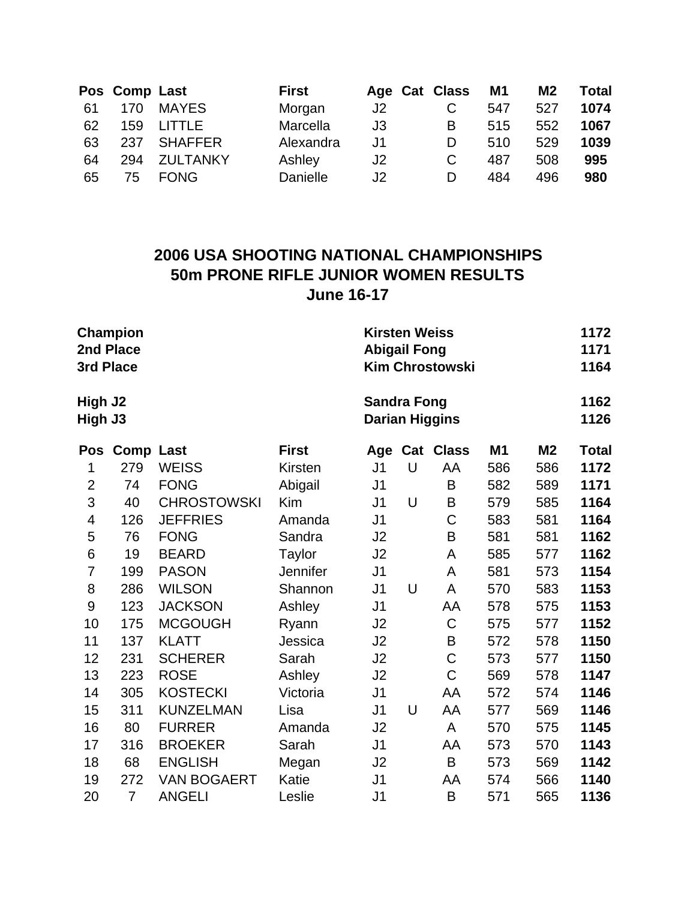|    | Pos Comp Last |                 | <b>First</b> |    | Age Cat Class | M1  | M <sub>2</sub> | <b>Total</b> |
|----|---------------|-----------------|--------------|----|---------------|-----|----------------|--------------|
| 61 | 170           | <b>MAYES</b>    | Morgan       | J2 | С             | 547 | 527            | 1074         |
| 62 | 159           | <b>LITTLE</b>   | Marcella     | J3 | в             | 515 | 552            | 1067         |
| 63 | 237           | <b>SHAFFER</b>  | Alexandra    | J1 | D             | 510 | 529            | 1039         |
| 64 | 294           | <b>ZULTANKY</b> | Ashley       | J2 | С             | 487 | 508            | 995          |
| 65 | 75            | <b>FONG</b>     | Danielle     | J2 | D             | 484 | 496            | 980          |

### **2006 USA SHOOTING NATIONAL CHAMPIONSHIPS 50m PRONE RIFLE JUNIOR WOMEN RESULTS June 16-17**

| 3rd Place          | <b>Champion</b><br>2nd Place |                    |              | <b>Kirsten Weiss</b><br><b>Abigail Fong</b><br><b>Kim Chrostowski</b> |              | 1172<br>1171<br>1164 |                |           |              |
|--------------------|------------------------------|--------------------|--------------|-----------------------------------------------------------------------|--------------|----------------------|----------------|-----------|--------------|
| High J2<br>High J3 |                              |                    |              | <b>Sandra Fong</b><br><b>Darian Higgins</b>                           | 1162<br>1126 |                      |                |           |              |
| <b>Pos</b>         | <b>Comp Last</b>             |                    | <b>First</b> | Age                                                                   |              | <b>Cat Class</b>     | M <sub>1</sub> | <b>M2</b> | <b>Total</b> |
| 1                  | 279                          | <b>WEISS</b>       | Kirsten      | J <sub>1</sub>                                                        | U            | AA                   | 586            | 586       | 1172         |
| $\overline{2}$     | 74                           | <b>FONG</b>        | Abigail      | J <sub>1</sub>                                                        |              | B                    | 582            | 589       | 1171         |
| 3                  | 40                           | <b>CHROSTOWSKI</b> | Kim          | J <sub>1</sub>                                                        | U            | B                    | 579            | 585       | 1164         |
| 4                  | 126                          | <b>JEFFRIES</b>    | Amanda       | J <sub>1</sub>                                                        |              | C                    | 583            | 581       | 1164         |
| 5                  | 76                           | <b>FONG</b>        | Sandra       | J2                                                                    |              | B                    | 581            | 581       | 1162         |
| 6                  | 19                           | <b>BEARD</b>       | Taylor       | J2                                                                    |              | A                    | 585            | 577       | 1162         |
| $\overline{7}$     | 199                          | <b>PASON</b>       | Jennifer     | J <sub>1</sub>                                                        |              | A                    | 581            | 573       | 1154         |
| 8                  | 286                          | <b>WILSON</b>      | Shannon      | J1                                                                    | U            | A                    | 570            | 583       | 1153         |
| 9                  | 123                          | <b>JACKSON</b>     | Ashley       | J <sub>1</sub>                                                        |              | AA                   | 578            | 575       | 1153         |
| 10                 | 175                          | <b>MCGOUGH</b>     | Ryann        | J2                                                                    |              | C                    | 575            | 577       | 1152         |
| 11                 | 137                          | <b>KLATT</b>       | Jessica      | J2                                                                    |              | B                    | 572            | 578       | 1150         |
| 12                 | 231                          | <b>SCHERER</b>     | Sarah        | J2                                                                    |              | $\mathsf C$          | 573            | 577       | 1150         |
| 13                 | 223                          | <b>ROSE</b>        | Ashley       | J2                                                                    |              | $\mathsf C$          | 569            | 578       | 1147         |
| 14                 | 305                          | <b>KOSTECKI</b>    | Victoria     | J <sub>1</sub>                                                        |              | AA                   | 572            | 574       | 1146         |
| 15                 | 311                          | <b>KUNZELMAN</b>   | Lisa         | J <sub>1</sub>                                                        | U            | AA                   | 577            | 569       | 1146         |
| 16                 | 80                           | <b>FURRER</b>      | Amanda       | J2                                                                    |              | A                    | 570            | 575       | 1145         |
| 17                 | 316                          | <b>BROEKER</b>     | Sarah        | J <sub>1</sub>                                                        |              | AA                   | 573            | 570       | 1143         |
| 18                 | 68                           | <b>ENGLISH</b>     | Megan        | J2                                                                    |              | B                    | 573            | 569       | 1142         |
| 19                 | 272                          | <b>VAN BOGAERT</b> | Katie        | J <sub>1</sub>                                                        |              | AA                   | 574            | 566       | 1140         |
| 20                 | $\overline{7}$               | <b>ANGELI</b>      | Leslie       | J <sub>1</sub>                                                        |              | B                    | 571            | 565       | 1136         |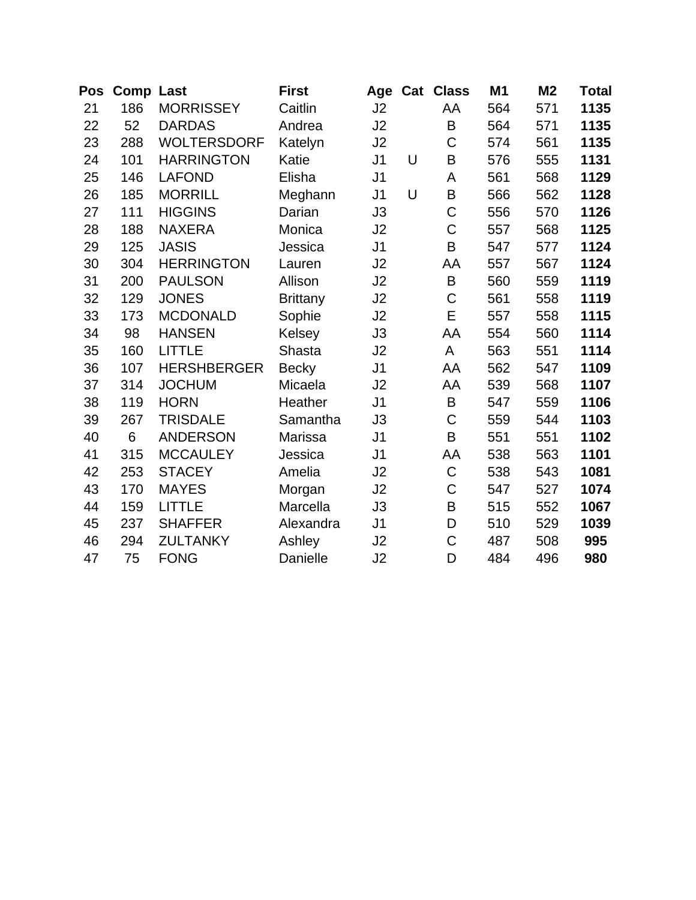| Pos | <b>Comp Last</b> |                    | <b>First</b>    | Age            |   | <b>Cat Class</b> | M1  | M <sub>2</sub> | Total |
|-----|------------------|--------------------|-----------------|----------------|---|------------------|-----|----------------|-------|
| 21  | 186              | <b>MORRISSEY</b>   | Caitlin         | J2             |   | AA               | 564 | 571            | 1135  |
| 22  | 52               | <b>DARDAS</b>      | Andrea          | J2             |   | B                | 564 | 571            | 1135  |
| 23  | 288              | <b>WOLTERSDORF</b> | Katelyn         | J <sub>2</sub> |   | C                | 574 | 561            | 1135  |
| 24  | 101              | <b>HARRINGTON</b>  | Katie           | J <sub>1</sub> | U | B                | 576 | 555            | 1131  |
| 25  | 146              | <b>LAFOND</b>      | Elisha          | J <sub>1</sub> |   | A                | 561 | 568            | 1129  |
| 26  | 185              | <b>MORRILL</b>     | Meghann         | J <sub>1</sub> | U | $\sf B$          | 566 | 562            | 1128  |
| 27  | 111              | <b>HIGGINS</b>     | Darian          | J3             |   | $\mathsf C$      | 556 | 570            | 1126  |
| 28  | 188              | <b>NAXERA</b>      | Monica          | J2             |   | $\mathsf C$      | 557 | 568            | 1125  |
| 29  | 125              | <b>JASIS</b>       | Jessica         | J <sub>1</sub> |   | B                | 547 | 577            | 1124  |
| 30  | 304              | <b>HERRINGTON</b>  | Lauren          | J2             |   | AA               | 557 | 567            | 1124  |
| 31  | 200              | <b>PAULSON</b>     | Allison         | J2             |   | $\sf B$          | 560 | 559            | 1119  |
| 32  | 129              | <b>JONES</b>       | <b>Brittany</b> | J <sub>2</sub> |   | C                | 561 | 558            | 1119  |
| 33  | 173              | <b>MCDONALD</b>    | Sophie          | J2             |   | E                | 557 | 558            | 1115  |
| 34  | 98               | <b>HANSEN</b>      | Kelsey          | J3             |   | AA               | 554 | 560            | 1114  |
| 35  | 160              | <b>LITTLE</b>      | <b>Shasta</b>   | J <sub>2</sub> |   | A                | 563 | 551            | 1114  |
| 36  | 107              | <b>HERSHBERGER</b> | <b>Becky</b>    | J <sub>1</sub> |   | AA               | 562 | 547            | 1109  |
| 37  | 314              | <b>JOCHUM</b>      | Micaela         | J2             |   | AA               | 539 | 568            | 1107  |
| 38  | 119              | <b>HORN</b>        | Heather         | J <sub>1</sub> |   | B                | 547 | 559            | 1106  |
| 39  | 267              | <b>TRISDALE</b>    | Samantha        | J3             |   | $\mathsf C$      | 559 | 544            | 1103  |
| 40  | 6                | <b>ANDERSON</b>    | Marissa         | J <sub>1</sub> |   | B                | 551 | 551            | 1102  |
| 41  | 315              | <b>MCCAULEY</b>    | Jessica         | J <sub>1</sub> |   | AA               | 538 | 563            | 1101  |
| 42  | 253              | <b>STACEY</b>      | Amelia          | J2             |   | $\mathsf C$      | 538 | 543            | 1081  |
| 43  | 170              | <b>MAYES</b>       | Morgan          | J2             |   | $\mathsf C$      | 547 | 527            | 1074  |
| 44  | 159              | <b>LITTLE</b>      | Marcella        | J3             |   | B                | 515 | 552            | 1067  |
| 45  | 237              | <b>SHAFFER</b>     | Alexandra       | J <sub>1</sub> |   | D                | 510 | 529            | 1039  |
| 46  | 294              | <b>ZULTANKY</b>    | Ashley          | J2             |   | $\mathsf C$      | 487 | 508            | 995   |
| 47  | 75               | <b>FONG</b>        | Danielle        | J2             |   | D                | 484 | 496            | 980   |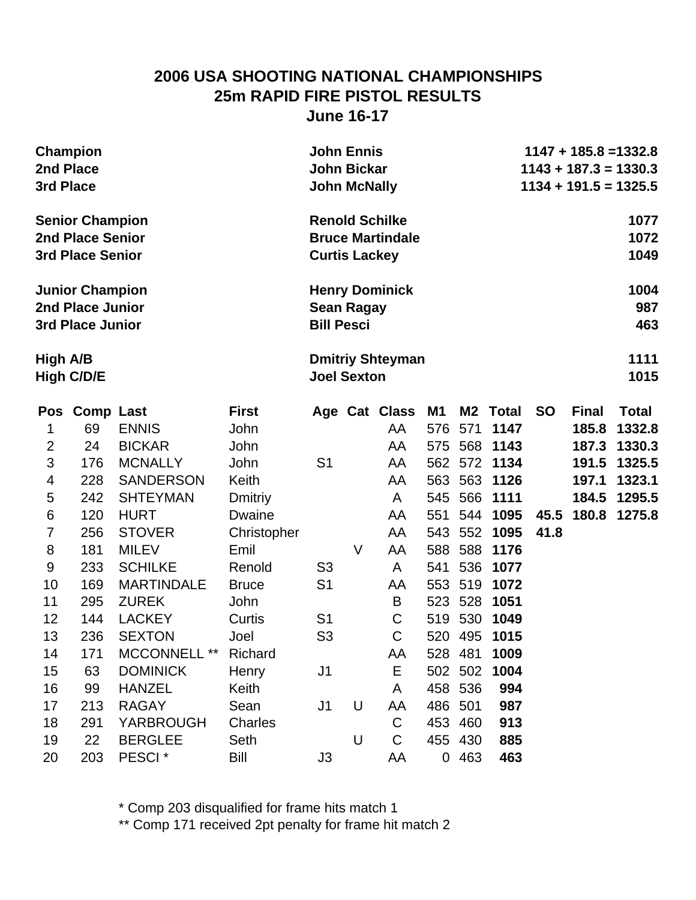### **2006 USA SHOOTING NATIONAL CHAMPIONSHIPS 25m RAPID FIRE PISTOL RESULTS June 16-17**

| <b>Champion</b><br>2nd Place<br>3rd Place |                         |                      |                | <b>John Ennis</b><br><b>John Bickar</b><br><b>John McNally</b> |                    |                         |                | $1147 + 185.8 = 1332.8$<br>$1143 + 187.3 = 1330.3$<br>$1134 + 191.5 = 1325.5$ |              |           |              |              |
|-------------------------------------------|-------------------------|----------------------|----------------|----------------------------------------------------------------|--------------------|-------------------------|----------------|-------------------------------------------------------------------------------|--------------|-----------|--------------|--------------|
|                                           | <b>Senior Champion</b>  |                      |                |                                                                |                    | <b>Renold Schilke</b>   |                |                                                                               |              |           |              | 1077         |
|                                           | 2nd Place Senior        |                      |                |                                                                |                    | <b>Bruce Martindale</b> |                |                                                                               |              |           |              | 1072         |
|                                           | <b>3rd Place Senior</b> |                      |                | <b>Curtis Lackey</b>                                           |                    |                         |                |                                                                               |              |           |              | 1049         |
|                                           | <b>Junior Champion</b>  |                      |                |                                                                |                    | <b>Henry Dominick</b>   |                |                                                                               |              |           |              | 1004         |
| 2nd Place Junior                          |                         |                      |                |                                                                | <b>Sean Ragay</b>  |                         |                |                                                                               |              |           |              | 987          |
| <b>3rd Place Junior</b>                   |                         |                      |                |                                                                | <b>Bill Pesci</b>  |                         |                |                                                                               |              |           |              | 463          |
| High A/B                                  |                         |                      |                |                                                                |                    | <b>Dmitriy Shteyman</b> |                |                                                                               |              |           |              | 1111         |
| <b>High C/D/E</b>                         |                         |                      |                |                                                                | <b>Joel Sexton</b> |                         |                |                                                                               |              |           |              | 1015         |
| <b>Pos</b>                                | <b>Comp Last</b>        |                      | <b>First</b>   |                                                                |                    | Age Cat Class           | <b>M1</b>      | M2                                                                            | <b>Total</b> | <b>SO</b> | <b>Final</b> | <b>Total</b> |
| 1                                         | 69                      | <b>ENNIS</b>         | John           |                                                                |                    | AA                      | 576            | 571                                                                           | 1147         |           | 185.8        | 1332.8       |
| $\overline{2}$                            | 24                      | <b>BICKAR</b>        | John           |                                                                |                    | AA                      | 575            | 568                                                                           | 1143         |           | 187.3        | 1330.3       |
| 3                                         | 176                     | <b>MCNALLY</b>       | John           | S <sub>1</sub>                                                 |                    | AA                      | 562            | 572                                                                           | 1134         |           | 191.5        | 1325.5       |
| 4                                         | 228                     | <b>SANDERSON</b>     | Keith          |                                                                |                    | AA                      | 563            | 563                                                                           | 1126         |           | 197.1        | 1323.1       |
| 5                                         | 242                     | <b>SHTEYMAN</b>      | <b>Dmitriy</b> |                                                                |                    | A                       | 545            | 566                                                                           | 1111         |           | 184.5        | 1295.5       |
| $\,6$                                     | 120                     | <b>HURT</b>          | <b>Dwaine</b>  |                                                                |                    | AA                      | 551            | 544                                                                           | 1095         | 45.5      | 180.8        | 1275.8       |
| $\overline{7}$                            | 256                     | <b>STOVER</b>        | Christopher    |                                                                |                    | AA                      | 543            | 552                                                                           | 1095         | 41.8      |              |              |
| 8                                         | 181                     | <b>MILEV</b>         | Emil           |                                                                | V                  | AA                      | 588            | 588                                                                           | 1176         |           |              |              |
| 9                                         | 233                     | <b>SCHILKE</b>       | Renold         | S <sub>3</sub>                                                 |                    | A                       | 541            | 536                                                                           | 1077         |           |              |              |
| 10                                        | 169                     | <b>MARTINDALE</b>    | <b>Bruce</b>   | S <sub>1</sub>                                                 |                    | AA                      | 553            | 519                                                                           | 1072         |           |              |              |
| 11                                        | 295                     | <b>ZUREK</b>         | John           |                                                                |                    | B                       | 523            | 528                                                                           | 1051         |           |              |              |
| 12                                        | 144                     | <b>LACKEY</b>        | Curtis         | S <sub>1</sub>                                                 |                    | $\mathsf C$             | 519            | 530                                                                           | 1049         |           |              |              |
| 13                                        | 236                     | <b>SEXTON</b>        | Joel           | S <sub>3</sub>                                                 |                    | C                       | 520            | 495                                                                           | 1015         |           |              |              |
| 14                                        | 171                     | MCCONNELL ** Richard |                |                                                                |                    | AA                      | 528 481        |                                                                               | 1009         |           |              |              |
| 15                                        | 63                      | <b>DOMINICK</b>      | Henry          | J <sub>1</sub>                                                 |                    | Е                       |                | 502 502                                                                       | 1004         |           |              |              |
| 16                                        | 99                      | <b>HANZEL</b>        | Keith          |                                                                |                    | A                       |                | 458 536                                                                       | 994          |           |              |              |
| 17                                        | 213                     | <b>RAGAY</b>         | Sean           | J1                                                             | U                  | AA                      | 486 501        |                                                                               | 987          |           |              |              |
| 18                                        | 291                     | <b>YARBROUGH</b>     | <b>Charles</b> |                                                                |                    | C                       | 453            | 460                                                                           | 913          |           |              |              |
| 19                                        | 22                      | <b>BERGLEE</b>       | Seth           |                                                                | U                  | C                       |                | 455 430                                                                       | 885          |           |              |              |
| 20                                        | 203                     | PESCI <sup>*</sup>   | Bill           | J3                                                             |                    | AA                      | $\overline{0}$ | 463                                                                           | 463          |           |              |              |

\* Comp 203 disqualified for frame hits match 1

\*\* Comp 171 received 2pt penalty for frame hit match 2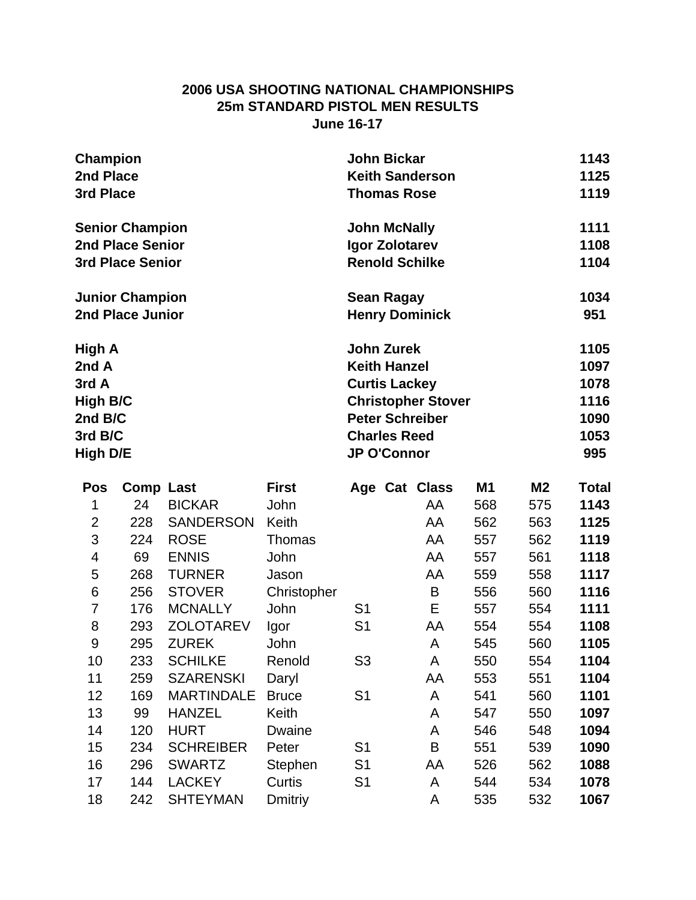#### **2006 USA SHOOTING NATIONAL CHAMPIONSHIPS 25m STANDARD PISTOL MEN RESULTS June 16-17**

| <b>Champion</b>         | <b>John Bickar</b><br>1143        |     |
|-------------------------|-----------------------------------|-----|
| 2nd Place               | 1125<br><b>Keith Sanderson</b>    |     |
| 3rd Place               | 1119<br><b>Thomas Rose</b>        |     |
| <b>Senior Champion</b>  | 1111<br><b>John McNally</b>       |     |
| 2nd Place Senior        | 1108<br>Igor Zolotarev            |     |
| <b>3rd Place Senior</b> | 1104<br><b>Renold Schilke</b>     |     |
| <b>Junior Champion</b>  | 1034<br><b>Sean Ragay</b>         |     |
| 2nd Place Junior        | <b>Henry Dominick</b><br>951      |     |
| High A                  | <b>John Zurek</b><br>1105         |     |
| 2nd A                   | 1097<br><b>Keith Hanzel</b>       |     |
| 3rd A                   | 1078<br><b>Curtis Lackey</b>      |     |
| <b>High B/C</b>         | 1116<br><b>Christopher Stover</b> |     |
| 2nd B/C                 | <b>Peter Schreiber</b><br>1090    |     |
| 3rd B/C                 | 1053<br><b>Charles Reed</b>       |     |
| <b>High D/E</b>         | <b>JP O'Connor</b>                | 995 |

|     |                   | <b>First</b>   |                |    | M1            | M2  | Total |
|-----|-------------------|----------------|----------------|----|---------------|-----|-------|
| 24  | <b>BICKAR</b>     | John           |                | AA | 568           | 575 | 1143  |
| 228 | <b>SANDERSON</b>  | Keith          |                | AA | 562           | 563 | 1125  |
| 224 | <b>ROSE</b>       | Thomas         |                | AA | 557           | 562 | 1119  |
| 69  | <b>ENNIS</b>      | John           |                | AA | 557           | 561 | 1118  |
| 268 | <b>TURNER</b>     | Jason          |                | AA | 559           | 558 | 1117  |
| 256 | <b>STOVER</b>     | Christopher    |                | B  | 556           | 560 | 1116  |
| 176 | <b>MCNALLY</b>    | John           | S <sub>1</sub> | E  | 557           | 554 | 1111  |
| 293 | <b>ZOLOTAREV</b>  | Igor           | S <sub>1</sub> | AA | 554           | 554 | 1108  |
| 295 | <b>ZUREK</b>      | John           |                | A  | 545           | 560 | 1105  |
| 233 | <b>SCHILKE</b>    | Renold         | S <sub>3</sub> | A  | 550           | 554 | 1104  |
| 259 | <b>SZARENSKI</b>  | Daryl          |                | AA | 553           | 551 | 1104  |
| 169 | <b>MARTINDALE</b> | <b>Bruce</b>   | S <sub>1</sub> | A  | 541           | 560 | 1101  |
| 99  | <b>HANZEL</b>     | Keith          |                | A  | 547           | 550 | 1097  |
| 120 | <b>HURT</b>       | Dwaine         |                | A  | 546           | 548 | 1094  |
| 234 | <b>SCHREIBER</b>  | Peter          | S <sub>1</sub> | B  | 551           | 539 | 1090  |
| 296 | <b>SWARTZ</b>     | Stephen        | S <sub>1</sub> | AA | 526           | 562 | 1088  |
| 144 | <b>LACKEY</b>     | Curtis         | S <sub>1</sub> | A  | 544           | 534 | 1078  |
| 242 | <b>SHTEYMAN</b>   | <b>Dmitriy</b> |                | A  | 535           | 532 | 1067  |
|     |                   | Comp Last      |                |    | Age Cat Class |     |       |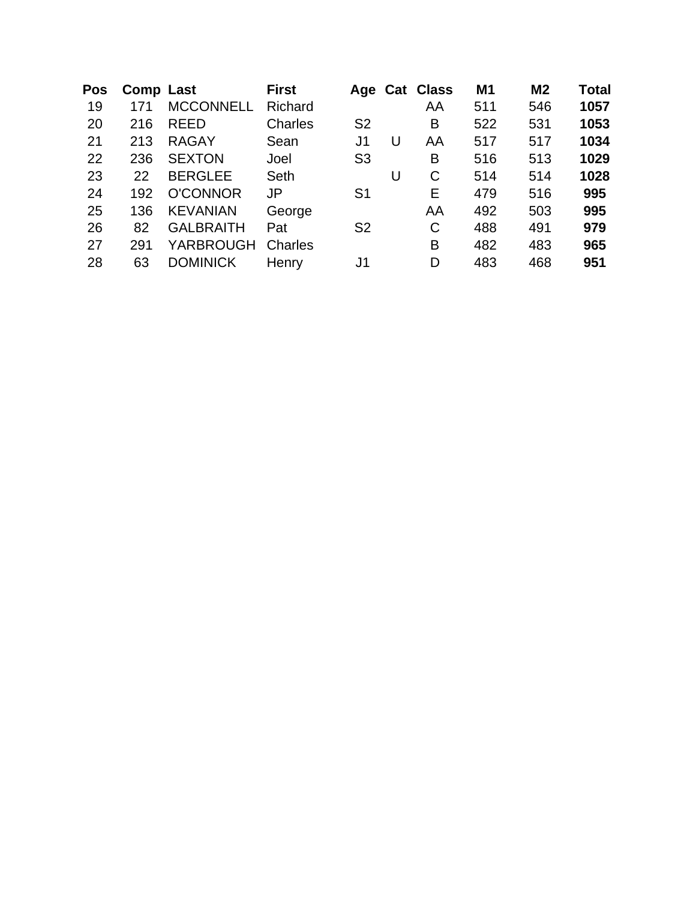| <b>Pos</b> |     | Comp Last        | <b>First</b>   |                |   | Age Cat Class | M <sub>1</sub> | M <sub>2</sub> | <b>Total</b> |
|------------|-----|------------------|----------------|----------------|---|---------------|----------------|----------------|--------------|
| 19         | 171 | <b>MCCONNELL</b> | Richard        |                |   | AA            | 511            | 546            | 1057         |
| 20         | 216 | <b>REED</b>      | <b>Charles</b> | S <sub>2</sub> |   | B             | 522            | 531            | 1053         |
| 21         | 213 | <b>RAGAY</b>     | Sean           | J1             | U | AA            | 517            | 517            | 1034         |
| 22         | 236 | <b>SEXTON</b>    | Joel           | S <sub>3</sub> |   | B             | 516            | 513            | 1029         |
| 23         | 22  | <b>BERGLEE</b>   | Seth           |                | U | $\mathsf{C}$  | 514            | 514            | 1028         |
| 24         | 192 | <b>O'CONNOR</b>  | <b>JP</b>      | S1             |   | Е             | 479            | 516            | 995          |
| 25         | 136 | <b>KEVANIAN</b>  | George         |                |   | AA            | 492            | 503            | 995          |
| 26         | 82  | <b>GALBRAITH</b> | Pat            | S <sub>2</sub> |   | C             | 488            | 491            | 979          |
| 27         | 291 | YARBROUGH        | Charles        |                |   | B             | 482            | 483            | 965          |
| 28         | 63  | <b>DOMINICK</b>  | Henry          | J1             |   | D             | 483            | 468            | 951          |